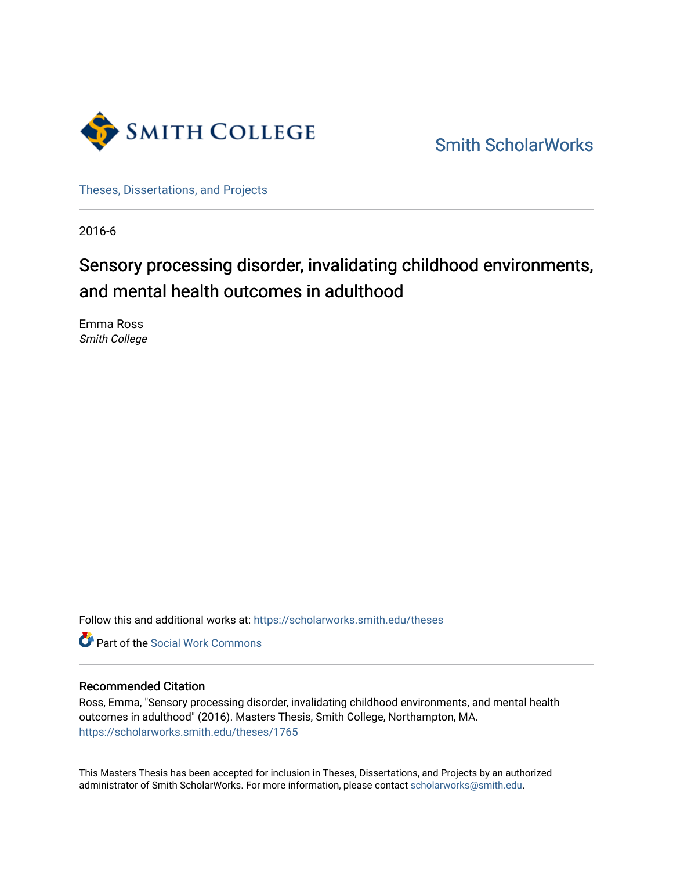

[Smith ScholarWorks](https://scholarworks.smith.edu/) 

[Theses, Dissertations, and Projects](https://scholarworks.smith.edu/theses) 

2016-6

# Sensory processing disorder, invalidating childhood environments, and mental health outcomes in adulthood

Emma Ross Smith College

Follow this and additional works at: [https://scholarworks.smith.edu/theses](https://scholarworks.smith.edu/theses?utm_source=scholarworks.smith.edu%2Ftheses%2F1765&utm_medium=PDF&utm_campaign=PDFCoverPages) 

**C** Part of the [Social Work Commons](http://network.bepress.com/hgg/discipline/713?utm_source=scholarworks.smith.edu%2Ftheses%2F1765&utm_medium=PDF&utm_campaign=PDFCoverPages)

## Recommended Citation

Ross, Emma, "Sensory processing disorder, invalidating childhood environments, and mental health outcomes in adulthood" (2016). Masters Thesis, Smith College, Northampton, MA. [https://scholarworks.smith.edu/theses/1765](https://scholarworks.smith.edu/theses/1765?utm_source=scholarworks.smith.edu%2Ftheses%2F1765&utm_medium=PDF&utm_campaign=PDFCoverPages)

This Masters Thesis has been accepted for inclusion in Theses, Dissertations, and Projects by an authorized administrator of Smith ScholarWorks. For more information, please contact [scholarworks@smith.edu](mailto:scholarworks@smith.edu).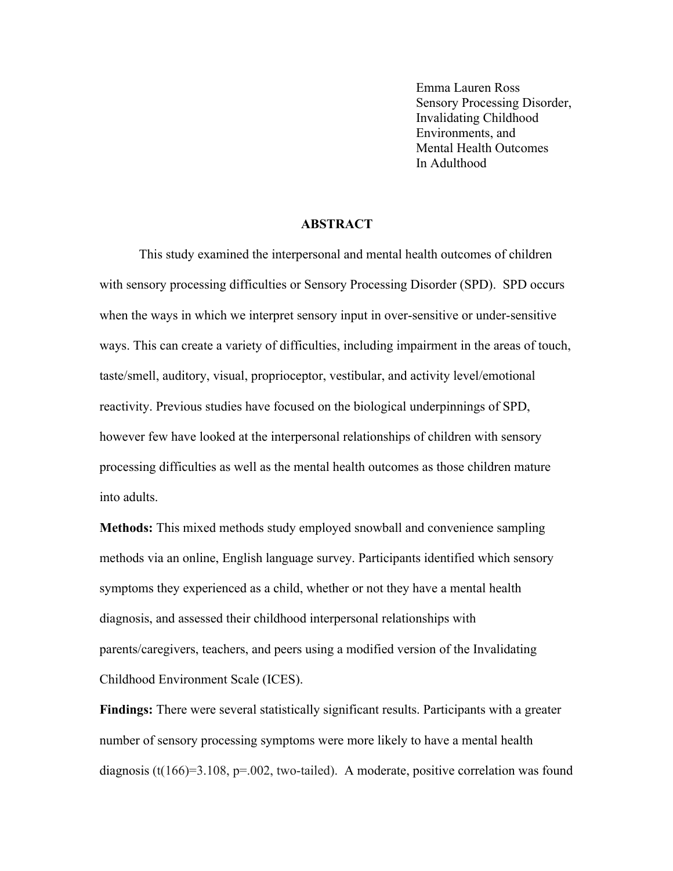Emma Lauren Ross Sensory Processing Disorder, Invalidating Childhood Environments, and Mental Health Outcomes In Adulthood

## **ABSTRACT**

This study examined the interpersonal and mental health outcomes of children with sensory processing difficulties or Sensory Processing Disorder (SPD). SPD occurs when the ways in which we interpret sensory input in over-sensitive or under-sensitive ways. This can create a variety of difficulties, including impairment in the areas of touch, taste/smell, auditory, visual, proprioceptor, vestibular, and activity level/emotional reactivity. Previous studies have focused on the biological underpinnings of SPD, however few have looked at the interpersonal relationships of children with sensory processing difficulties as well as the mental health outcomes as those children mature into adults.

**Methods:** This mixed methods study employed snowball and convenience sampling methods via an online, English language survey. Participants identified which sensory symptoms they experienced as a child, whether or not they have a mental health diagnosis, and assessed their childhood interpersonal relationships with parents/caregivers, teachers, and peers using a modified version of the Invalidating Childhood Environment Scale (ICES).

**Findings:** There were several statistically significant results. Participants with a greater number of sensory processing symptoms were more likely to have a mental health diagnosis (t(166)=3.108,  $p=0.002$ , two-tailed). A moderate, positive correlation was found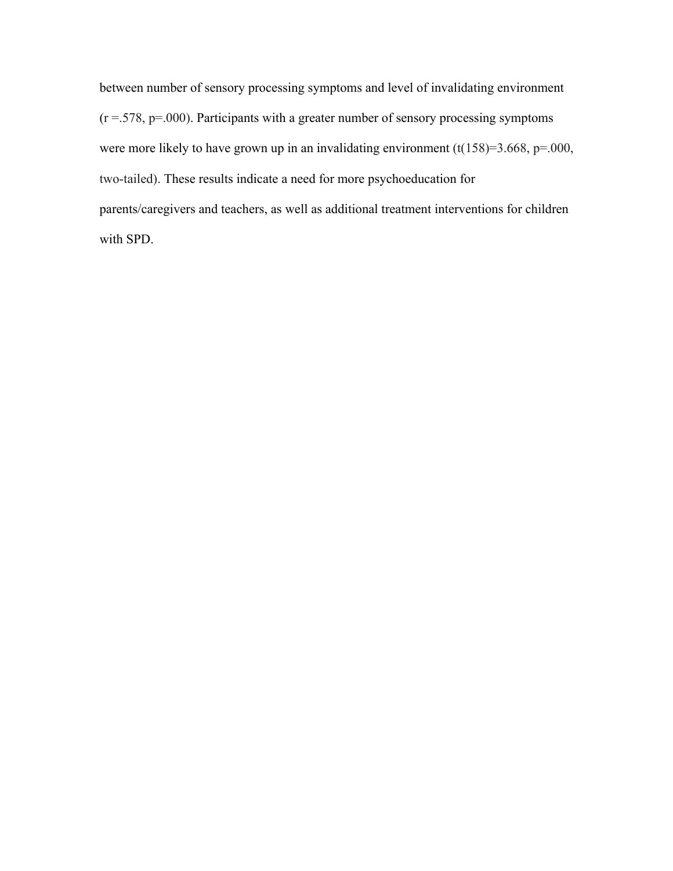between number of sensory processing symptoms and level of invalidating environment  $(r = .578, p = .000)$ . Participants with a greater number of sensory processing symptoms were more likely to have grown up in an invalidating environment  $(t(158)=3.668, p=.000,$ two-tailed). These results indicate a need for more psychoeducation for parents/caregivers and teachers, as well as additional treatment interventions for children with SPD.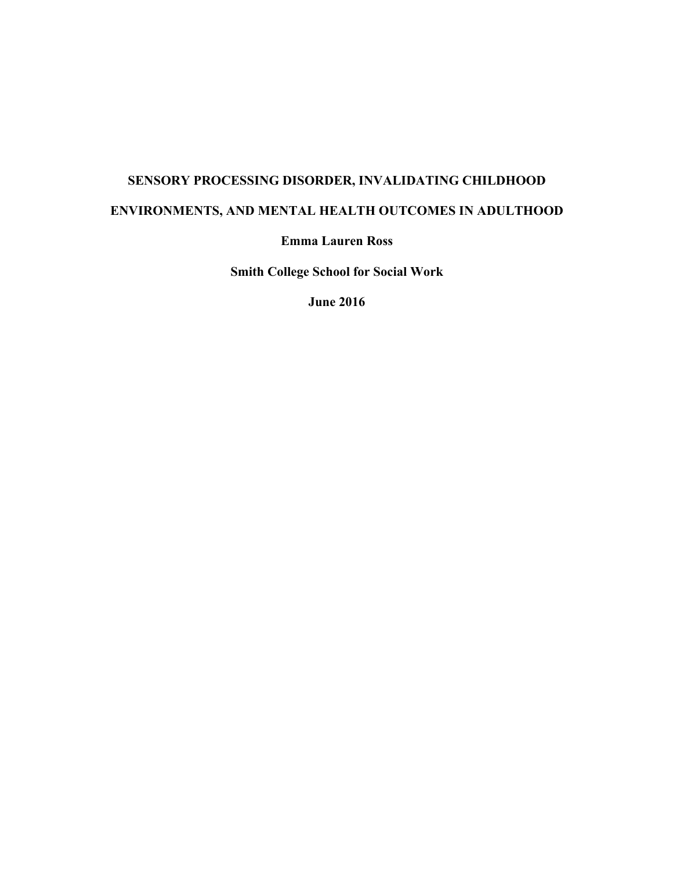# **SENSORY PROCESSING DISORDER, INVALIDATING CHILDHOOD**

# **ENVIRONMENTS, AND MENTAL HEALTH OUTCOMES IN ADULTHOOD**

# **Emma Lauren Ross**

**Smith College School for Social Work**

**June 2016**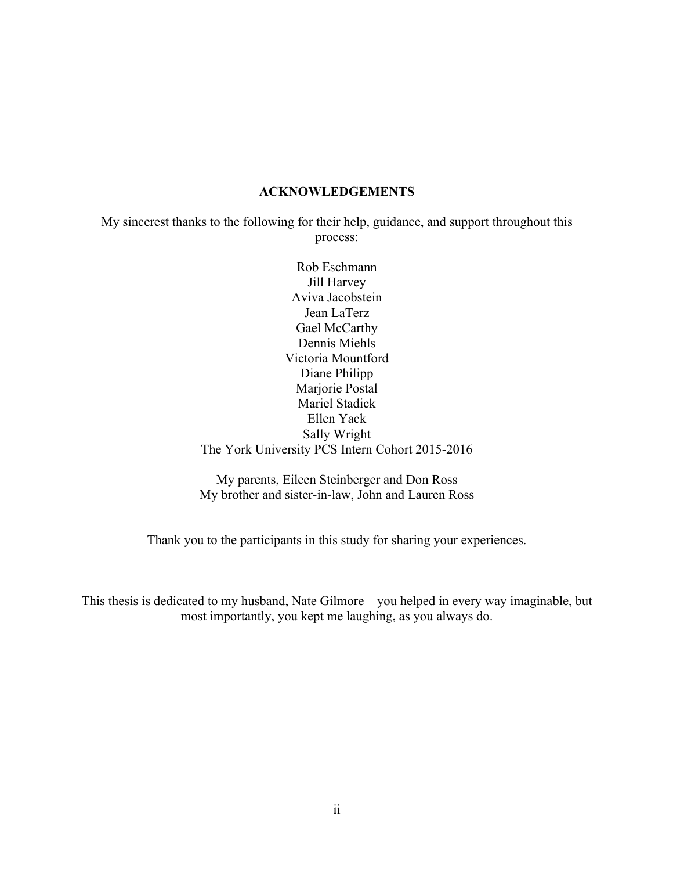# **ACKNOWLEDGEMENTS**

My sincerest thanks to the following for their help, guidance, and support throughout this process:

> Rob Eschmann Jill Harvey Aviva Jacobstein Jean LaTerz Gael McCarthy Dennis Miehls Victoria Mountford Diane Philipp Marjorie Postal Mariel Stadick Ellen Yack Sally Wright The York University PCS Intern Cohort 2015-2016

> My parents, Eileen Steinberger and Don Ross My brother and sister-in-law, John and Lauren Ross

Thank you to the participants in this study for sharing your experiences.

This thesis is dedicated to my husband, Nate Gilmore – you helped in every way imaginable, but most importantly, you kept me laughing, as you always do.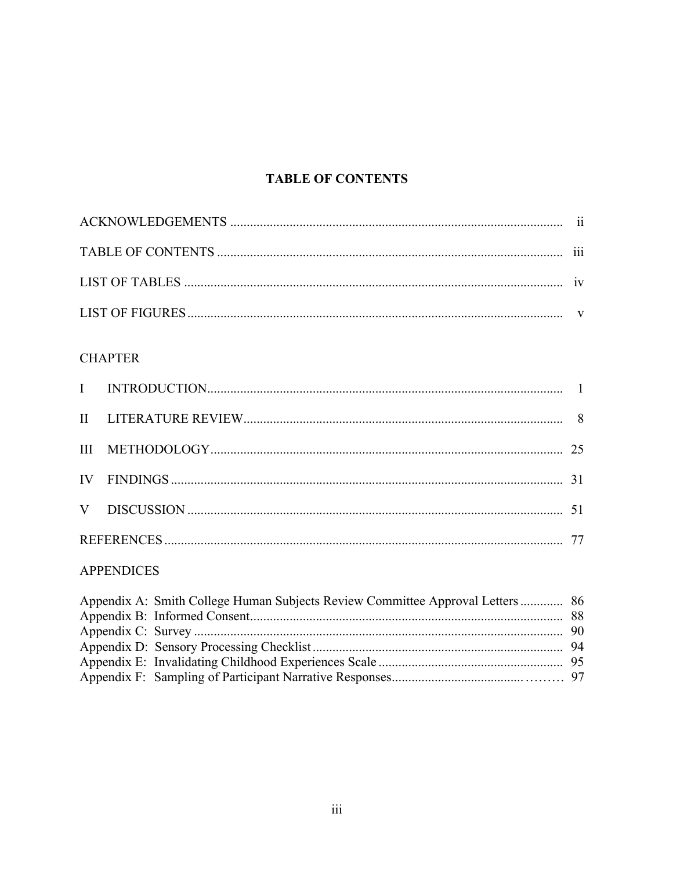# **TABLE OF CONTENTS**

# **CHAPTER**

# **APPENDICES**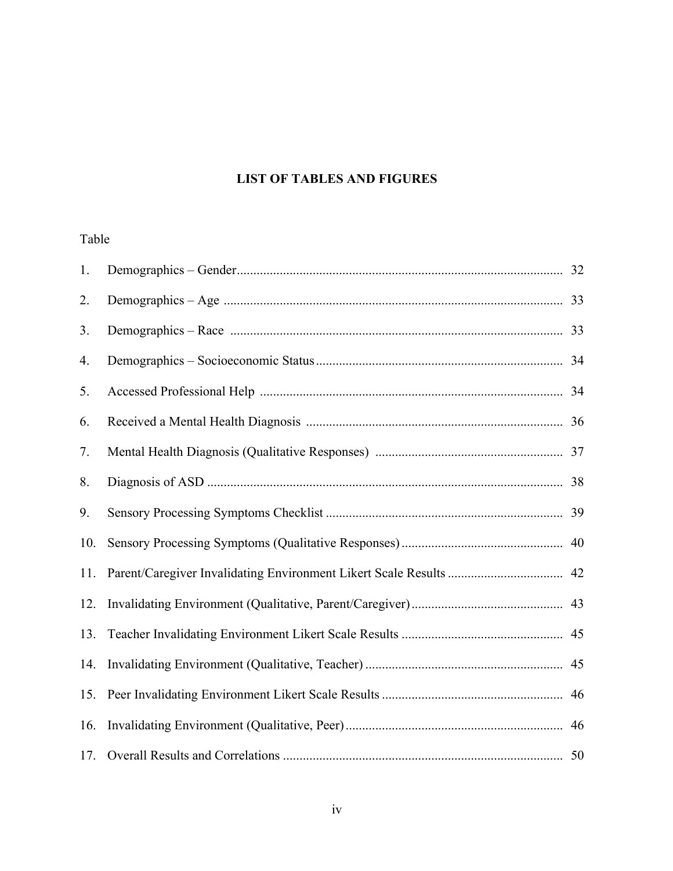# **LIST OF TABLES AND FIGURES**

# Table

| 1.  |  |
|-----|--|
| 2.  |  |
| 3.  |  |
| 4.  |  |
| 5.  |  |
| 6.  |  |
| 7.  |  |
| 8.  |  |
| 9.  |  |
| 10. |  |
| 11. |  |
| 12. |  |
| 13. |  |
| 14. |  |
| 15. |  |
| 16. |  |
| 17. |  |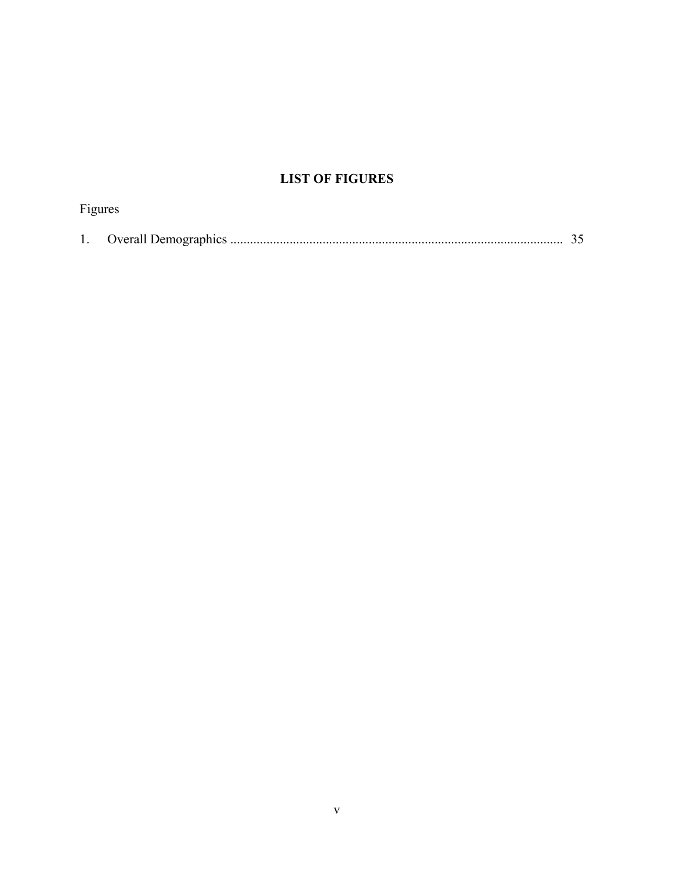# **LIST OF FIGURES**

| Figures |  |
|---------|--|
|         |  |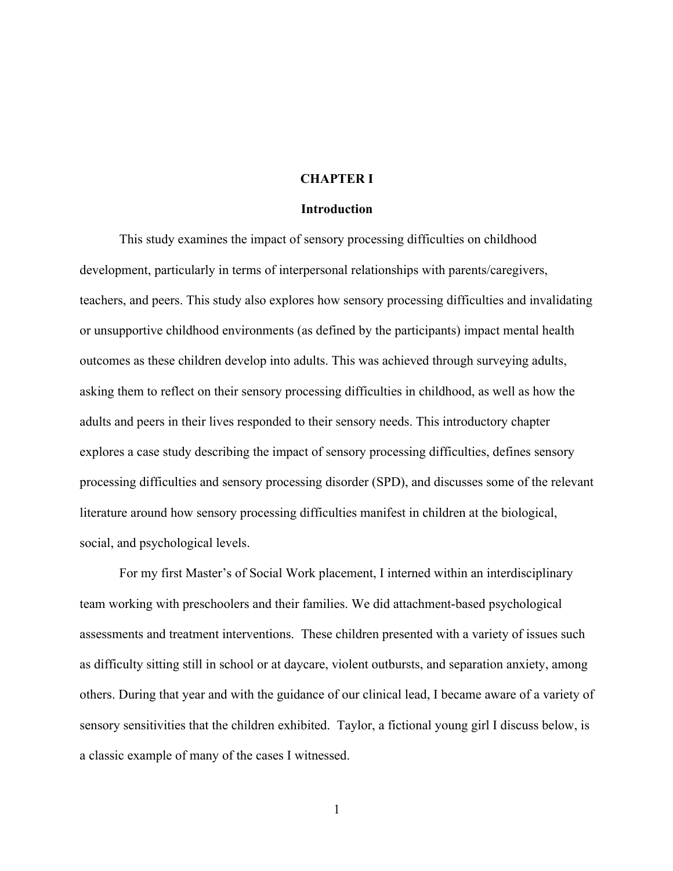## **CHAPTER I**

#### **Introduction**

This study examines the impact of sensory processing difficulties on childhood development, particularly in terms of interpersonal relationships with parents/caregivers, teachers, and peers. This study also explores how sensory processing difficulties and invalidating or unsupportive childhood environments (as defined by the participants) impact mental health outcomes as these children develop into adults. This was achieved through surveying adults, asking them to reflect on their sensory processing difficulties in childhood, as well as how the adults and peers in their lives responded to their sensory needs. This introductory chapter explores a case study describing the impact of sensory processing difficulties, defines sensory processing difficulties and sensory processing disorder (SPD), and discusses some of the relevant literature around how sensory processing difficulties manifest in children at the biological, social, and psychological levels.

For my first Master's of Social Work placement, I interned within an interdisciplinary team working with preschoolers and their families. We did attachment-based psychological assessments and treatment interventions. These children presented with a variety of issues such as difficulty sitting still in school or at daycare, violent outbursts, and separation anxiety, among others. During that year and with the guidance of our clinical lead, I became aware of a variety of sensory sensitivities that the children exhibited. Taylor, a fictional young girl I discuss below, is a classic example of many of the cases I witnessed.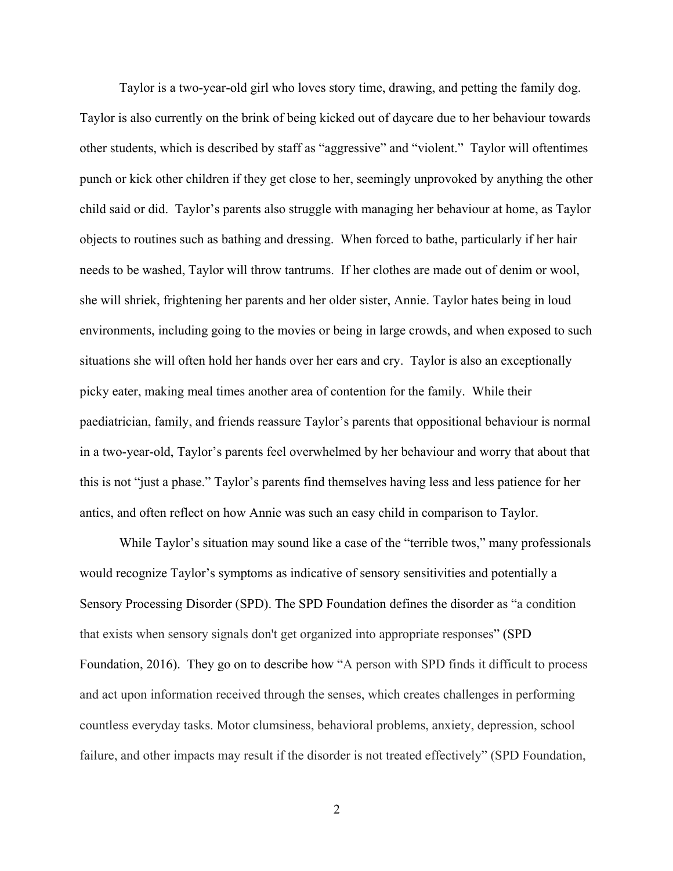Taylor is a two-year-old girl who loves story time, drawing, and petting the family dog. Taylor is also currently on the brink of being kicked out of daycare due to her behaviour towards other students, which is described by staff as "aggressive" and "violent." Taylor will oftentimes punch or kick other children if they get close to her, seemingly unprovoked by anything the other child said or did. Taylor's parents also struggle with managing her behaviour at home, as Taylor objects to routines such as bathing and dressing. When forced to bathe, particularly if her hair needs to be washed, Taylor will throw tantrums. If her clothes are made out of denim or wool, she will shriek, frightening her parents and her older sister, Annie. Taylor hates being in loud environments, including going to the movies or being in large crowds, and when exposed to such situations she will often hold her hands over her ears and cry. Taylor is also an exceptionally picky eater, making meal times another area of contention for the family. While their paediatrician, family, and friends reassure Taylor's parents that oppositional behaviour is normal in a two-year-old, Taylor's parents feel overwhelmed by her behaviour and worry that about that this is not "just a phase." Taylor's parents find themselves having less and less patience for her antics, and often reflect on how Annie was such an easy child in comparison to Taylor.

While Taylor's situation may sound like a case of the "terrible twos," many professionals would recognize Taylor's symptoms as indicative of sensory sensitivities and potentially a Sensory Processing Disorder (SPD). The SPD Foundation defines the disorder as "a condition that exists when sensory signals don't get organized into appropriate responses" (SPD Foundation, 2016). They go on to describe how "A person with SPD finds it difficult to process and act upon information received through the senses, which creates challenges in performing countless everyday tasks. Motor clumsiness, behavioral problems, anxiety, depression, school failure, and other impacts may result if the disorder is not treated effectively" (SPD Foundation,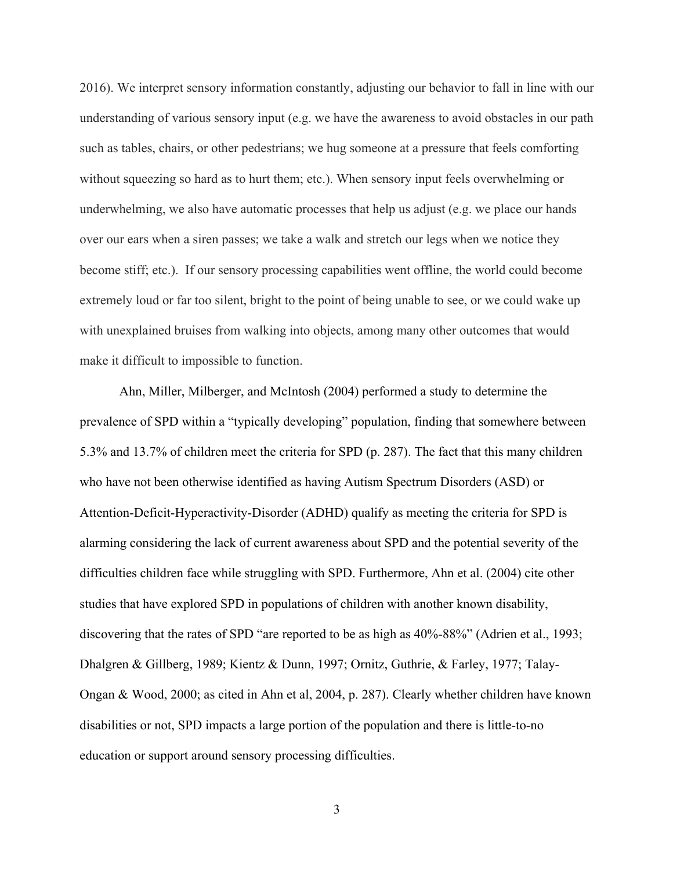2016). We interpret sensory information constantly, adjusting our behavior to fall in line with our understanding of various sensory input (e.g. we have the awareness to avoid obstacles in our path such as tables, chairs, or other pedestrians; we hug someone at a pressure that feels comforting without squeezing so hard as to hurt them; etc.). When sensory input feels overwhelming or underwhelming, we also have automatic processes that help us adjust (e.g. we place our hands over our ears when a siren passes; we take a walk and stretch our legs when we notice they become stiff; etc.). If our sensory processing capabilities went offline, the world could become extremely loud or far too silent, bright to the point of being unable to see, or we could wake up with unexplained bruises from walking into objects, among many other outcomes that would make it difficult to impossible to function.

Ahn, Miller, Milberger, and McIntosh (2004) performed a study to determine the prevalence of SPD within a "typically developing" population, finding that somewhere between 5.3% and 13.7% of children meet the criteria for SPD (p. 287). The fact that this many children who have not been otherwise identified as having Autism Spectrum Disorders (ASD) or Attention-Deficit-Hyperactivity-Disorder (ADHD) qualify as meeting the criteria for SPD is alarming considering the lack of current awareness about SPD and the potential severity of the difficulties children face while struggling with SPD. Furthermore, Ahn et al. (2004) cite other studies that have explored SPD in populations of children with another known disability, discovering that the rates of SPD "are reported to be as high as 40%-88%" (Adrien et al., 1993; Dhalgren & Gillberg, 1989; Kientz & Dunn, 1997; Ornitz, Guthrie, & Farley, 1977; Talay-Ongan & Wood, 2000; as cited in Ahn et al, 2004, p. 287). Clearly whether children have known disabilities or not, SPD impacts a large portion of the population and there is little-to-no education or support around sensory processing difficulties.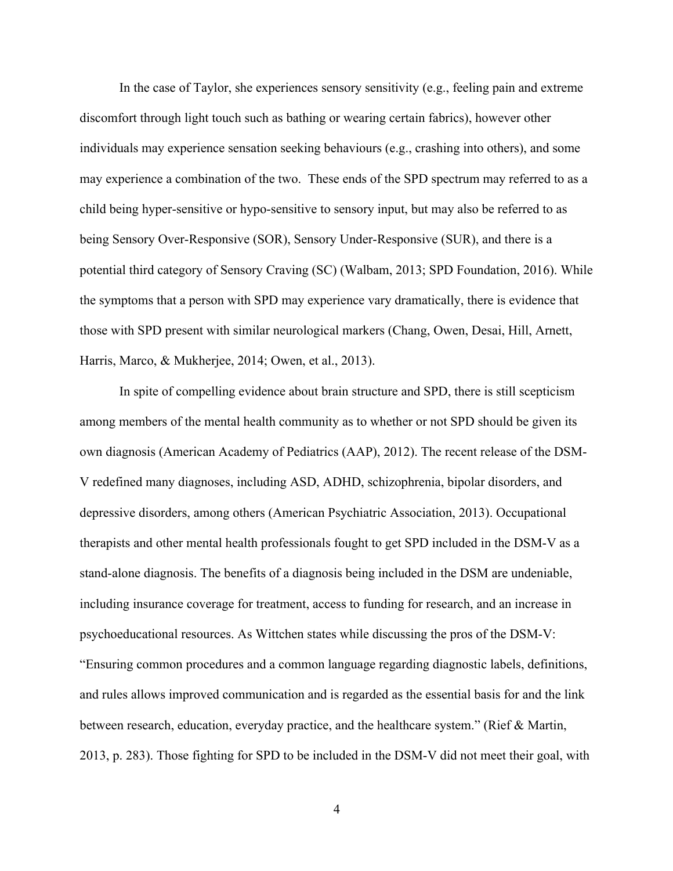In the case of Taylor, she experiences sensory sensitivity (e.g., feeling pain and extreme discomfort through light touch such as bathing or wearing certain fabrics), however other individuals may experience sensation seeking behaviours (e.g., crashing into others), and some may experience a combination of the two. These ends of the SPD spectrum may referred to as a child being hyper-sensitive or hypo-sensitive to sensory input, but may also be referred to as being Sensory Over-Responsive (SOR), Sensory Under-Responsive (SUR), and there is a potential third category of Sensory Craving (SC) (Walbam, 2013; SPD Foundation, 2016). While the symptoms that a person with SPD may experience vary dramatically, there is evidence that those with SPD present with similar neurological markers (Chang, Owen, Desai, Hill, Arnett, Harris, Marco, & Mukherjee, 2014; Owen, et al., 2013).

In spite of compelling evidence about brain structure and SPD, there is still scepticism among members of the mental health community as to whether or not SPD should be given its own diagnosis (American Academy of Pediatrics (AAP), 2012). The recent release of the DSM-V redefined many diagnoses, including ASD, ADHD, schizophrenia, bipolar disorders, and depressive disorders, among others (American Psychiatric Association, 2013). Occupational therapists and other mental health professionals fought to get SPD included in the DSM-V as a stand-alone diagnosis. The benefits of a diagnosis being included in the DSM are undeniable, including insurance coverage for treatment, access to funding for research, and an increase in psychoeducational resources. As Wittchen states while discussing the pros of the DSM-V: "Ensuring common procedures and a common language regarding diagnostic labels, definitions, and rules allows improved communication and is regarded as the essential basis for and the link between research, education, everyday practice, and the healthcare system." (Rief & Martin, 2013, p. 283). Those fighting for SPD to be included in the DSM-V did not meet their goal, with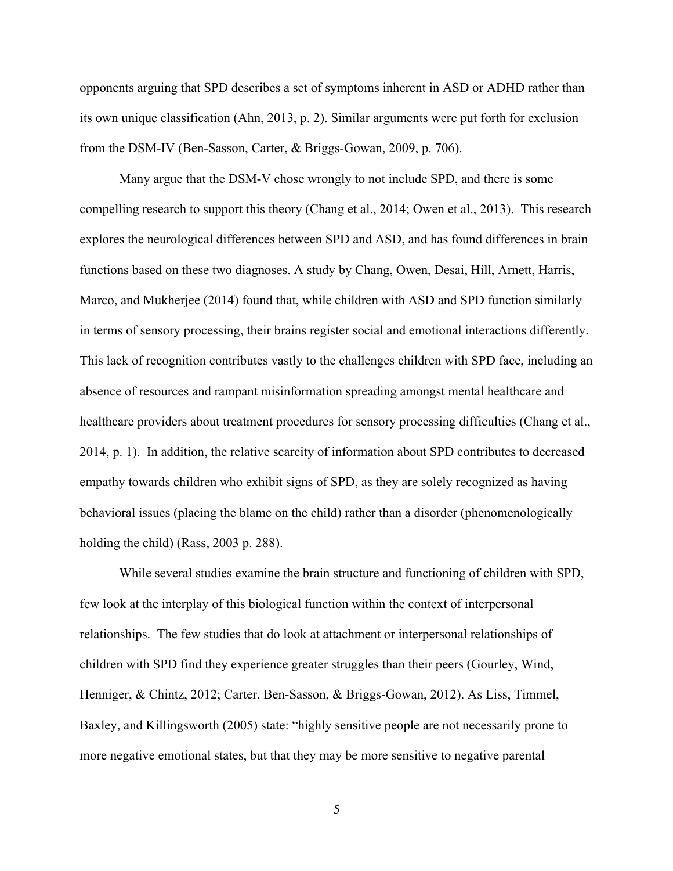opponents arguing that SPD describes a set of symptoms inherent in ASD or ADHD rather than its own unique classification (Ahn, 2013, p. 2). Similar arguments were put forth for exclusion from the DSM-IV (Ben-Sasson, Carter, & Briggs-Gowan, 2009, p. 706).

Many argue that the DSM-V chose wrongly to not include SPD, and there is some compelling research to support this theory (Chang et al., 2014; Owen et al., 2013). This research explores the neurological differences between SPD and ASD, and has found differences in brain functions based on these two diagnoses. A study by Chang, Owen, Desai, Hill, Arnett, Harris, Marco, and Mukherjee (2014) found that, while children with ASD and SPD function similarly in terms of sensory processing, their brains register social and emotional interactions differently. This lack of recognition contributes vastly to the challenges children with SPD face, including an absence of resources and rampant misinformation spreading amongst mental healthcare and healthcare providers about treatment procedures for sensory processing difficulties (Chang et al., 2014, p. 1). In addition, the relative scarcity of information about SPD contributes to decreased empathy towards children who exhibit signs of SPD, as they are solely recognized as having behavioral issues (placing the blame on the child) rather than a disorder (phenomenologically holding the child) (Rass, 2003 p. 288).

While several studies examine the brain structure and functioning of children with SPD, few look at the interplay of this biological function within the context of interpersonal relationships. The few studies that do look at attachment or interpersonal relationships of children with SPD find they experience greater struggles than their peers (Gourley, Wind, Henniger, & Chintz, 2012; Carter, Ben-Sasson, & Briggs-Gowan, 2012). As Liss, Timmel, Baxley, and Killingsworth (2005) state: "highly sensitive people are not necessarily prone to more negative emotional states, but that they may be more sensitive to negative parental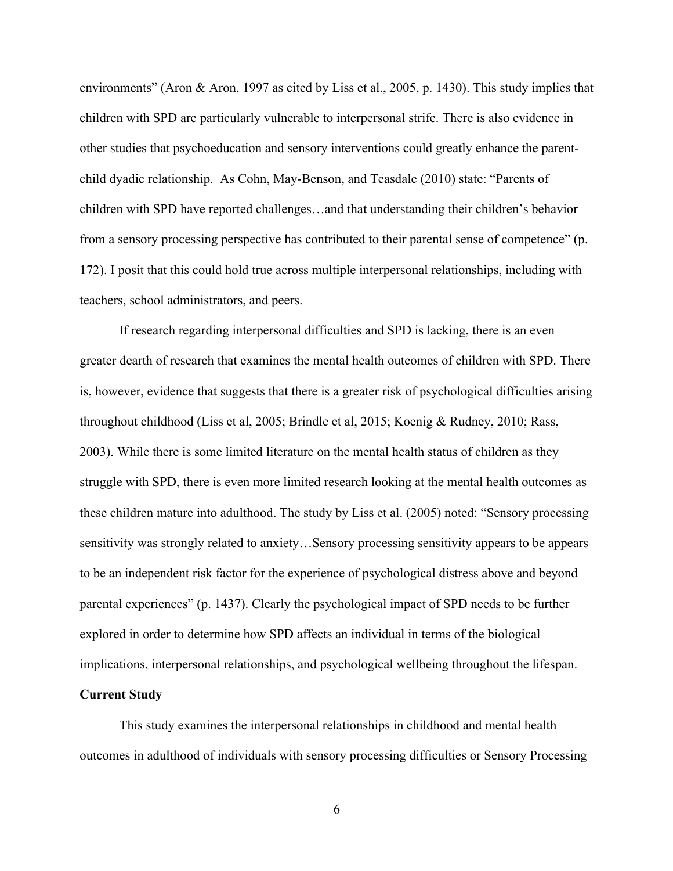environments" (Aron & Aron, 1997 as cited by Liss et al., 2005, p. 1430). This study implies that children with SPD are particularly vulnerable to interpersonal strife. There is also evidence in other studies that psychoeducation and sensory interventions could greatly enhance the parentchild dyadic relationship. As Cohn, May-Benson, and Teasdale (2010) state: "Parents of children with SPD have reported challenges…and that understanding their children's behavior from a sensory processing perspective has contributed to their parental sense of competence" (p. 172). I posit that this could hold true across multiple interpersonal relationships, including with teachers, school administrators, and peers.

If research regarding interpersonal difficulties and SPD is lacking, there is an even greater dearth of research that examines the mental health outcomes of children with SPD. There is, however, evidence that suggests that there is a greater risk of psychological difficulties arising throughout childhood (Liss et al, 2005; Brindle et al, 2015; Koenig & Rudney, 2010; Rass, 2003). While there is some limited literature on the mental health status of children as they struggle with SPD, there is even more limited research looking at the mental health outcomes as these children mature into adulthood. The study by Liss et al. (2005) noted: "Sensory processing sensitivity was strongly related to anxiety…Sensory processing sensitivity appears to be appears to be an independent risk factor for the experience of psychological distress above and beyond parental experiences" (p. 1437). Clearly the psychological impact of SPD needs to be further explored in order to determine how SPD affects an individual in terms of the biological implications, interpersonal relationships, and psychological wellbeing throughout the lifespan.

# **Current Study**

This study examines the interpersonal relationships in childhood and mental health outcomes in adulthood of individuals with sensory processing difficulties or Sensory Processing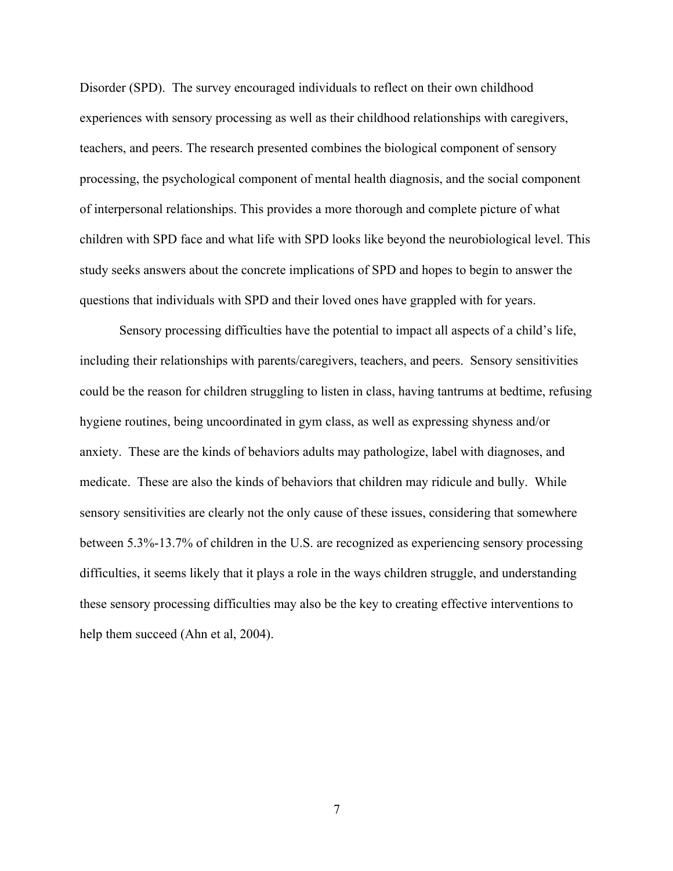Disorder (SPD). The survey encouraged individuals to reflect on their own childhood experiences with sensory processing as well as their childhood relationships with caregivers, teachers, and peers. The research presented combines the biological component of sensory processing, the psychological component of mental health diagnosis, and the social component of interpersonal relationships. This provides a more thorough and complete picture of what children with SPD face and what life with SPD looks like beyond the neurobiological level. This study seeks answers about the concrete implications of SPD and hopes to begin to answer the questions that individuals with SPD and their loved ones have grappled with for years.

Sensory processing difficulties have the potential to impact all aspects of a child's life, including their relationships with parents/caregivers, teachers, and peers. Sensory sensitivities could be the reason for children struggling to listen in class, having tantrums at bedtime, refusing hygiene routines, being uncoordinated in gym class, as well as expressing shyness and/or anxiety. These are the kinds of behaviors adults may pathologize, label with diagnoses, and medicate. These are also the kinds of behaviors that children may ridicule and bully. While sensory sensitivities are clearly not the only cause of these issues, considering that somewhere between 5.3%-13.7% of children in the U.S. are recognized as experiencing sensory processing difficulties, it seems likely that it plays a role in the ways children struggle, and understanding these sensory processing difficulties may also be the key to creating effective interventions to help them succeed (Ahn et al, 2004).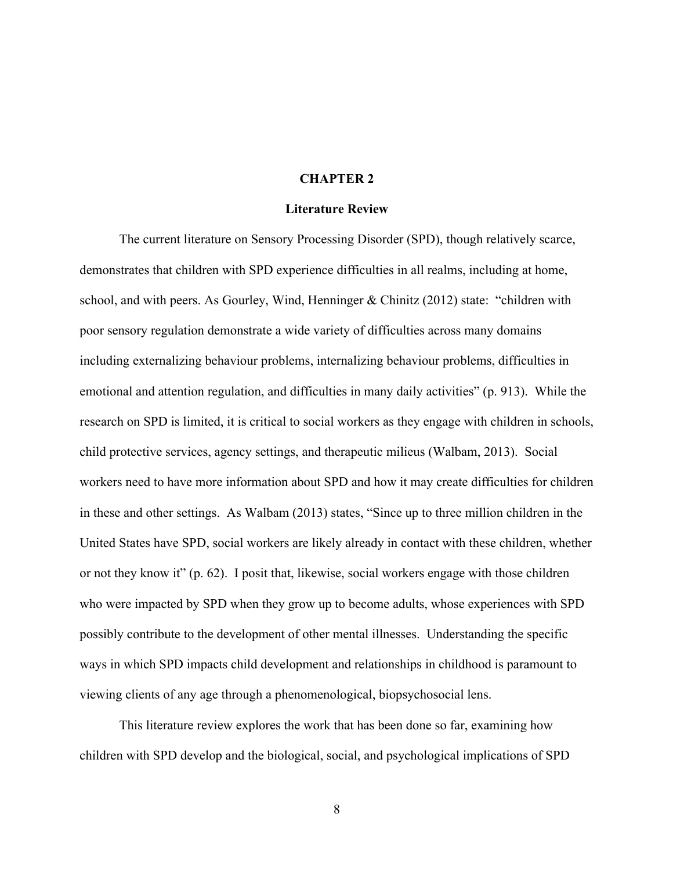## **CHAPTER 2**

#### **Literature Review**

The current literature on Sensory Processing Disorder (SPD), though relatively scarce, demonstrates that children with SPD experience difficulties in all realms, including at home, school, and with peers. As Gourley, Wind, Henninger & Chinitz (2012) state: "children with poor sensory regulation demonstrate a wide variety of difficulties across many domains including externalizing behaviour problems, internalizing behaviour problems, difficulties in emotional and attention regulation, and difficulties in many daily activities" (p. 913). While the research on SPD is limited, it is critical to social workers as they engage with children in schools, child protective services, agency settings, and therapeutic milieus (Walbam, 2013). Social workers need to have more information about SPD and how it may create difficulties for children in these and other settings. As Walbam (2013) states, "Since up to three million children in the United States have SPD, social workers are likely already in contact with these children, whether or not they know it" (p. 62). I posit that, likewise, social workers engage with those children who were impacted by SPD when they grow up to become adults, whose experiences with SPD possibly contribute to the development of other mental illnesses. Understanding the specific ways in which SPD impacts child development and relationships in childhood is paramount to viewing clients of any age through a phenomenological, biopsychosocial lens.

This literature review explores the work that has been done so far, examining how children with SPD develop and the biological, social, and psychological implications of SPD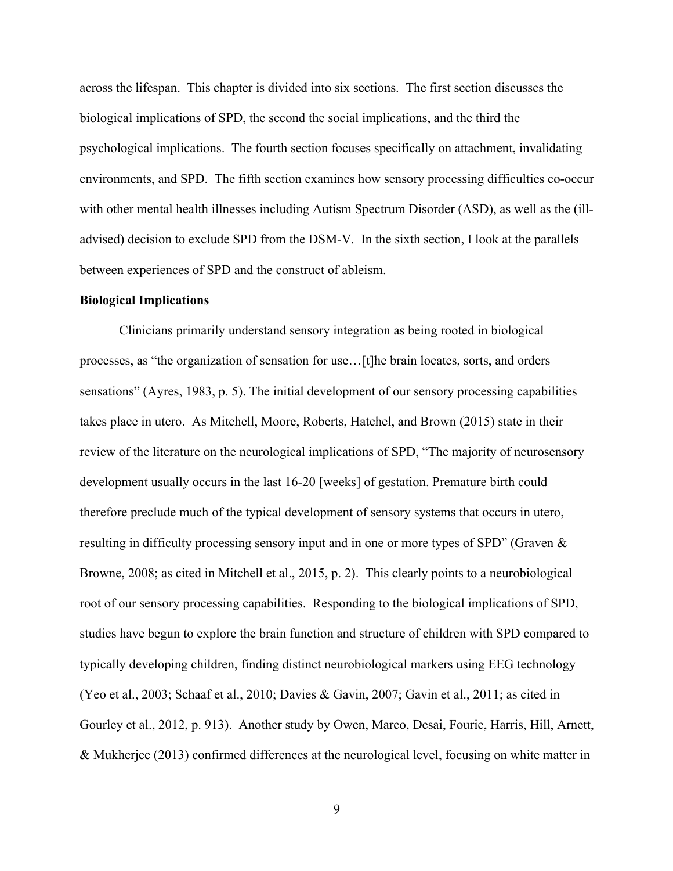across the lifespan. This chapter is divided into six sections. The first section discusses the biological implications of SPD, the second the social implications, and the third the psychological implications. The fourth section focuses specifically on attachment, invalidating environments, and SPD. The fifth section examines how sensory processing difficulties co-occur with other mental health illnesses including Autism Spectrum Disorder (ASD), as well as the (illadvised) decision to exclude SPD from the DSM-V. In the sixth section, I look at the parallels between experiences of SPD and the construct of ableism.

## **Biological Implications**

Clinicians primarily understand sensory integration as being rooted in biological processes, as "the organization of sensation for use…[t]he brain locates, sorts, and orders sensations" (Ayres, 1983, p. 5). The initial development of our sensory processing capabilities takes place in utero. As Mitchell, Moore, Roberts, Hatchel, and Brown (2015) state in their review of the literature on the neurological implications of SPD, "The majority of neurosensory development usually occurs in the last 16-20 [weeks] of gestation. Premature birth could therefore preclude much of the typical development of sensory systems that occurs in utero, resulting in difficulty processing sensory input and in one or more types of SPD" (Graven & Browne, 2008; as cited in Mitchell et al., 2015, p. 2). This clearly points to a neurobiological root of our sensory processing capabilities. Responding to the biological implications of SPD, studies have begun to explore the brain function and structure of children with SPD compared to typically developing children, finding distinct neurobiological markers using EEG technology (Yeo et al., 2003; Schaaf et al., 2010; Davies & Gavin, 2007; Gavin et al., 2011; as cited in Gourley et al., 2012, p. 913). Another study by Owen, Marco, Desai, Fourie, Harris, Hill, Arnett, & Mukherjee (2013) confirmed differences at the neurological level, focusing on white matter in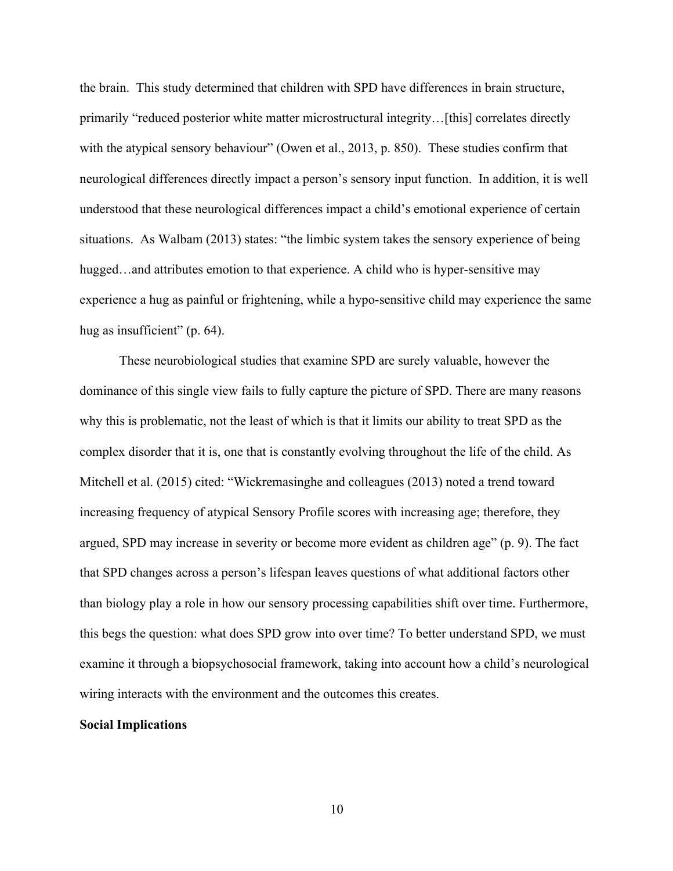the brain. This study determined that children with SPD have differences in brain structure, primarily "reduced posterior white matter microstructural integrity…[this] correlates directly with the atypical sensory behaviour" (Owen et al., 2013, p. 850). These studies confirm that neurological differences directly impact a person's sensory input function. In addition, it is well understood that these neurological differences impact a child's emotional experience of certain situations. As Walbam (2013) states: "the limbic system takes the sensory experience of being hugged…and attributes emotion to that experience. A child who is hyper-sensitive may experience a hug as painful or frightening, while a hypo-sensitive child may experience the same hug as insufficient" (p. 64).

These neurobiological studies that examine SPD are surely valuable, however the dominance of this single view fails to fully capture the picture of SPD. There are many reasons why this is problematic, not the least of which is that it limits our ability to treat SPD as the complex disorder that it is, one that is constantly evolving throughout the life of the child. As Mitchell et al. (2015) cited: "Wickremasinghe and colleagues (2013) noted a trend toward increasing frequency of atypical Sensory Profile scores with increasing age; therefore, they argued, SPD may increase in severity or become more evident as children age" (p. 9). The fact that SPD changes across a person's lifespan leaves questions of what additional factors other than biology play a role in how our sensory processing capabilities shift over time. Furthermore, this begs the question: what does SPD grow into over time? To better understand SPD, we must examine it through a biopsychosocial framework, taking into account how a child's neurological wiring interacts with the environment and the outcomes this creates.

## **Social Implications**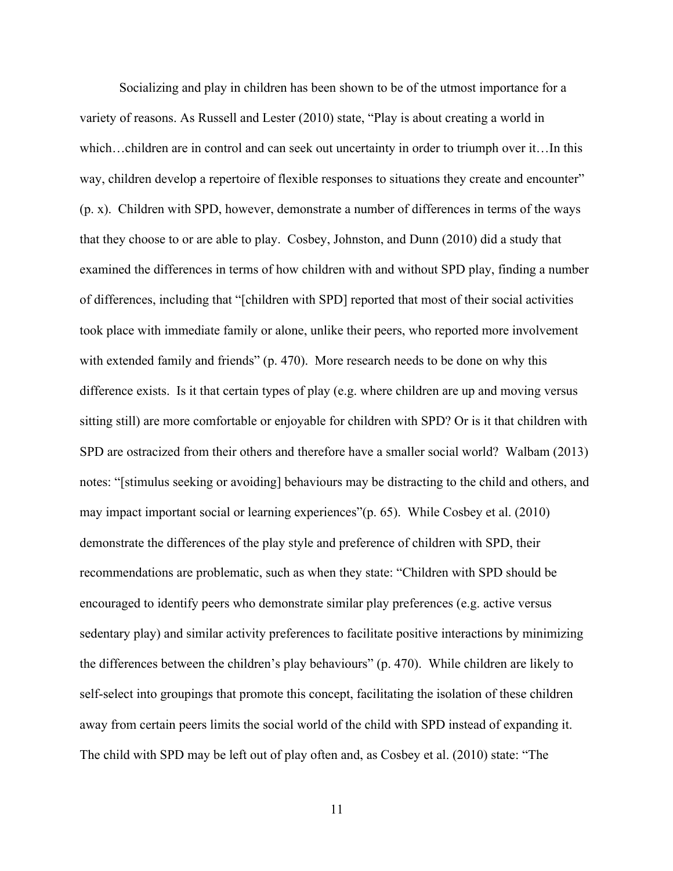Socializing and play in children has been shown to be of the utmost importance for a variety of reasons. As Russell and Lester (2010) state, "Play is about creating a world in which…children are in control and can seek out uncertainty in order to triumph over it…In this way, children develop a repertoire of flexible responses to situations they create and encounter" (p. x). Children with SPD, however, demonstrate a number of differences in terms of the ways that they choose to or are able to play. Cosbey, Johnston, and Dunn (2010) did a study that examined the differences in terms of how children with and without SPD play, finding a number of differences, including that "[children with SPD] reported that most of their social activities took place with immediate family or alone, unlike their peers, who reported more involvement with extended family and friends" (p. 470). More research needs to be done on why this difference exists. Is it that certain types of play (e.g. where children are up and moving versus sitting still) are more comfortable or enjoyable for children with SPD? Or is it that children with SPD are ostracized from their others and therefore have a smaller social world? Walbam (2013) notes: "[stimulus seeking or avoiding] behaviours may be distracting to the child and others, and may impact important social or learning experiences"(p. 65). While Cosbey et al. (2010) demonstrate the differences of the play style and preference of children with SPD, their recommendations are problematic, such as when they state: "Children with SPD should be encouraged to identify peers who demonstrate similar play preferences (e.g. active versus sedentary play) and similar activity preferences to facilitate positive interactions by minimizing the differences between the children's play behaviours" (p. 470). While children are likely to self-select into groupings that promote this concept, facilitating the isolation of these children away from certain peers limits the social world of the child with SPD instead of expanding it. The child with SPD may be left out of play often and, as Cosbey et al. (2010) state: "The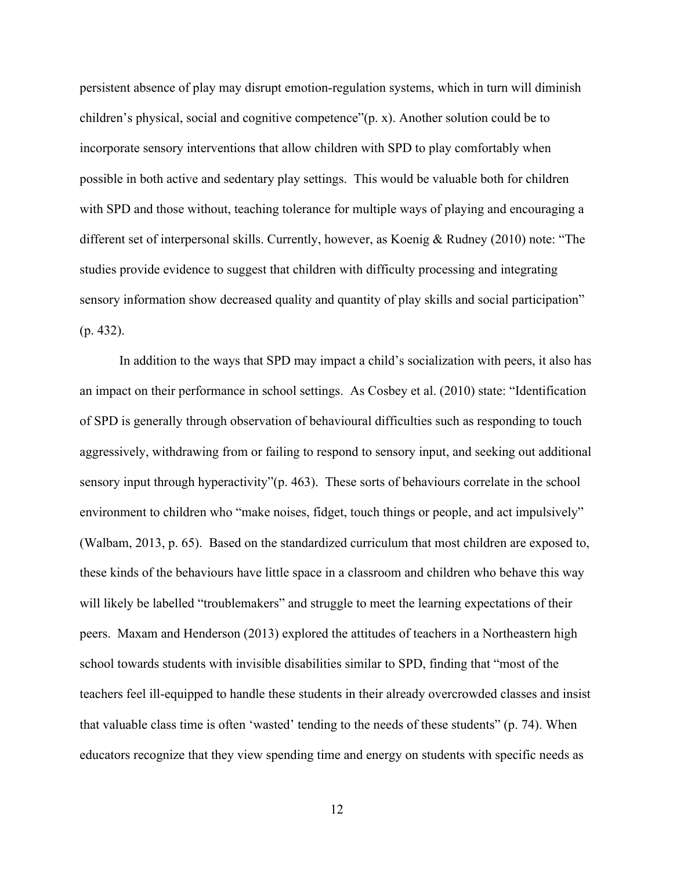persistent absence of play may disrupt emotion-regulation systems, which in turn will diminish children's physical, social and cognitive competence"(p. x). Another solution could be to incorporate sensory interventions that allow children with SPD to play comfortably when possible in both active and sedentary play settings. This would be valuable both for children with SPD and those without, teaching tolerance for multiple ways of playing and encouraging a different set of interpersonal skills. Currently, however, as Koenig & Rudney (2010) note: "The studies provide evidence to suggest that children with difficulty processing and integrating sensory information show decreased quality and quantity of play skills and social participation" (p. 432).

In addition to the ways that SPD may impact a child's socialization with peers, it also has an impact on their performance in school settings. As Cosbey et al. (2010) state: "Identification of SPD is generally through observation of behavioural difficulties such as responding to touch aggressively, withdrawing from or failing to respond to sensory input, and seeking out additional sensory input through hyperactivity"(p. 463). These sorts of behaviours correlate in the school environment to children who "make noises, fidget, touch things or people, and act impulsively" (Walbam, 2013, p. 65). Based on the standardized curriculum that most children are exposed to, these kinds of the behaviours have little space in a classroom and children who behave this way will likely be labelled "troublemakers" and struggle to meet the learning expectations of their peers. Maxam and Henderson (2013) explored the attitudes of teachers in a Northeastern high school towards students with invisible disabilities similar to SPD, finding that "most of the teachers feel ill-equipped to handle these students in their already overcrowded classes and insist that valuable class time is often 'wasted' tending to the needs of these students" (p. 74). When educators recognize that they view spending time and energy on students with specific needs as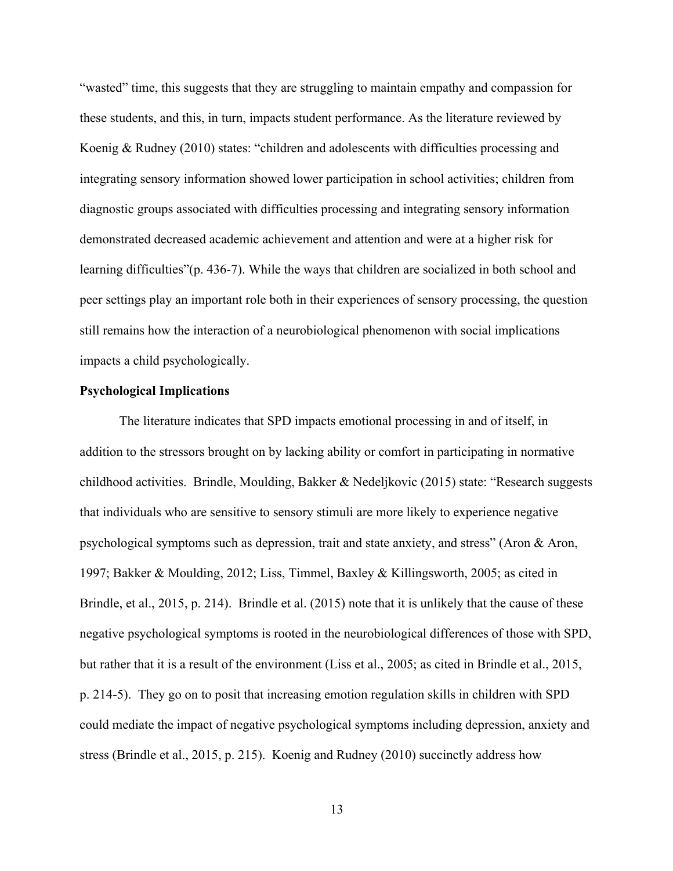"wasted" time, this suggests that they are struggling to maintain empathy and compassion for these students, and this, in turn, impacts student performance. As the literature reviewed by Koenig & Rudney (2010) states: "children and adolescents with difficulties processing and integrating sensory information showed lower participation in school activities; children from diagnostic groups associated with difficulties processing and integrating sensory information demonstrated decreased academic achievement and attention and were at a higher risk for learning difficulties"(p. 436-7). While the ways that children are socialized in both school and peer settings play an important role both in their experiences of sensory processing, the question still remains how the interaction of a neurobiological phenomenon with social implications impacts a child psychologically.

## **Psychological Implications**

The literature indicates that SPD impacts emotional processing in and of itself, in addition to the stressors brought on by lacking ability or comfort in participating in normative childhood activities. Brindle, Moulding, Bakker & Nedeljkovic (2015) state: "Research suggests that individuals who are sensitive to sensory stimuli are more likely to experience negative psychological symptoms such as depression, trait and state anxiety, and stress" (Aron & Aron, 1997; Bakker & Moulding, 2012; Liss, Timmel, Baxley & Killingsworth, 2005; as cited in Brindle, et al., 2015, p. 214). Brindle et al. (2015) note that it is unlikely that the cause of these negative psychological symptoms is rooted in the neurobiological differences of those with SPD, but rather that it is a result of the environment (Liss et al., 2005; as cited in Brindle et al., 2015, p. 214-5). They go on to posit that increasing emotion regulation skills in children with SPD could mediate the impact of negative psychological symptoms including depression, anxiety and stress (Brindle et al., 2015, p. 215). Koenig and Rudney (2010) succinctly address how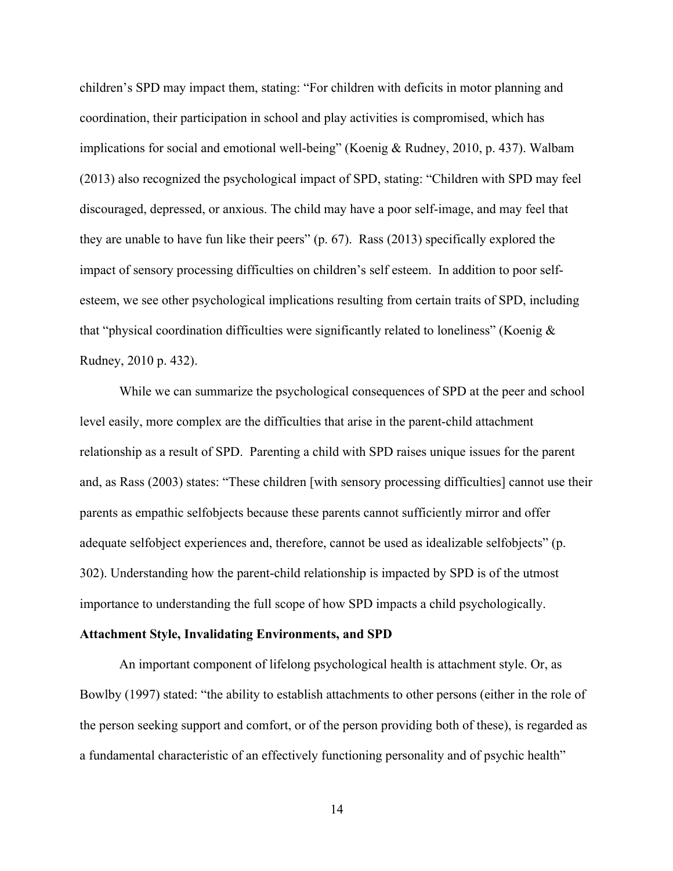children's SPD may impact them, stating: "For children with deficits in motor planning and coordination, their participation in school and play activities is compromised, which has implications for social and emotional well-being" (Koenig & Rudney, 2010, p. 437). Walbam (2013) also recognized the psychological impact of SPD, stating: "Children with SPD may feel discouraged, depressed, or anxious. The child may have a poor self-image, and may feel that they are unable to have fun like their peers" (p. 67). Rass (2013) specifically explored the impact of sensory processing difficulties on children's self esteem. In addition to poor selfesteem, we see other psychological implications resulting from certain traits of SPD, including that "physical coordination difficulties were significantly related to loneliness" (Koenig  $\&$ Rudney, 2010 p. 432).

While we can summarize the psychological consequences of SPD at the peer and school level easily, more complex are the difficulties that arise in the parent-child attachment relationship as a result of SPD. Parenting a child with SPD raises unique issues for the parent and, as Rass (2003) states: "These children [with sensory processing difficulties] cannot use their parents as empathic selfobjects because these parents cannot sufficiently mirror and offer adequate selfobject experiences and, therefore, cannot be used as idealizable selfobjects" (p. 302). Understanding how the parent-child relationship is impacted by SPD is of the utmost importance to understanding the full scope of how SPD impacts a child psychologically.

## **Attachment Style, Invalidating Environments, and SPD**

An important component of lifelong psychological health is attachment style. Or, as Bowlby (1997) stated: "the ability to establish attachments to other persons (either in the role of the person seeking support and comfort, or of the person providing both of these), is regarded as a fundamental characteristic of an effectively functioning personality and of psychic health"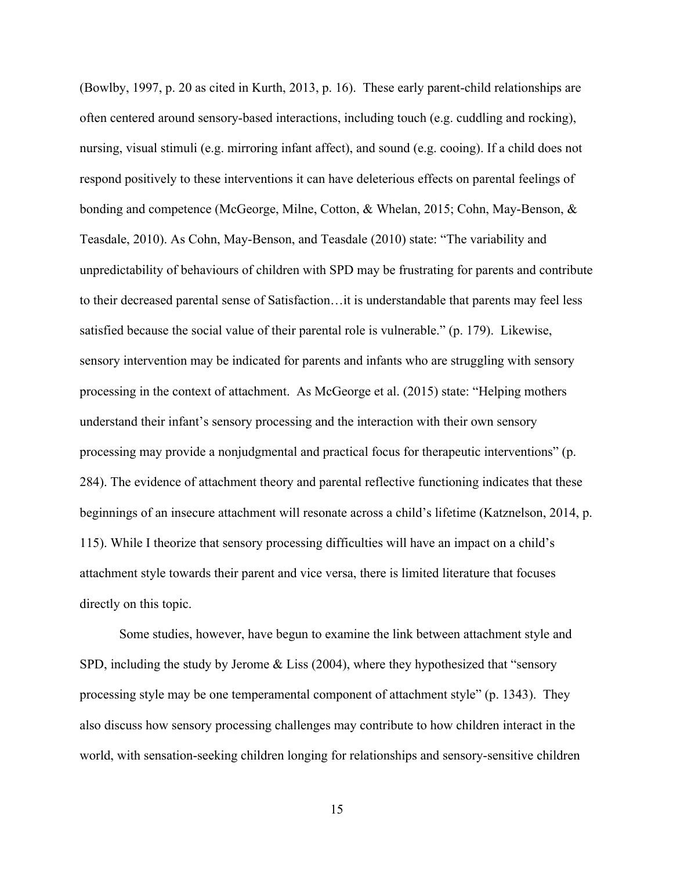(Bowlby, 1997, p. 20 as cited in Kurth, 2013, p. 16). These early parent-child relationships are often centered around sensory-based interactions, including touch (e.g. cuddling and rocking), nursing, visual stimuli (e.g. mirroring infant affect), and sound (e.g. cooing). If a child does not respond positively to these interventions it can have deleterious effects on parental feelings of bonding and competence (McGeorge, Milne, Cotton, & Whelan, 2015; Cohn, May-Benson, & Teasdale, 2010). As Cohn, May-Benson, and Teasdale (2010) state: "The variability and unpredictability of behaviours of children with SPD may be frustrating for parents and contribute to their decreased parental sense of Satisfaction…it is understandable that parents may feel less satisfied because the social value of their parental role is vulnerable." (p. 179). Likewise, sensory intervention may be indicated for parents and infants who are struggling with sensory processing in the context of attachment. As McGeorge et al. (2015) state: "Helping mothers understand their infant's sensory processing and the interaction with their own sensory processing may provide a nonjudgmental and practical focus for therapeutic interventions" (p. 284). The evidence of attachment theory and parental reflective functioning indicates that these beginnings of an insecure attachment will resonate across a child's lifetime (Katznelson, 2014, p. 115). While I theorize that sensory processing difficulties will have an impact on a child's attachment style towards their parent and vice versa, there is limited literature that focuses directly on this topic.

Some studies, however, have begun to examine the link between attachment style and SPD, including the study by Jerome & Liss (2004), where they hypothesized that "sensory processing style may be one temperamental component of attachment style" (p. 1343). They also discuss how sensory processing challenges may contribute to how children interact in the world, with sensation-seeking children longing for relationships and sensory-sensitive children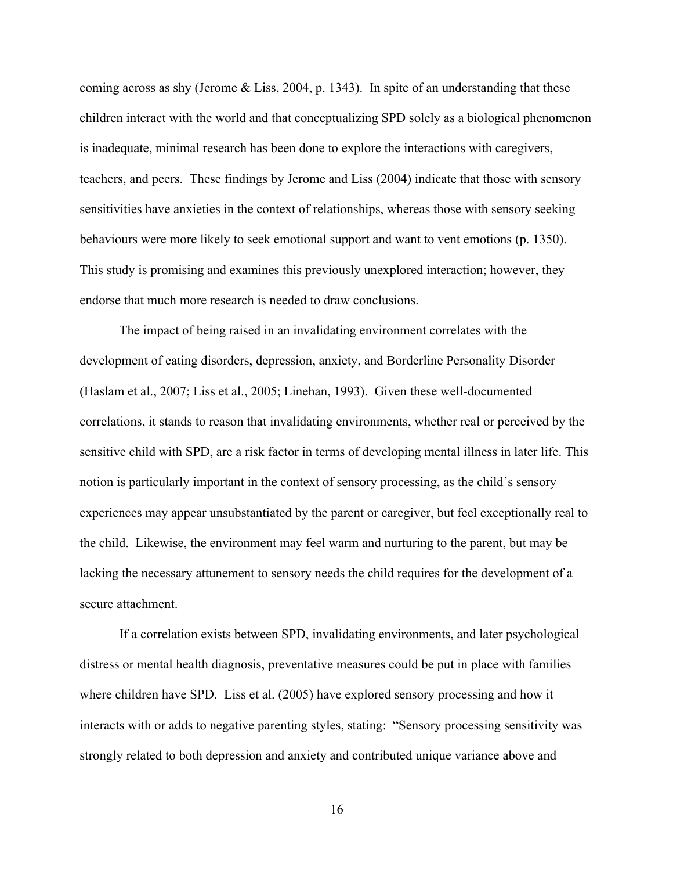coming across as shy (Jerome & Liss, 2004, p. 1343). In spite of an understanding that these children interact with the world and that conceptualizing SPD solely as a biological phenomenon is inadequate, minimal research has been done to explore the interactions with caregivers, teachers, and peers. These findings by Jerome and Liss (2004) indicate that those with sensory sensitivities have anxieties in the context of relationships, whereas those with sensory seeking behaviours were more likely to seek emotional support and want to vent emotions (p. 1350). This study is promising and examines this previously unexplored interaction; however, they endorse that much more research is needed to draw conclusions.

The impact of being raised in an invalidating environment correlates with the development of eating disorders, depression, anxiety, and Borderline Personality Disorder (Haslam et al., 2007; Liss et al., 2005; Linehan, 1993). Given these well-documented correlations, it stands to reason that invalidating environments, whether real or perceived by the sensitive child with SPD, are a risk factor in terms of developing mental illness in later life. This notion is particularly important in the context of sensory processing, as the child's sensory experiences may appear unsubstantiated by the parent or caregiver, but feel exceptionally real to the child. Likewise, the environment may feel warm and nurturing to the parent, but may be lacking the necessary attunement to sensory needs the child requires for the development of a secure attachment.

If a correlation exists between SPD, invalidating environments, and later psychological distress or mental health diagnosis, preventative measures could be put in place with families where children have SPD. Liss et al. (2005) have explored sensory processing and how it interacts with or adds to negative parenting styles, stating: "Sensory processing sensitivity was strongly related to both depression and anxiety and contributed unique variance above and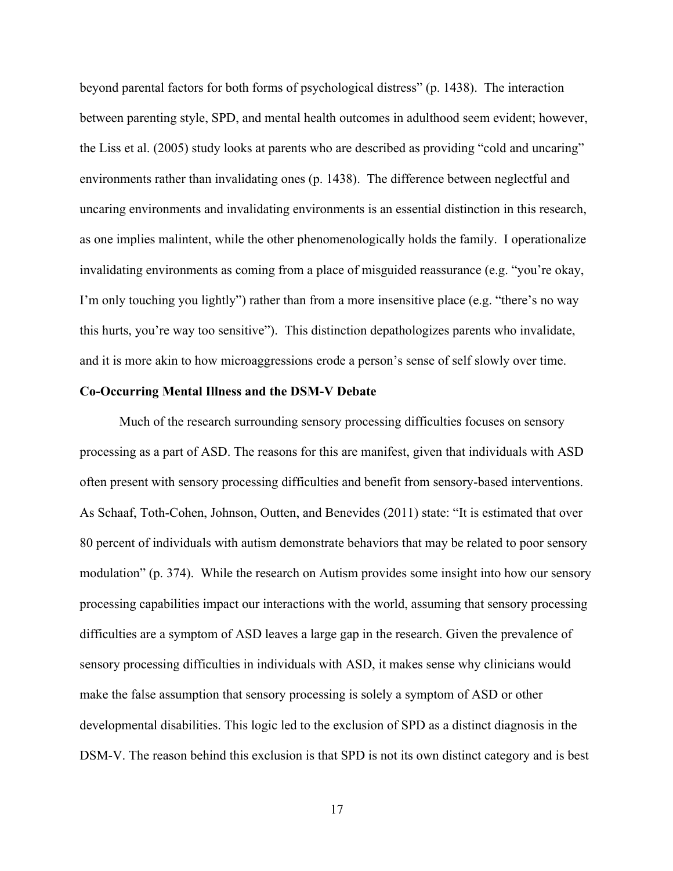beyond parental factors for both forms of psychological distress" (p. 1438). The interaction between parenting style, SPD, and mental health outcomes in adulthood seem evident; however, the Liss et al. (2005) study looks at parents who are described as providing "cold and uncaring" environments rather than invalidating ones (p. 1438). The difference between neglectful and uncaring environments and invalidating environments is an essential distinction in this research, as one implies malintent, while the other phenomenologically holds the family. I operationalize invalidating environments as coming from a place of misguided reassurance (e.g. "you're okay, I'm only touching you lightly") rather than from a more insensitive place (e.g. "there's no way this hurts, you're way too sensitive"). This distinction depathologizes parents who invalidate, and it is more akin to how microaggressions erode a person's sense of self slowly over time.

## **Co-Occurring Mental Illness and the DSM-V Debate**

Much of the research surrounding sensory processing difficulties focuses on sensory processing as a part of ASD. The reasons for this are manifest, given that individuals with ASD often present with sensory processing difficulties and benefit from sensory-based interventions. As Schaaf, Toth-Cohen, Johnson, Outten, and Benevides (2011) state: "It is estimated that over 80 percent of individuals with autism demonstrate behaviors that may be related to poor sensory modulation" (p. 374). While the research on Autism provides some insight into how our sensory processing capabilities impact our interactions with the world, assuming that sensory processing difficulties are a symptom of ASD leaves a large gap in the research. Given the prevalence of sensory processing difficulties in individuals with ASD, it makes sense why clinicians would make the false assumption that sensory processing is solely a symptom of ASD or other developmental disabilities. This logic led to the exclusion of SPD as a distinct diagnosis in the DSM-V. The reason behind this exclusion is that SPD is not its own distinct category and is best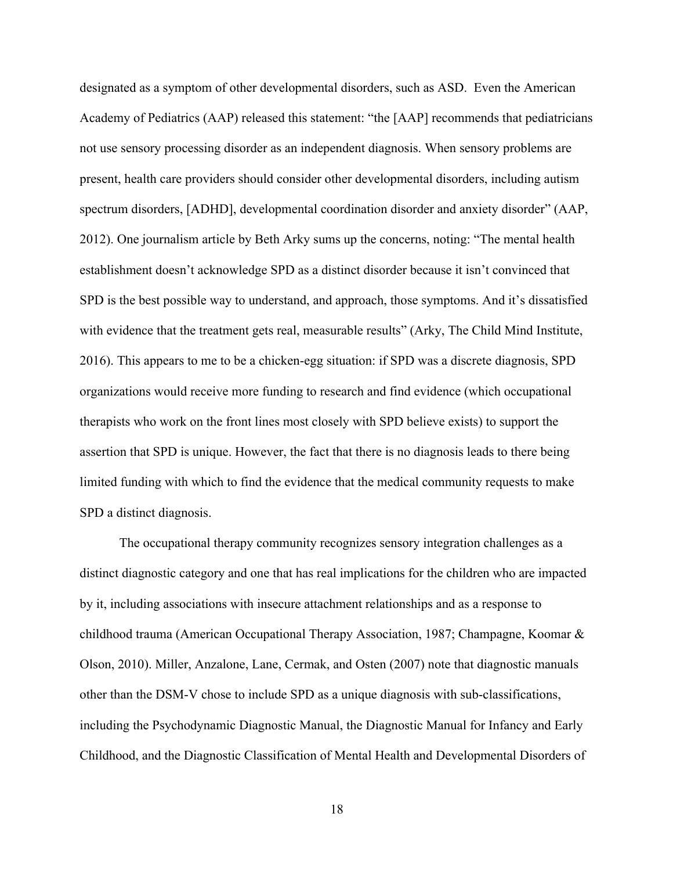designated as a symptom of other developmental disorders, such as ASD. Even the American Academy of Pediatrics (AAP) released this statement: "the [AAP] recommends that pediatricians not use sensory processing disorder as an independent diagnosis. When sensory problems are present, health care providers should consider other developmental disorders, including autism spectrum disorders, [ADHD], developmental coordination disorder and anxiety disorder" (AAP, 2012). One journalism article by Beth Arky sums up the concerns, noting: "The mental health establishment doesn't acknowledge SPD as a distinct disorder because it isn't convinced that SPD is the best possible way to understand, and approach, those symptoms. And it's dissatisfied with evidence that the treatment gets real, measurable results" (Arky, The Child Mind Institute, 2016). This appears to me to be a chicken-egg situation: if SPD was a discrete diagnosis, SPD organizations would receive more funding to research and find evidence (which occupational therapists who work on the front lines most closely with SPD believe exists) to support the assertion that SPD is unique. However, the fact that there is no diagnosis leads to there being limited funding with which to find the evidence that the medical community requests to make SPD a distinct diagnosis.

The occupational therapy community recognizes sensory integration challenges as a distinct diagnostic category and one that has real implications for the children who are impacted by it, including associations with insecure attachment relationships and as a response to childhood trauma (American Occupational Therapy Association, 1987; Champagne, Koomar & Olson, 2010). Miller, Anzalone, Lane, Cermak, and Osten (2007) note that diagnostic manuals other than the DSM-V chose to include SPD as a unique diagnosis with sub-classifications, including the Psychodynamic Diagnostic Manual, the Diagnostic Manual for Infancy and Early Childhood, and the Diagnostic Classification of Mental Health and Developmental Disorders of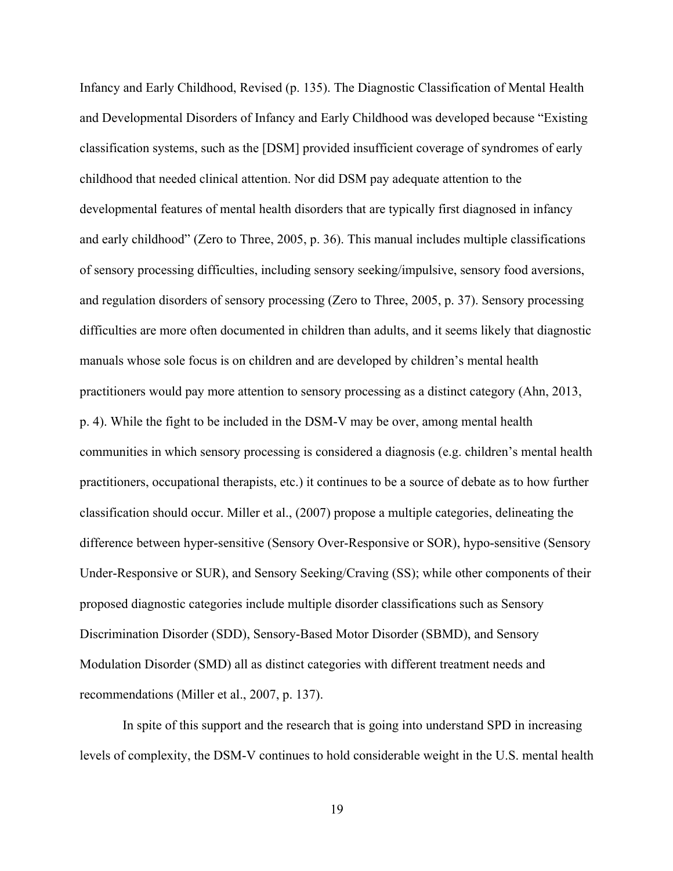Infancy and Early Childhood, Revised (p. 135). The Diagnostic Classification of Mental Health and Developmental Disorders of Infancy and Early Childhood was developed because "Existing classification systems, such as the [DSM] provided insufficient coverage of syndromes of early childhood that needed clinical attention. Nor did DSM pay adequate attention to the developmental features of mental health disorders that are typically first diagnosed in infancy and early childhood" (Zero to Three, 2005, p. 36). This manual includes multiple classifications of sensory processing difficulties, including sensory seeking/impulsive, sensory food aversions, and regulation disorders of sensory processing (Zero to Three, 2005, p. 37). Sensory processing difficulties are more often documented in children than adults, and it seems likely that diagnostic manuals whose sole focus is on children and are developed by children's mental health practitioners would pay more attention to sensory processing as a distinct category (Ahn, 2013, p. 4). While the fight to be included in the DSM-V may be over, among mental health communities in which sensory processing is considered a diagnosis (e.g. children's mental health practitioners, occupational therapists, etc.) it continues to be a source of debate as to how further classification should occur. Miller et al., (2007) propose a multiple categories, delineating the difference between hyper-sensitive (Sensory Over-Responsive or SOR), hypo-sensitive (Sensory Under-Responsive or SUR), and Sensory Seeking/Craving (SS); while other components of their proposed diagnostic categories include multiple disorder classifications such as Sensory Discrimination Disorder (SDD), Sensory-Based Motor Disorder (SBMD), and Sensory Modulation Disorder (SMD) all as distinct categories with different treatment needs and recommendations (Miller et al., 2007, p. 137).

In spite of this support and the research that is going into understand SPD in increasing levels of complexity, the DSM-V continues to hold considerable weight in the U.S. mental health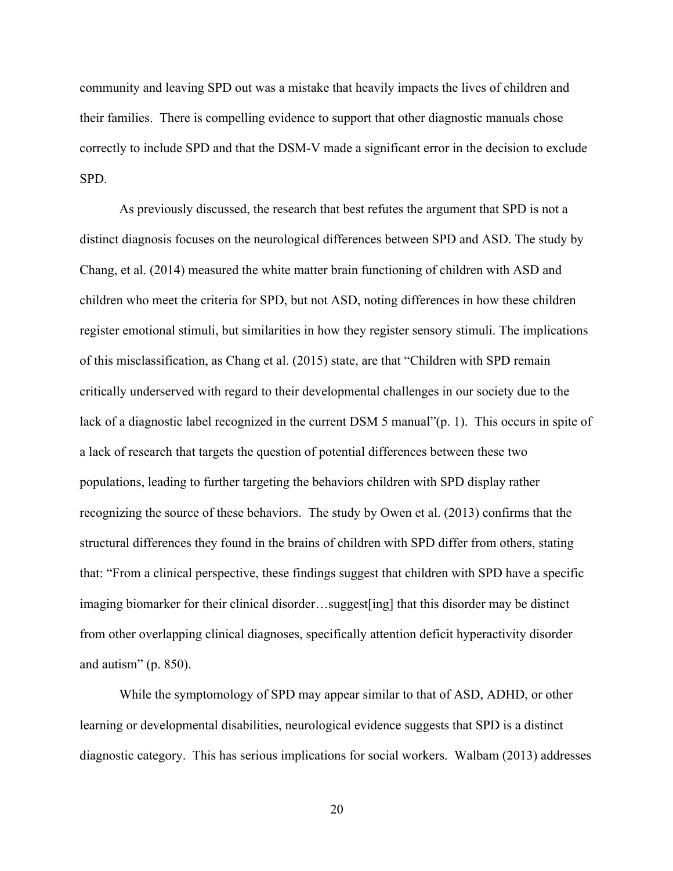community and leaving SPD out was a mistake that heavily impacts the lives of children and their families. There is compelling evidence to support that other diagnostic manuals chose correctly to include SPD and that the DSM-V made a significant error in the decision to exclude SPD.

As previously discussed, the research that best refutes the argument that SPD is not a distinct diagnosis focuses on the neurological differences between SPD and ASD. The study by Chang, et al. (2014) measured the white matter brain functioning of children with ASD and children who meet the criteria for SPD, but not ASD, noting differences in how these children register emotional stimuli, but similarities in how they register sensory stimuli. The implications of this misclassification, as Chang et al. (2015) state, are that "Children with SPD remain critically underserved with regard to their developmental challenges in our society due to the lack of a diagnostic label recognized in the current DSM 5 manual"(p. 1). This occurs in spite of a lack of research that targets the question of potential differences between these two populations, leading to further targeting the behaviors children with SPD display rather recognizing the source of these behaviors. The study by Owen et al. (2013) confirms that the structural differences they found in the brains of children with SPD differ from others, stating that: "From a clinical perspective, these findings suggest that children with SPD have a specific imaging biomarker for their clinical disorder…suggest[ing] that this disorder may be distinct from other overlapping clinical diagnoses, specifically attention deficit hyperactivity disorder and autism" (p. 850).

While the symptomology of SPD may appear similar to that of ASD, ADHD, or other learning or developmental disabilities, neurological evidence suggests that SPD is a distinct diagnostic category. This has serious implications for social workers. Walbam (2013) addresses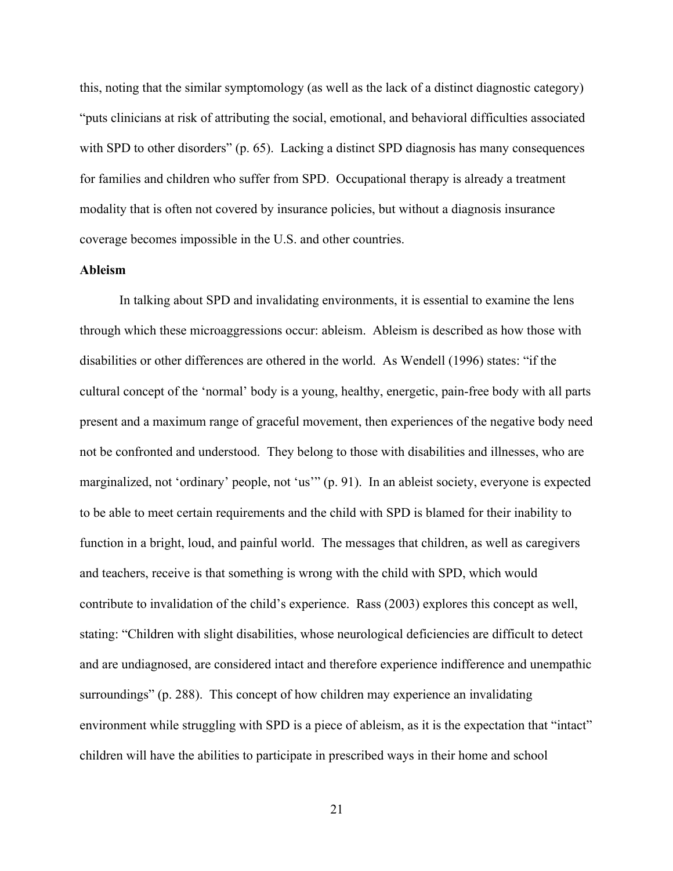this, noting that the similar symptomology (as well as the lack of a distinct diagnostic category) "puts clinicians at risk of attributing the social, emotional, and behavioral difficulties associated with SPD to other disorders" (p. 65). Lacking a distinct SPD diagnosis has many consequences for families and children who suffer from SPD. Occupational therapy is already a treatment modality that is often not covered by insurance policies, but without a diagnosis insurance coverage becomes impossible in the U.S. and other countries.

## **Ableism**

In talking about SPD and invalidating environments, it is essential to examine the lens through which these microaggressions occur: ableism. Ableism is described as how those with disabilities or other differences are othered in the world. As Wendell (1996) states: "if the cultural concept of the 'normal' body is a young, healthy, energetic, pain-free body with all parts present and a maximum range of graceful movement, then experiences of the negative body need not be confronted and understood. They belong to those with disabilities and illnesses, who are marginalized, not 'ordinary' people, not 'us'" (p. 91). In an ableist society, everyone is expected to be able to meet certain requirements and the child with SPD is blamed for their inability to function in a bright, loud, and painful world. The messages that children, as well as caregivers and teachers, receive is that something is wrong with the child with SPD, which would contribute to invalidation of the child's experience. Rass (2003) explores this concept as well, stating: "Children with slight disabilities, whose neurological deficiencies are difficult to detect and are undiagnosed, are considered intact and therefore experience indifference and unempathic surroundings" (p. 288). This concept of how children may experience an invalidating environment while struggling with SPD is a piece of ableism, as it is the expectation that "intact" children will have the abilities to participate in prescribed ways in their home and school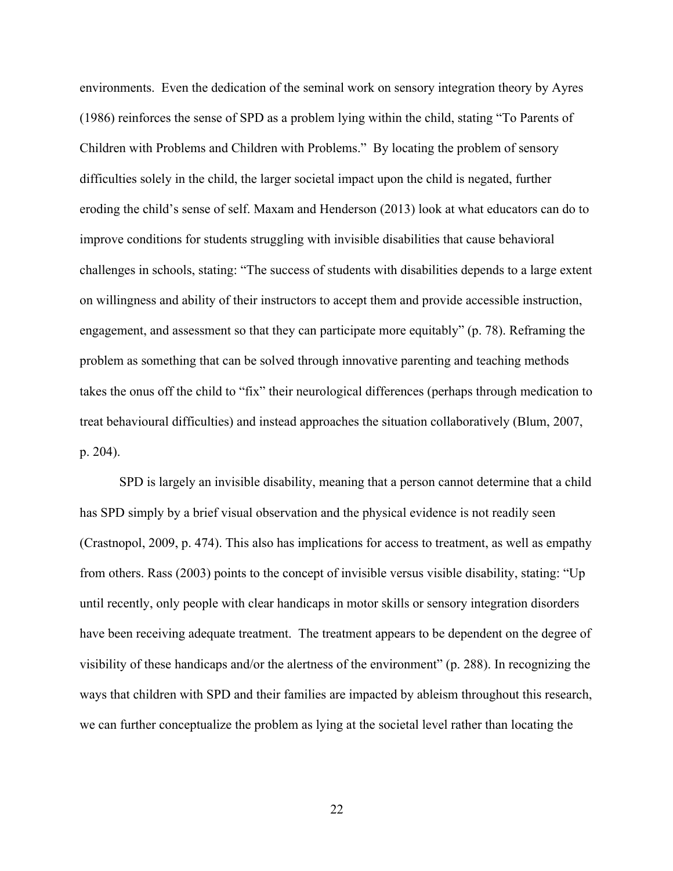environments. Even the dedication of the seminal work on sensory integration theory by Ayres (1986) reinforces the sense of SPD as a problem lying within the child, stating "To Parents of Children with Problems and Children with Problems." By locating the problem of sensory difficulties solely in the child, the larger societal impact upon the child is negated, further eroding the child's sense of self. Maxam and Henderson (2013) look at what educators can do to improve conditions for students struggling with invisible disabilities that cause behavioral challenges in schools, stating: "The success of students with disabilities depends to a large extent on willingness and ability of their instructors to accept them and provide accessible instruction, engagement, and assessment so that they can participate more equitably" (p. 78). Reframing the problem as something that can be solved through innovative parenting and teaching methods takes the onus off the child to "fix" their neurological differences (perhaps through medication to treat behavioural difficulties) and instead approaches the situation collaboratively (Blum, 2007, p. 204).

SPD is largely an invisible disability, meaning that a person cannot determine that a child has SPD simply by a brief visual observation and the physical evidence is not readily seen (Crastnopol, 2009, p. 474). This also has implications for access to treatment, as well as empathy from others. Rass (2003) points to the concept of invisible versus visible disability, stating: "Up until recently, only people with clear handicaps in motor skills or sensory integration disorders have been receiving adequate treatment. The treatment appears to be dependent on the degree of visibility of these handicaps and/or the alertness of the environment" (p. 288). In recognizing the ways that children with SPD and their families are impacted by ableism throughout this research, we can further conceptualize the problem as lying at the societal level rather than locating the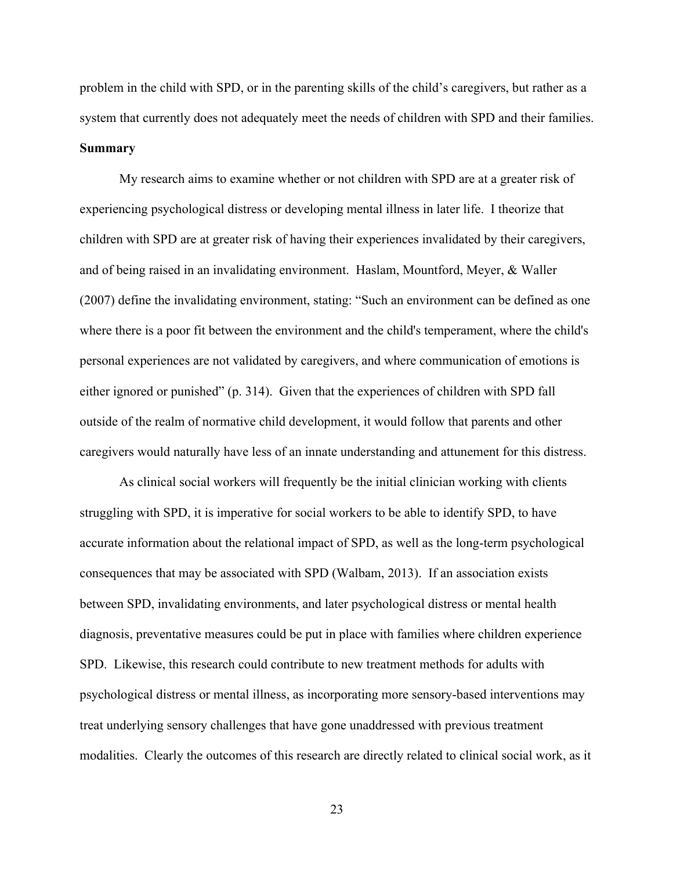problem in the child with SPD, or in the parenting skills of the child's caregivers, but rather as a system that currently does not adequately meet the needs of children with SPD and their families. **Summary**

My research aims to examine whether or not children with SPD are at a greater risk of experiencing psychological distress or developing mental illness in later life. I theorize that children with SPD are at greater risk of having their experiences invalidated by their caregivers, and of being raised in an invalidating environment. Haslam, Mountford, Meyer, & Waller (2007) define the invalidating environment, stating: "Such an environment can be defined as one where there is a poor fit between the environment and the child's temperament, where the child's personal experiences are not validated by caregivers, and where communication of emotions is either ignored or punished" (p. 314). Given that the experiences of children with SPD fall outside of the realm of normative child development, it would follow that parents and other caregivers would naturally have less of an innate understanding and attunement for this distress.

As clinical social workers will frequently be the initial clinician working with clients struggling with SPD, it is imperative for social workers to be able to identify SPD, to have accurate information about the relational impact of SPD, as well as the long-term psychological consequences that may be associated with SPD (Walbam, 2013). If an association exists between SPD, invalidating environments, and later psychological distress or mental health diagnosis, preventative measures could be put in place with families where children experience SPD. Likewise, this research could contribute to new treatment methods for adults with psychological distress or mental illness, as incorporating more sensory-based interventions may treat underlying sensory challenges that have gone unaddressed with previous treatment modalities. Clearly the outcomes of this research are directly related to clinical social work, as it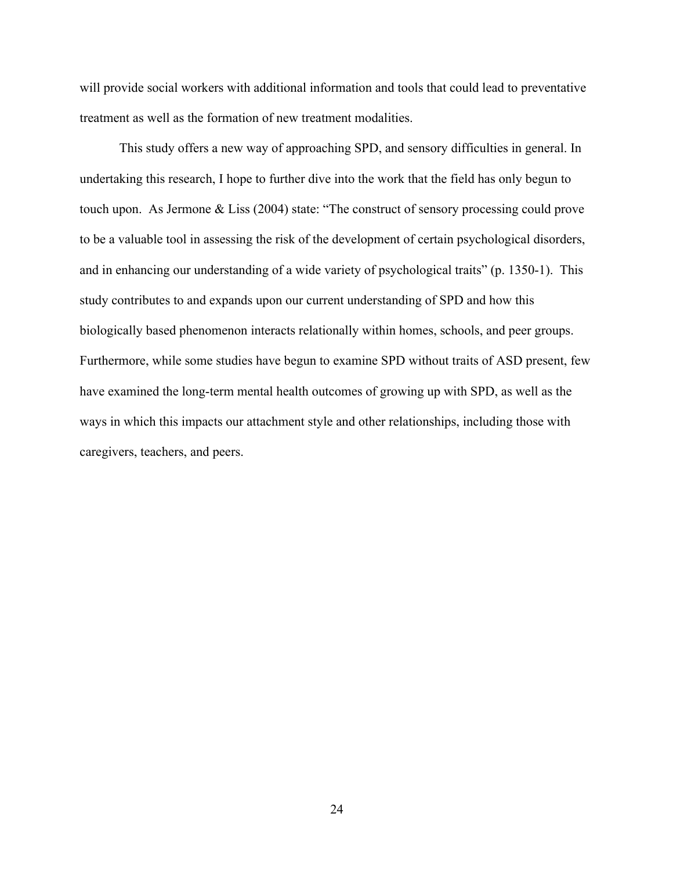will provide social workers with additional information and tools that could lead to preventative treatment as well as the formation of new treatment modalities.

This study offers a new way of approaching SPD, and sensory difficulties in general. In undertaking this research, I hope to further dive into the work that the field has only begun to touch upon. As Jermone & Liss (2004) state: "The construct of sensory processing could prove to be a valuable tool in assessing the risk of the development of certain psychological disorders, and in enhancing our understanding of a wide variety of psychological traits" (p. 1350-1). This study contributes to and expands upon our current understanding of SPD and how this biologically based phenomenon interacts relationally within homes, schools, and peer groups. Furthermore, while some studies have begun to examine SPD without traits of ASD present, few have examined the long-term mental health outcomes of growing up with SPD, as well as the ways in which this impacts our attachment style and other relationships, including those with caregivers, teachers, and peers.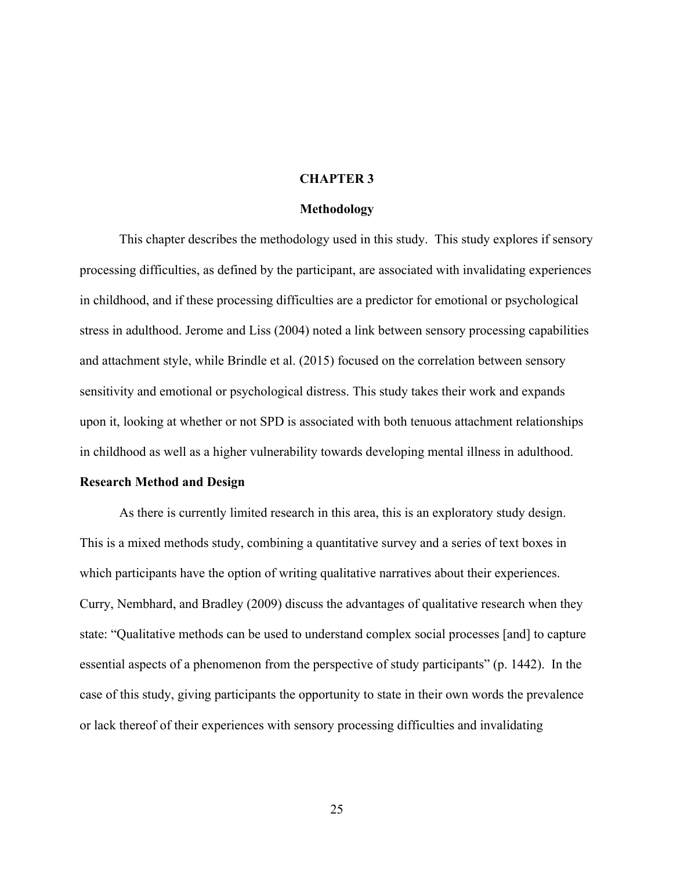## **CHAPTER 3**

#### **Methodology**

This chapter describes the methodology used in this study. This study explores if sensory processing difficulties, as defined by the participant, are associated with invalidating experiences in childhood, and if these processing difficulties are a predictor for emotional or psychological stress in adulthood. Jerome and Liss (2004) noted a link between sensory processing capabilities and attachment style, while Brindle et al. (2015) focused on the correlation between sensory sensitivity and emotional or psychological distress. This study takes their work and expands upon it, looking at whether or not SPD is associated with both tenuous attachment relationships in childhood as well as a higher vulnerability towards developing mental illness in adulthood.

#### **Research Method and Design**

As there is currently limited research in this area, this is an exploratory study design. This is a mixed methods study, combining a quantitative survey and a series of text boxes in which participants have the option of writing qualitative narratives about their experiences. Curry, Nembhard, and Bradley (2009) discuss the advantages of qualitative research when they state: "Qualitative methods can be used to understand complex social processes [and] to capture essential aspects of a phenomenon from the perspective of study participants" (p. 1442). In the case of this study, giving participants the opportunity to state in their own words the prevalence or lack thereof of their experiences with sensory processing difficulties and invalidating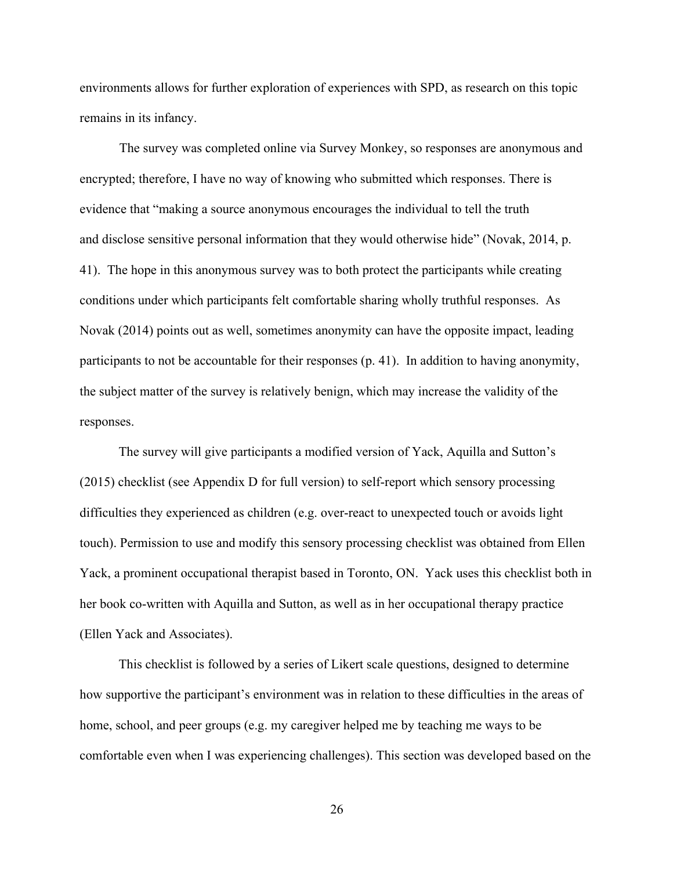environments allows for further exploration of experiences with SPD, as research on this topic remains in its infancy.

The survey was completed online via Survey Monkey, so responses are anonymous and encrypted; therefore, I have no way of knowing who submitted which responses. There is evidence that "making a source anonymous encourages the individual to tell the truth and disclose sensitive personal information that they would otherwise hide" (Novak, 2014, p. 41). The hope in this anonymous survey was to both protect the participants while creating conditions under which participants felt comfortable sharing wholly truthful responses. As Novak (2014) points out as well, sometimes anonymity can have the opposite impact, leading participants to not be accountable for their responses (p. 41). In addition to having anonymity, the subject matter of the survey is relatively benign, which may increase the validity of the responses.

The survey will give participants a modified version of Yack, Aquilla and Sutton's (2015) checklist (see Appendix D for full version) to self-report which sensory processing difficulties they experienced as children (e.g. over-react to unexpected touch or avoids light touch). Permission to use and modify this sensory processing checklist was obtained from Ellen Yack, a prominent occupational therapist based in Toronto, ON. Yack uses this checklist both in her book co-written with Aquilla and Sutton, as well as in her occupational therapy practice (Ellen Yack and Associates).

This checklist is followed by a series of Likert scale questions, designed to determine how supportive the participant's environment was in relation to these difficulties in the areas of home, school, and peer groups (e.g. my caregiver helped me by teaching me ways to be comfortable even when I was experiencing challenges). This section was developed based on the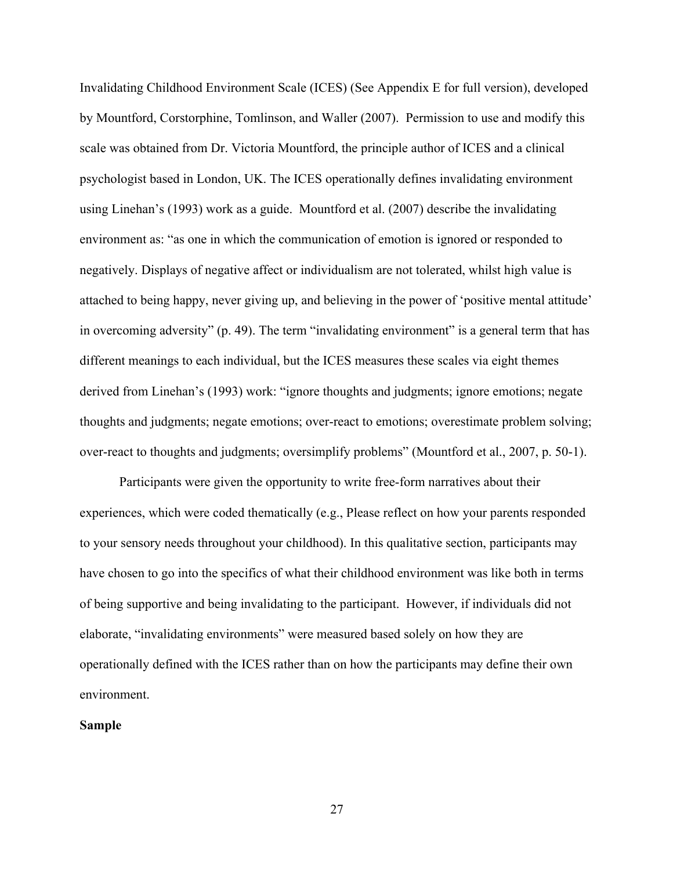Invalidating Childhood Environment Scale (ICES) (See Appendix E for full version), developed by Mountford, Corstorphine, Tomlinson, and Waller (2007). Permission to use and modify this scale was obtained from Dr. Victoria Mountford, the principle author of ICES and a clinical psychologist based in London, UK. The ICES operationally defines invalidating environment using Linehan's (1993) work as a guide. Mountford et al. (2007) describe the invalidating environment as: "as one in which the communication of emotion is ignored or responded to negatively. Displays of negative affect or individualism are not tolerated, whilst high value is attached to being happy, never giving up, and believing in the power of 'positive mental attitude' in overcoming adversity" (p. 49). The term "invalidating environment" is a general term that has different meanings to each individual, but the ICES measures these scales via eight themes derived from Linehan's (1993) work: "ignore thoughts and judgments; ignore emotions; negate thoughts and judgments; negate emotions; over-react to emotions; overestimate problem solving; over-react to thoughts and judgments; oversimplify problems" (Mountford et al., 2007, p. 50-1).

Participants were given the opportunity to write free-form narratives about their experiences, which were coded thematically (e.g., Please reflect on how your parents responded to your sensory needs throughout your childhood). In this qualitative section, participants may have chosen to go into the specifics of what their childhood environment was like both in terms of being supportive and being invalidating to the participant. However, if individuals did not elaborate, "invalidating environments" were measured based solely on how they are operationally defined with the ICES rather than on how the participants may define their own environment.

# **Sample**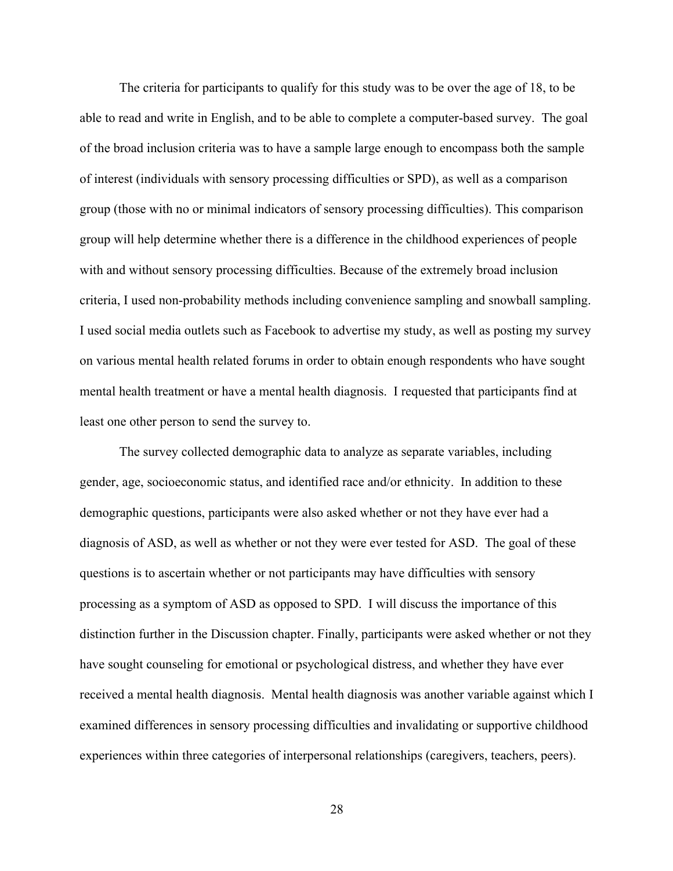The criteria for participants to qualify for this study was to be over the age of 18, to be able to read and write in English, and to be able to complete a computer-based survey. The goal of the broad inclusion criteria was to have a sample large enough to encompass both the sample of interest (individuals with sensory processing difficulties or SPD), as well as a comparison group (those with no or minimal indicators of sensory processing difficulties). This comparison group will help determine whether there is a difference in the childhood experiences of people with and without sensory processing difficulties. Because of the extremely broad inclusion criteria, I used non-probability methods including convenience sampling and snowball sampling. I used social media outlets such as Facebook to advertise my study, as well as posting my survey on various mental health related forums in order to obtain enough respondents who have sought mental health treatment or have a mental health diagnosis. I requested that participants find at least one other person to send the survey to.

The survey collected demographic data to analyze as separate variables, including gender, age, socioeconomic status, and identified race and/or ethnicity. In addition to these demographic questions, participants were also asked whether or not they have ever had a diagnosis of ASD, as well as whether or not they were ever tested for ASD. The goal of these questions is to ascertain whether or not participants may have difficulties with sensory processing as a symptom of ASD as opposed to SPD. I will discuss the importance of this distinction further in the Discussion chapter. Finally, participants were asked whether or not they have sought counseling for emotional or psychological distress, and whether they have ever received a mental health diagnosis. Mental health diagnosis was another variable against which I examined differences in sensory processing difficulties and invalidating or supportive childhood experiences within three categories of interpersonal relationships (caregivers, teachers, peers).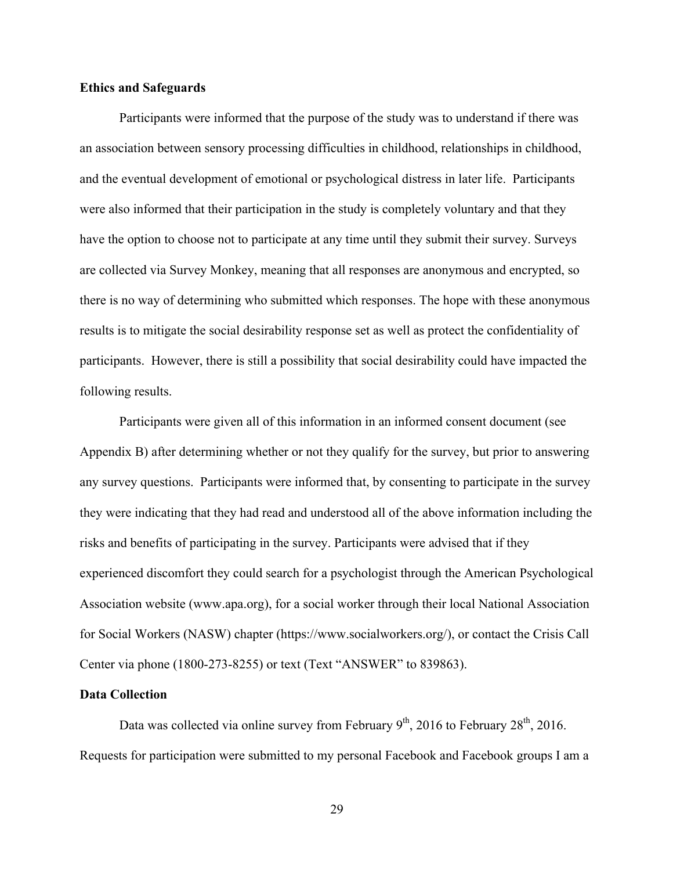## **Ethics and Safeguards**

Participants were informed that the purpose of the study was to understand if there was an association between sensory processing difficulties in childhood, relationships in childhood, and the eventual development of emotional or psychological distress in later life. Participants were also informed that their participation in the study is completely voluntary and that they have the option to choose not to participate at any time until they submit their survey. Surveys are collected via Survey Monkey, meaning that all responses are anonymous and encrypted, so there is no way of determining who submitted which responses. The hope with these anonymous results is to mitigate the social desirability response set as well as protect the confidentiality of participants. However, there is still a possibility that social desirability could have impacted the following results.

Participants were given all of this information in an informed consent document (see Appendix B) after determining whether or not they qualify for the survey, but prior to answering any survey questions. Participants were informed that, by consenting to participate in the survey they were indicating that they had read and understood all of the above information including the risks and benefits of participating in the survey. Participants were advised that if they experienced discomfort they could search for a psychologist through the American Psychological Association website (www.apa.org), for a social worker through their local National Association for Social Workers (NASW) chapter (https://www.socialworkers.org/), or contact the Crisis Call Center via phone (1800-273-8255) or text (Text "ANSWER" to 839863).

## **Data Collection**

Data was collected via online survey from February  $9<sup>th</sup>$ , 2016 to February 28<sup>th</sup>, 2016. Requests for participation were submitted to my personal Facebook and Facebook groups I am a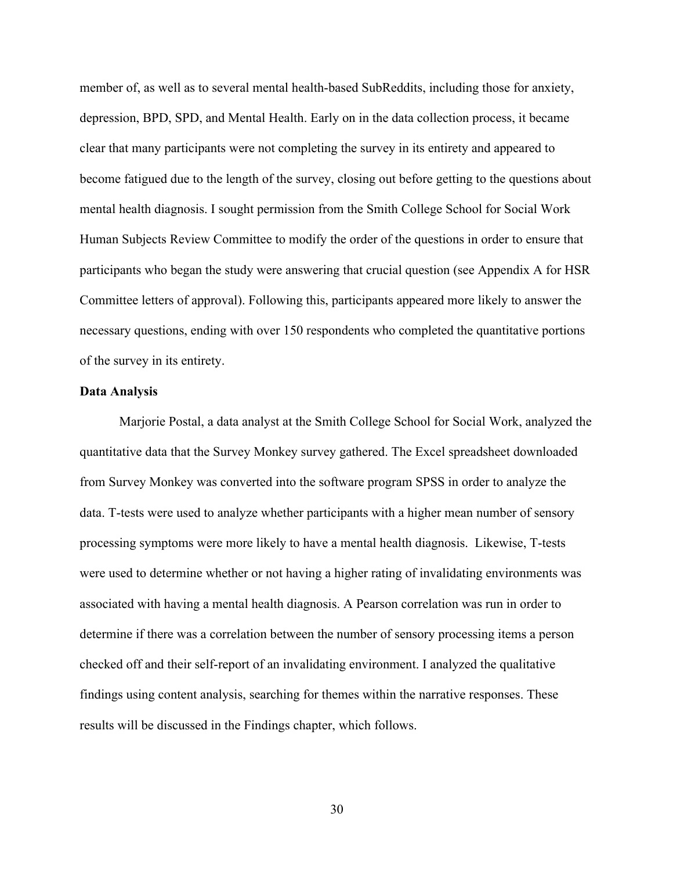member of, as well as to several mental health-based SubReddits, including those for anxiety, depression, BPD, SPD, and Mental Health. Early on in the data collection process, it became clear that many participants were not completing the survey in its entirety and appeared to become fatigued due to the length of the survey, closing out before getting to the questions about mental health diagnosis. I sought permission from the Smith College School for Social Work Human Subjects Review Committee to modify the order of the questions in order to ensure that participants who began the study were answering that crucial question (see Appendix A for HSR Committee letters of approval). Following this, participants appeared more likely to answer the necessary questions, ending with over 150 respondents who completed the quantitative portions of the survey in its entirety.

### **Data Analysis**

Marjorie Postal, a data analyst at the Smith College School for Social Work, analyzed the quantitative data that the Survey Monkey survey gathered. The Excel spreadsheet downloaded from Survey Monkey was converted into the software program SPSS in order to analyze the data. T-tests were used to analyze whether participants with a higher mean number of sensory processing symptoms were more likely to have a mental health diagnosis. Likewise, T-tests were used to determine whether or not having a higher rating of invalidating environments was associated with having a mental health diagnosis. A Pearson correlation was run in order to determine if there was a correlation between the number of sensory processing items a person checked off and their self-report of an invalidating environment. I analyzed the qualitative findings using content analysis, searching for themes within the narrative responses. These results will be discussed in the Findings chapter, which follows.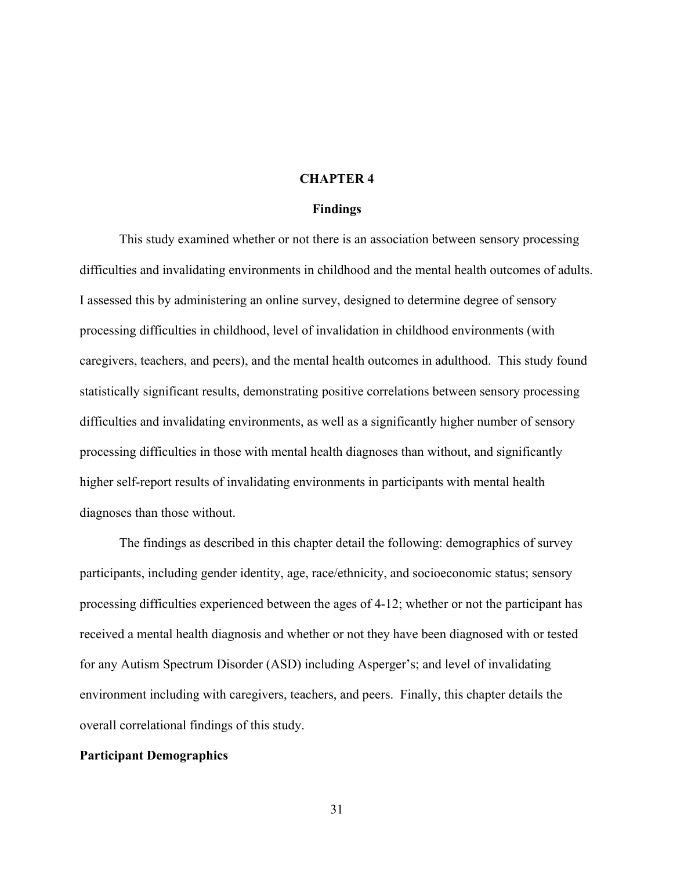## **CHAPTER 4**

#### **Findings**

This study examined whether or not there is an association between sensory processing difficulties and invalidating environments in childhood and the mental health outcomes of adults. I assessed this by administering an online survey, designed to determine degree of sensory processing difficulties in childhood, level of invalidation in childhood environments (with caregivers, teachers, and peers), and the mental health outcomes in adulthood. This study found statistically significant results, demonstrating positive correlations between sensory processing difficulties and invalidating environments, as well as a significantly higher number of sensory processing difficulties in those with mental health diagnoses than without, and significantly higher self-report results of invalidating environments in participants with mental health diagnoses than those without.

The findings as described in this chapter detail the following: demographics of survey participants, including gender identity, age, race/ethnicity, and socioeconomic status; sensory processing difficulties experienced between the ages of 4-12; whether or not the participant has received a mental health diagnosis and whether or not they have been diagnosed with or tested for any Autism Spectrum Disorder (ASD) including Asperger's; and level of invalidating environment including with caregivers, teachers, and peers. Finally, this chapter details the overall correlational findings of this study.

## **Participant Demographics**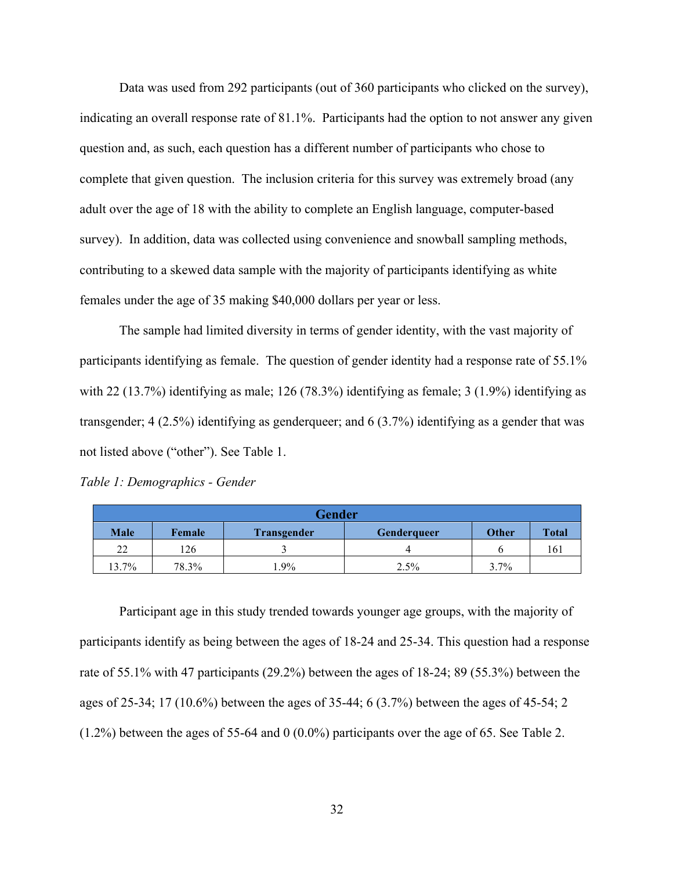Data was used from 292 participants (out of 360 participants who clicked on the survey), indicating an overall response rate of 81.1%. Participants had the option to not answer any given question and, as such, each question has a different number of participants who chose to complete that given question. The inclusion criteria for this survey was extremely broad (any adult over the age of 18 with the ability to complete an English language, computer-based survey). In addition, data was collected using convenience and snowball sampling methods, contributing to a skewed data sample with the majority of participants identifying as white females under the age of 35 making \$40,000 dollars per year or less.

The sample had limited diversity in terms of gender identity, with the vast majority of participants identifying as female. The question of gender identity had a response rate of 55.1% with 22 (13.7%) identifying as male; 126 (78.3%) identifying as female; 3 (1.9%) identifying as transgender; 4 (2.5%) identifying as genderqueer; and 6 (3.7%) identifying as a gender that was not listed above ("other"). See Table 1.

| Table 1: Demographics - Gender |
|--------------------------------|
|--------------------------------|

|             | <b>Gender</b> |                    |                    |              |              |  |  |  |  |
|-------------|---------------|--------------------|--------------------|--------------|--------------|--|--|--|--|
| <b>Male</b> | <b>Female</b> | <b>Transgender</b> | <b>Genderqueer</b> | <b>Other</b> | <b>Total</b> |  |  |  |  |
| 22          | 26            |                    | 4                  |              | 161          |  |  |  |  |
| 13.7%       | 78.3%         | 9%                 | 2.5%               | $3.7\%$      |              |  |  |  |  |

Participant age in this study trended towards younger age groups, with the majority of participants identify as being between the ages of 18-24 and 25-34. This question had a response rate of 55.1% with 47 participants (29.2%) between the ages of 18-24; 89 (55.3%) between the ages of 25-34; 17 (10.6%) between the ages of 35-44; 6 (3.7%) between the ages of 45-54; 2 (1.2%) between the ages of 55-64 and 0 (0.0%) participants over the age of 65. See Table 2.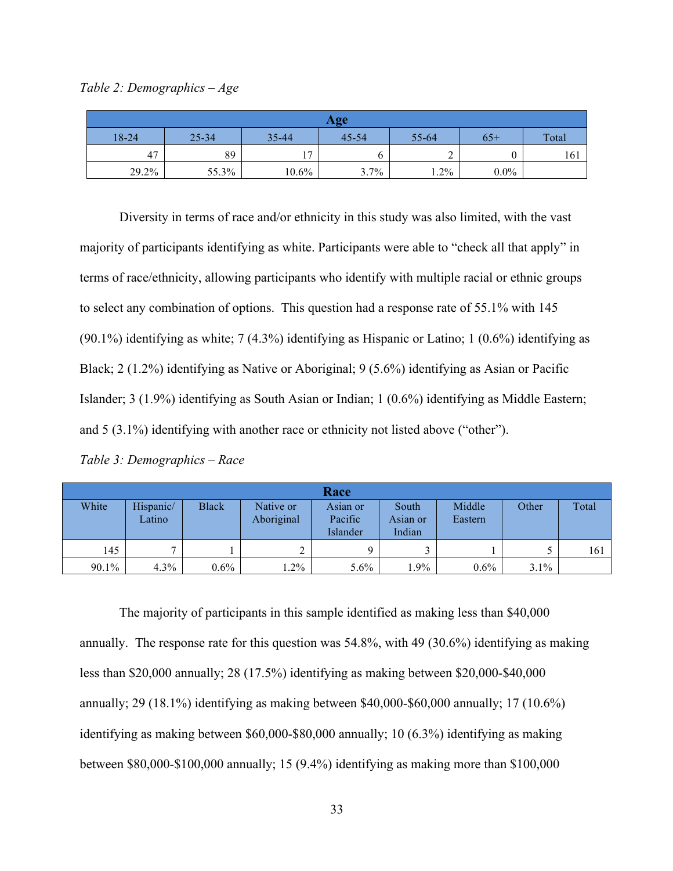| Table 2: Demographics - Age |  |  |  |  |
|-----------------------------|--|--|--|--|
|-----------------------------|--|--|--|--|

| <b>Age</b> |           |                          |           |         |         |       |  |  |  |
|------------|-----------|--------------------------|-----------|---------|---------|-------|--|--|--|
| 18-24      | $25 - 34$ | 35-44                    | $45 - 54$ | 55-64   | $65+$   | Total |  |  |  |
| 47         | 89        | $\overline{\phantom{0}}$ | 6         | ⌒<br>∸  |         | 161   |  |  |  |
| 29.2%      | 55.3%     | 10.6%                    | 3.7%      | $1.2\%$ | $0.0\%$ |       |  |  |  |

Diversity in terms of race and/or ethnicity in this study was also limited, with the vast majority of participants identifying as white. Participants were able to "check all that apply" in terms of race/ethnicity, allowing participants who identify with multiple racial or ethnic groups to select any combination of options. This question had a response rate of 55.1% with 145 (90.1%) identifying as white; 7 (4.3%) identifying as Hispanic or Latino; 1 (0.6%) identifying as Black; 2 (1.2%) identifying as Native or Aboriginal; 9 (5.6%) identifying as Asian or Pacific Islander; 3 (1.9%) identifying as South Asian or Indian; 1 (0.6%) identifying as Middle Eastern; and 5 (3.1%) identifying with another race or ethnicity not listed above ("other").

*Table 3: Demographics – Race*

|       |                     |              |                         | Race                            |                             |                   |       |       |
|-------|---------------------|--------------|-------------------------|---------------------------------|-----------------------------|-------------------|-------|-------|
| White | Hispanic/<br>Latino | <b>Black</b> | Native or<br>Aboriginal | Asian or<br>Pacific<br>Islander | South<br>Asian or<br>Indian | Middle<br>Eastern | Other | Total |
| 145   | $\overline{ }$      |              |                         | a                               |                             |                   |       | 161   |
| 90.1% | 4.3%                | $0.6\%$      | $.2\%$                  | 5.6%                            | 1.9%                        | $0.6\%$           | 3.1%  |       |

The majority of participants in this sample identified as making less than \$40,000 annually. The response rate for this question was 54.8%, with 49 (30.6%) identifying as making less than \$20,000 annually; 28 (17.5%) identifying as making between \$20,000-\$40,000 annually; 29 (18.1%) identifying as making between \$40,000-\$60,000 annually; 17 (10.6%) identifying as making between \$60,000-\$80,000 annually; 10 (6.3%) identifying as making between \$80,000-\$100,000 annually; 15 (9.4%) identifying as making more than \$100,000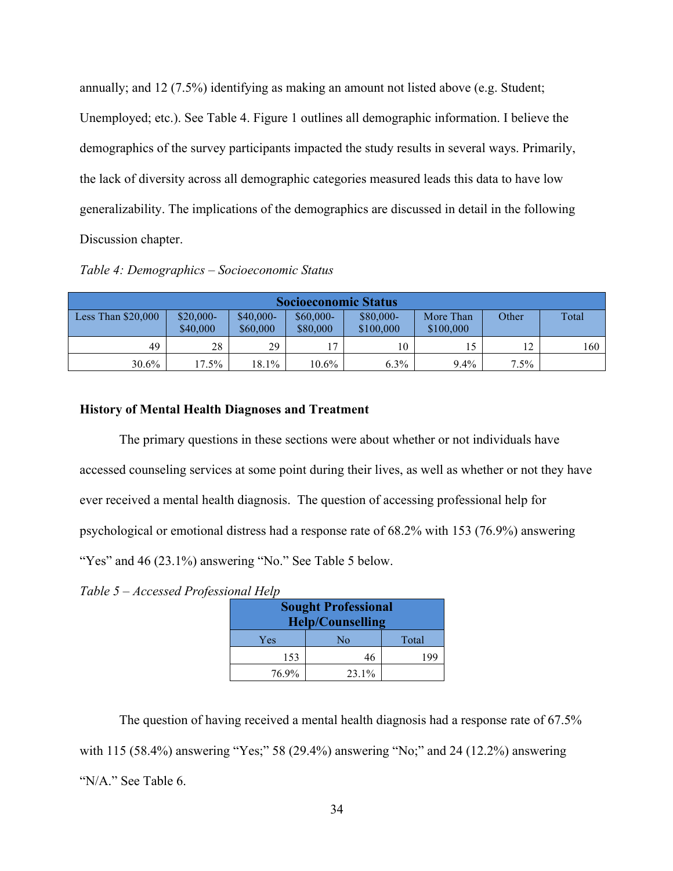annually; and 12 (7.5%) identifying as making an amount not listed above (e.g. Student; Unemployed; etc.). See Table 4. Figure 1 outlines all demographic information. I believe the demographics of the survey participants impacted the study results in several ways. Primarily, the lack of diversity across all demographic categories measured leads this data to have low generalizability. The implications of the demographics are discussed in detail in the following Discussion chapter.

*Table 4: Demographics – Socioeconomic Status*

| <b>Socioeconomic Status</b> |                      |                        |                        |                        |                        |         |       |  |  |
|-----------------------------|----------------------|------------------------|------------------------|------------------------|------------------------|---------|-------|--|--|
| Less Than \$20,000          | \$20,000<br>\$40,000 | $$40,000-$<br>\$60,000 | $$60,000-$<br>\$80,000 | \$80,000-<br>\$100,000 | More Than<br>\$100,000 | Other   | Total |  |  |
| 49                          | 28                   | 29                     |                        | 10                     | 15                     | 12      | 160   |  |  |
| $30.6\%$                    | $17.5\%$             | 18.1%                  | $10.6\%$               | $6.3\%$                | $9.4\%$                | $7.5\%$ |       |  |  |

## **History of Mental Health Diagnoses and Treatment**

The primary questions in these sections were about whether or not individuals have accessed counseling services at some point during their lives, as well as whether or not they have ever received a mental health diagnosis. The question of accessing professional help for psychological or emotional distress had a response rate of 68.2% with 153 (76.9%) answering "Yes" and 46 (23.1%) answering "No." See Table 5 below.

*Table 5 – Accessed Professional Help*

| <b>Sought Professional</b><br><b>Help/Counselling</b> |       |       |  |  |  |  |  |
|-------------------------------------------------------|-------|-------|--|--|--|--|--|
| Yes                                                   | No    | Total |  |  |  |  |  |
| 153                                                   | 46    | 199   |  |  |  |  |  |
| 76.9%                                                 | 23.1% |       |  |  |  |  |  |

The question of having received a mental health diagnosis had a response rate of 67.5% with 115 (58.4%) answering "Yes;" 58 (29.4%) answering "No;" and 24 (12.2%) answering "N/A." See Table 6.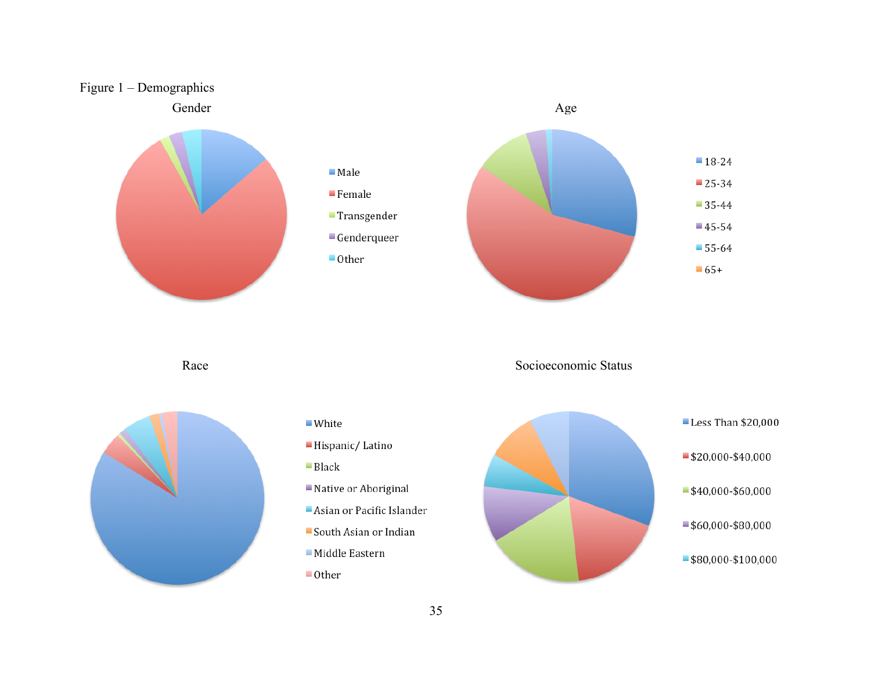





- -Hispanic/Latino
- **Black**
- Native or Aboriginal
- Asian or Pacific Islander
- South Asian or Indian
- **Middle Eastern**
- Other

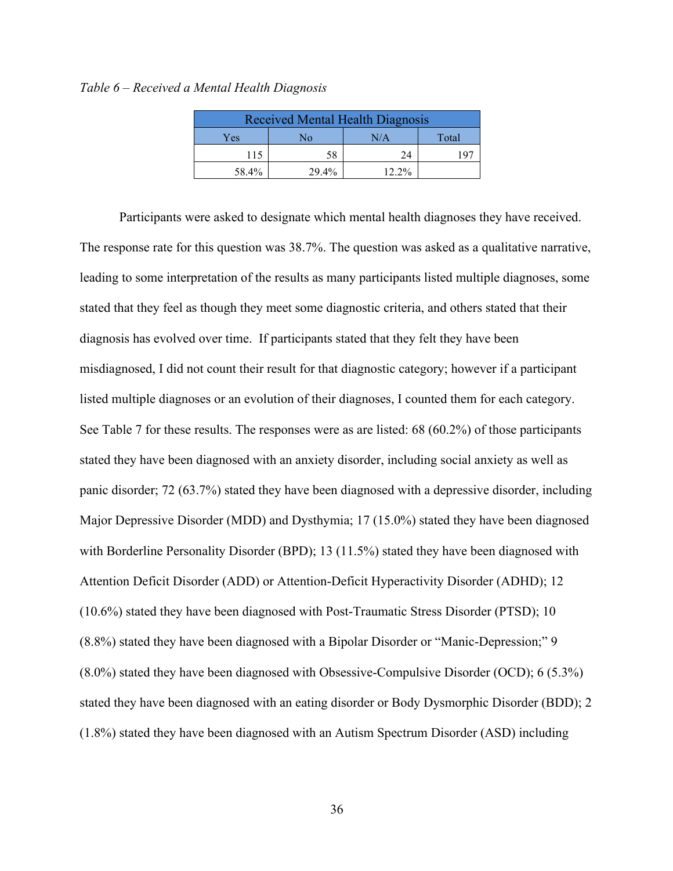| <b>Received Mental Health Diagnosis</b> |       |       |       |  |  |  |  |  |
|-----------------------------------------|-------|-------|-------|--|--|--|--|--|
| Yes                                     | No    | N/A   | Total |  |  |  |  |  |
| 115                                     | 58    | 24    | 1 Q.  |  |  |  |  |  |
| 58.4%                                   | 29.4% | 12.2% |       |  |  |  |  |  |

## *Table 6 – Received a Mental Health Diagnosis*

Participants were asked to designate which mental health diagnoses they have received. The response rate for this question was 38.7%. The question was asked as a qualitative narrative, leading to some interpretation of the results as many participants listed multiple diagnoses, some stated that they feel as though they meet some diagnostic criteria, and others stated that their diagnosis has evolved over time. If participants stated that they felt they have been misdiagnosed, I did not count their result for that diagnostic category; however if a participant listed multiple diagnoses or an evolution of their diagnoses, I counted them for each category. See Table 7 for these results. The responses were as are listed: 68 (60.2%) of those participants stated they have been diagnosed with an anxiety disorder, including social anxiety as well as panic disorder; 72 (63.7%) stated they have been diagnosed with a depressive disorder, including Major Depressive Disorder (MDD) and Dysthymia; 17 (15.0%) stated they have been diagnosed with Borderline Personality Disorder (BPD); 13 (11.5%) stated they have been diagnosed with Attention Deficit Disorder (ADD) or Attention-Deficit Hyperactivity Disorder (ADHD); 12 (10.6%) stated they have been diagnosed with Post-Traumatic Stress Disorder (PTSD); 10 (8.8%) stated they have been diagnosed with a Bipolar Disorder or "Manic-Depression;" 9 (8.0%) stated they have been diagnosed with Obsessive-Compulsive Disorder (OCD); 6 (5.3%) stated they have been diagnosed with an eating disorder or Body Dysmorphic Disorder (BDD); 2 (1.8%) stated they have been diagnosed with an Autism Spectrum Disorder (ASD) including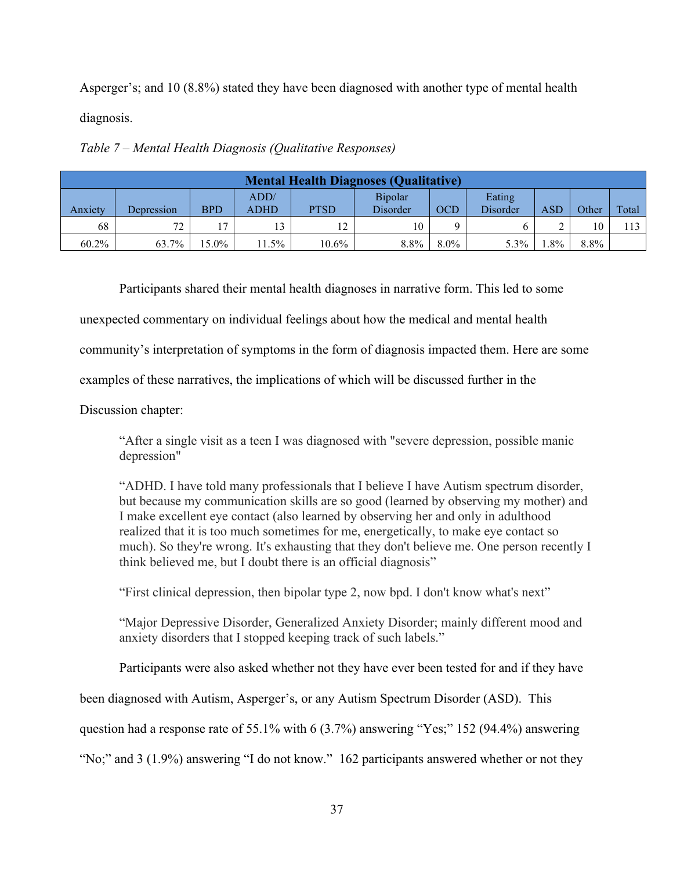Asperger's; and 10 (8.8%) stated they have been diagnosed with another type of mental health diagnosis.

| <b>Mental Health Diagnoses (Qualitative)</b> |            |                |              |             |                            |            |                    |                |         |        |
|----------------------------------------------|------------|----------------|--------------|-------------|----------------------------|------------|--------------------|----------------|---------|--------|
| Anxiety                                      | Depression | <b>BPD</b>     | ADD/<br>ADHD | <b>PTSD</b> | <b>Bipolar</b><br>Disorder | <b>OCD</b> | Eating<br>Disorder | $\mathbf{ASD}$ | Other   | Total  |
| 68                                           | 72         | $\overline{ }$ | 13           | 12          | 10                         |            |                    |                | 10      | $13-1$ |
| $60.2\%$                                     | 63.7%      | $5.0\%$        | $11.5\%$     | $10.6\%$    | 8.8%                       | $8.0\%$    | 5.3%               | $.8\%$         | $8.8\%$ |        |

# *Table 7 – Mental Health Diagnosis (Qualitative Responses)*

Participants shared their mental health diagnoses in narrative form. This led to some

unexpected commentary on individual feelings about how the medical and mental health

community's interpretation of symptoms in the form of diagnosis impacted them. Here are some

examples of these narratives, the implications of which will be discussed further in the

Discussion chapter:

"After a single visit as a teen I was diagnosed with "severe depression, possible manic depression"

"ADHD. I have told many professionals that I believe I have Autism spectrum disorder, but because my communication skills are so good (learned by observing my mother) and I make excellent eye contact (also learned by observing her and only in adulthood realized that it is too much sometimes for me, energetically, to make eye contact so much). So they're wrong. It's exhausting that they don't believe me. One person recently I think believed me, but I doubt there is an official diagnosis"

"First clinical depression, then bipolar type 2, now bpd. I don't know what's next"

"Major Depressive Disorder, Generalized Anxiety Disorder; mainly different mood and anxiety disorders that I stopped keeping track of such labels."

Participants were also asked whether not they have ever been tested for and if they have

been diagnosed with Autism, Asperger's, or any Autism Spectrum Disorder (ASD). This

question had a response rate of 55.1% with 6 (3.7%) answering "Yes;" 152 (94.4%) answering

"No;" and 3 (1.9%) answering "I do not know." 162 participants answered whether or not they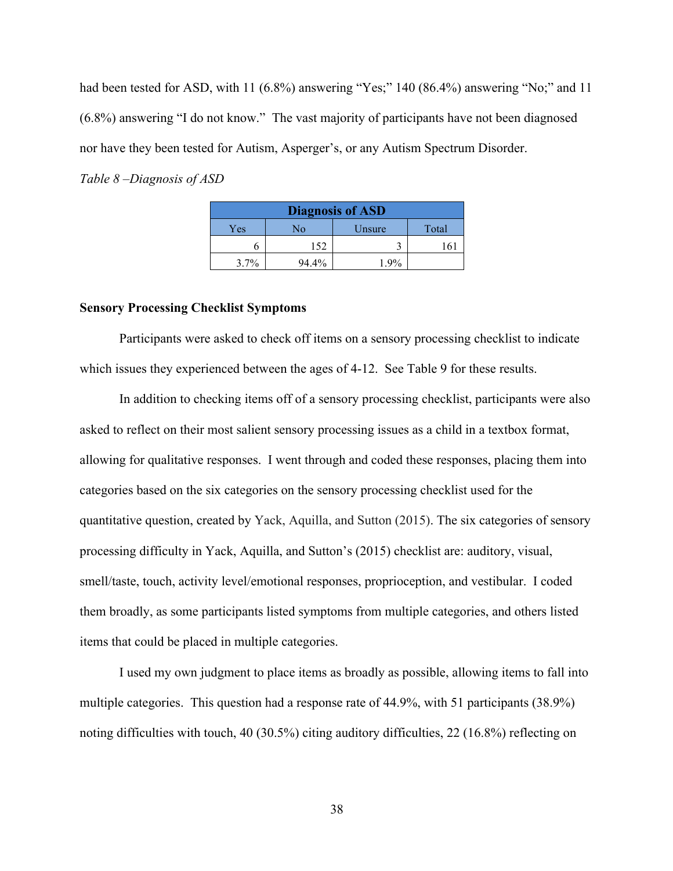had been tested for ASD, with 11 (6.8%) answering "Yes;" 140 (86.4%) answering "No;" and 11 (6.8%) answering "I do not know." The vast majority of participants have not been diagnosed nor have they been tested for Autism, Asperger's, or any Autism Spectrum Disorder. *Table 8 –Diagnosis of ASD*

| <b>Diagnosis of ASD</b> |       |         |       |  |  |  |  |  |
|-------------------------|-------|---------|-------|--|--|--|--|--|
| Yes                     | No    | Unsure  | Total |  |  |  |  |  |
| n                       | 152   |         | 16    |  |  |  |  |  |
| $3.7\%$                 | 94.4% | $1.9\%$ |       |  |  |  |  |  |

## **Sensory Processing Checklist Symptoms**

Participants were asked to check off items on a sensory processing checklist to indicate which issues they experienced between the ages of 4-12. See Table 9 for these results.

In addition to checking items off of a sensory processing checklist, participants were also asked to reflect on their most salient sensory processing issues as a child in a textbox format, allowing for qualitative responses. I went through and coded these responses, placing them into categories based on the six categories on the sensory processing checklist used for the quantitative question, created by Yack, Aquilla, and Sutton (2015). The six categories of sensory processing difficulty in Yack, Aquilla, and Sutton's (2015) checklist are: auditory, visual, smell/taste, touch, activity level/emotional responses, proprioception, and vestibular. I coded them broadly, as some participants listed symptoms from multiple categories, and others listed items that could be placed in multiple categories.

I used my own judgment to place items as broadly as possible, allowing items to fall into multiple categories. This question had a response rate of 44.9%, with 51 participants (38.9%) noting difficulties with touch, 40 (30.5%) citing auditory difficulties, 22 (16.8%) reflecting on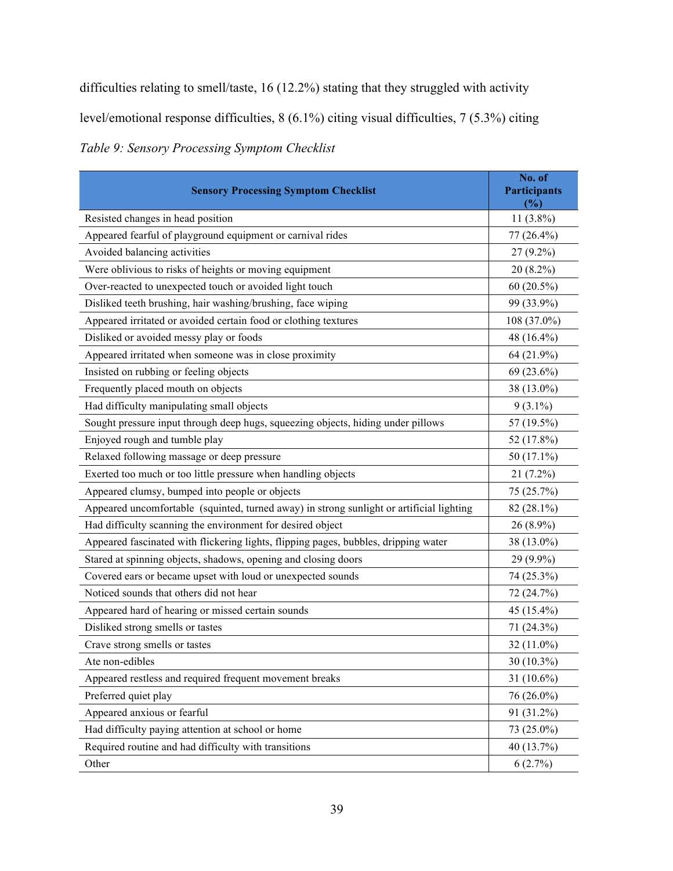difficulties relating to smell/taste, 16 (12.2%) stating that they struggled with activity

level/emotional response difficulties, 8 (6.1%) citing visual difficulties, 7 (5.3%) citing

*Table 9: Sensory Processing Symptom Checklist*

| <b>Sensory Processing Symptom Checklist</b>                                              | No. of<br><b>Participants</b><br>(%) |
|------------------------------------------------------------------------------------------|--------------------------------------|
| Resisted changes in head position                                                        | $11(3.8\%)$                          |
| Appeared fearful of playground equipment or carnival rides                               | 77 (26.4%)                           |
| Avoided balancing activities                                                             | 27 (9.2%)                            |
| Were oblivious to risks of heights or moving equipment                                   | 20 (8.2%)                            |
| Over-reacted to unexpected touch or avoided light touch                                  | $60(20.5\%)$                         |
| Disliked teeth brushing, hair washing/brushing, face wiping                              | 99 (33.9%)                           |
| Appeared irritated or avoided certain food or clothing textures                          | 108 (37.0%)                          |
| Disliked or avoided messy play or foods                                                  | 48 (16.4%)                           |
| Appeared irritated when someone was in close proximity                                   | 64 (21.9%)                           |
| Insisted on rubbing or feeling objects                                                   | 69 (23.6%)                           |
| Frequently placed mouth on objects                                                       | 38 (13.0%)                           |
| Had difficulty manipulating small objects                                                | $9(3.1\%)$                           |
| Sought pressure input through deep hugs, squeezing objects, hiding under pillows         | 57 (19.5%)                           |
| Enjoyed rough and tumble play                                                            | 52 (17.8%)                           |
| Relaxed following massage or deep pressure                                               | 50 (17.1%)                           |
| Exerted too much or too little pressure when handling objects                            | $21(7.2\%)$                          |
| Appeared clumsy, bumped into people or objects                                           | 75 (25.7%)                           |
| Appeared uncomfortable (squinted, turned away) in strong sunlight or artificial lighting | 82 (28.1%)                           |
| Had difficulty scanning the environment for desired object                               | 26 (8.9%)                            |
| Appeared fascinated with flickering lights, flipping pages, bubbles, dripping water      | 38 (13.0%)                           |
| Stared at spinning objects, shadows, opening and closing doors                           | 29 (9.9%)                            |
| Covered ears or became upset with loud or unexpected sounds                              | 74 (25.3%)                           |
| Noticed sounds that others did not hear                                                  | 72 (24.7%)                           |
| Appeared hard of hearing or missed certain sounds                                        | 45 (15.4%)                           |
| Disliked strong smells or tastes                                                         | 71 (24.3%)                           |
| Crave strong smells or tastes                                                            | 32 (11.0%)                           |
| Ate non-edibles                                                                          | 30 (10.3%)                           |
| Appeared restless and required frequent movement breaks                                  | 31 $(10.6\%)$                        |
| Preferred quiet play                                                                     | 76 (26.0%)                           |
| Appeared anxious or fearful                                                              | 91 (31.2%)                           |
| Had difficulty paying attention at school or home                                        | 73 (25.0%)                           |
| Required routine and had difficulty with transitions                                     | 40 (13.7%)                           |
| Other                                                                                    | 6(2.7%)                              |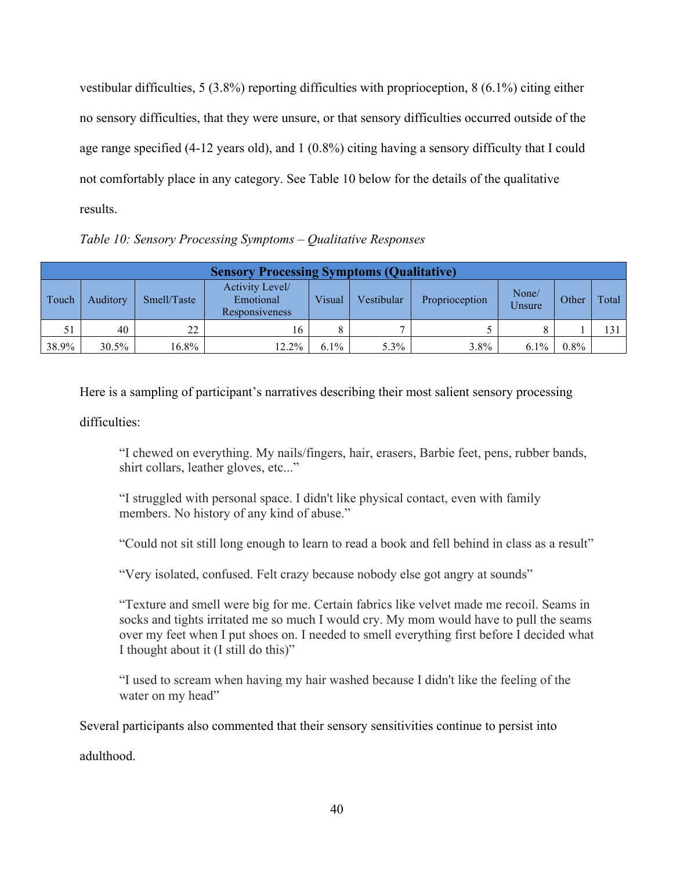vestibular difficulties, 5 (3.8%) reporting difficulties with proprioception, 8 (6.1%) citing either no sensory difficulties, that they were unsure, or that sensory difficulties occurred outside of the age range specified (4-12 years old), and 1 (0.8%) citing having a sensory difficulty that I could not comfortably place in any category. See Table 10 below for the details of the qualitative results.

# *Table 10: Sensory Processing Symptoms – Qualitative Responses*

|       | <b>Sensory Processing Symptoms (Qualitative)</b> |             |                                                |         |                |                |                 |         |       |  |  |
|-------|--------------------------------------------------|-------------|------------------------------------------------|---------|----------------|----------------|-----------------|---------|-------|--|--|
| Touch | Auditory                                         | Smell/Taste | Activity Level/<br>Emotional<br>Responsiveness | Visual  | Vestibular     | Proprioception | None/<br>Unsure | Other   | Total |  |  |
| 51    | 40                                               | 22          |                                                |         | $\overline{ }$ |                |                 |         |       |  |  |
| 38.9% | $30.5\%$                                         | 16.8%       | 12.2%                                          | $6.1\%$ | $5.3\%$        | 3.8%           | $6.1\%$         | $0.8\%$ |       |  |  |

Here is a sampling of participant's narratives describing their most salient sensory processing

difficulties:

"I chewed on everything. My nails/fingers, hair, erasers, Barbie feet, pens, rubber bands, shirt collars, leather gloves, etc..."

"I struggled with personal space. I didn't like physical contact, even with family members. No history of any kind of abuse."

"Could not sit still long enough to learn to read a book and fell behind in class as a result"

"Very isolated, confused. Felt crazy because nobody else got angry at sounds"

"Texture and smell were big for me. Certain fabrics like velvet made me recoil. Seams in socks and tights irritated me so much I would cry. My mom would have to pull the seams over my feet when I put shoes on. I needed to smell everything first before I decided what I thought about it (I still do this)"

"I used to scream when having my hair washed because I didn't like the feeling of the water on my head"

Several participants also commented that their sensory sensitivities continue to persist into

adulthood.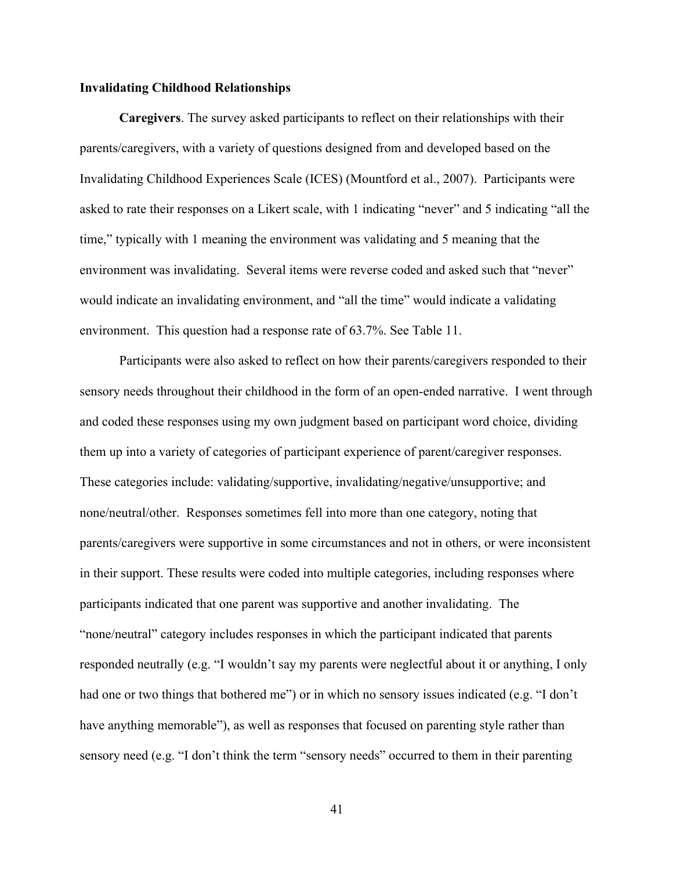## **Invalidating Childhood Relationships**

**Caregivers**. The survey asked participants to reflect on their relationships with their parents/caregivers, with a variety of questions designed from and developed based on the Invalidating Childhood Experiences Scale (ICES) (Mountford et al., 2007). Participants were asked to rate their responses on a Likert scale, with 1 indicating "never" and 5 indicating "all the time," typically with 1 meaning the environment was validating and 5 meaning that the environment was invalidating. Several items were reverse coded and asked such that "never" would indicate an invalidating environment, and "all the time" would indicate a validating environment. This question had a response rate of 63.7%. See Table 11.

Participants were also asked to reflect on how their parents/caregivers responded to their sensory needs throughout their childhood in the form of an open-ended narrative. I went through and coded these responses using my own judgment based on participant word choice, dividing them up into a variety of categories of participant experience of parent/caregiver responses. These categories include: validating/supportive, invalidating/negative/unsupportive; and none/neutral/other. Responses sometimes fell into more than one category, noting that parents/caregivers were supportive in some circumstances and not in others, or were inconsistent in their support. These results were coded into multiple categories, including responses where participants indicated that one parent was supportive and another invalidating. The "none/neutral" category includes responses in which the participant indicated that parents responded neutrally (e.g. "I wouldn't say my parents were neglectful about it or anything, I only had one or two things that bothered me") or in which no sensory issues indicated (e.g. "I don't have anything memorable"), as well as responses that focused on parenting style rather than sensory need (e.g. "I don't think the term "sensory needs" occurred to them in their parenting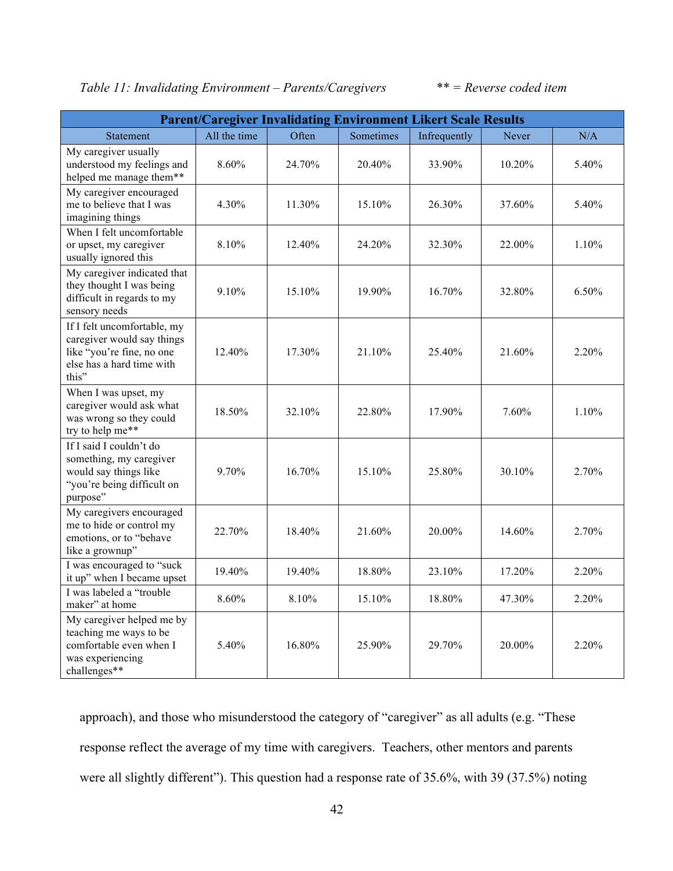| <b>Parent/Caregiver Invalidating Environment Likert Scale Results</b>                                                        |              |        |           |              |        |          |
|------------------------------------------------------------------------------------------------------------------------------|--------------|--------|-----------|--------------|--------|----------|
| Statement                                                                                                                    | All the time | Often  | Sometimes | Infrequently | Never  | N/A      |
| My caregiver usually<br>understood my feelings and<br>helped me manage them**                                                | 8.60%        | 24.70% | 20.40%    | 33.90%       | 10.20% | 5.40%    |
| My caregiver encouraged<br>me to believe that I was<br>imagining things                                                      | 4.30%        | 11.30% | 15.10%    | 26.30%       | 37.60% | 5.40%    |
| When I felt uncomfortable<br>or upset, my caregiver<br>usually ignored this                                                  | 8.10%        | 12.40% | 24.20%    | 32.30%       | 22.00% | 1.10%    |
| My caregiver indicated that<br>they thought I was being<br>difficult in regards to my<br>sensory needs                       | 9.10%        | 15.10% | 19.90%    | 16.70%       | 32.80% | 6.50%    |
| If I felt uncomfortable, my<br>caregiver would say things<br>like "you're fine, no one<br>else has a hard time with<br>this" | 12.40%       | 17.30% | 21.10%    | 25.40%       | 21.60% | 2.20%    |
| When I was upset, my<br>caregiver would ask what<br>was wrong so they could<br>try to help me**                              | 18.50%       | 32.10% | 22.80%    | 17.90%       | 7.60%  | $1.10\%$ |
| If I said I couldn't do<br>something, my caregiver<br>would say things like<br>"you're being difficult on<br>purpose"        | 9.70%        | 16.70% | 15.10%    | 25.80%       | 30.10% | 2.70%    |
| My caregivers encouraged<br>me to hide or control my<br>emotions, or to "behave<br>like a grownup"                           | 22.70%       | 18.40% | 21.60%    | 20.00%       | 14.60% | 2.70%    |
| I was encouraged to "suck<br>it up" when I became upset                                                                      | 19.40%       | 19.40% | 18.80%    | 23.10%       | 17.20% | 2.20%    |
| I was labeled a "trouble"<br>maker" at home                                                                                  | 8.60%        | 8.10%  | 15.10%    | 18.80%       | 47.30% | 2.20%    |
| My caregiver helped me by<br>teaching me ways to be<br>comfortable even when I<br>was experiencing<br>challenges**           | 5.40%        | 16.80% | 25.90%    | 29.70%       | 20.00% | 2.20%    |

approach), and those who misunderstood the category of "caregiver" as all adults (e.g. "These response reflect the average of my time with caregivers. Teachers, other mentors and parents were all slightly different"). This question had a response rate of 35.6%, with 39 (37.5%) noting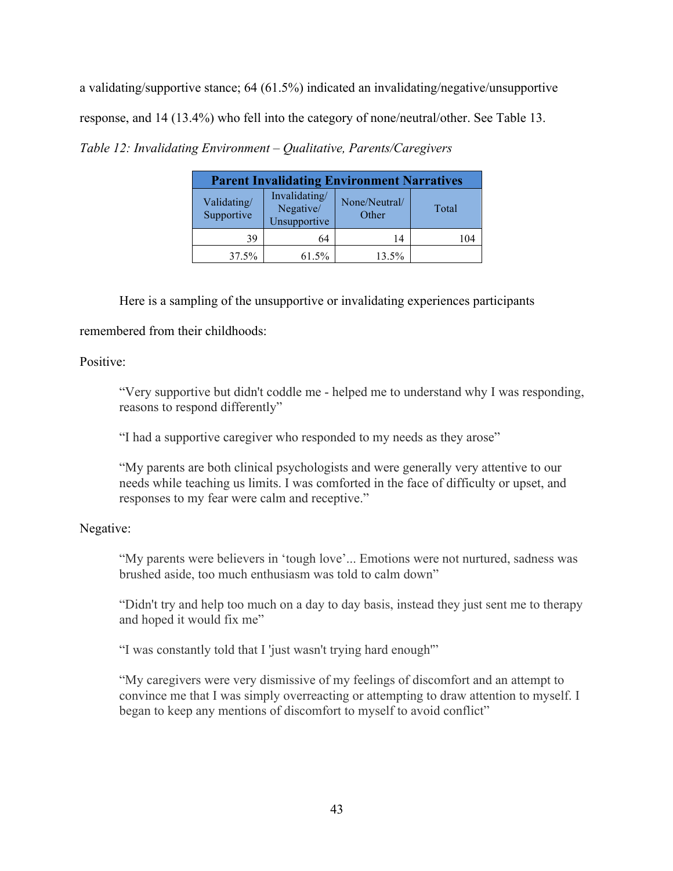a validating/supportive stance; 64 (61.5%) indicated an invalidating/negative/unsupportive response, and 14 (13.4%) who fell into the category of none/neutral/other. See Table 13.

| <b>Parent Invalidating Environment Narratives</b> |                                            |                        |       |  |  |
|---------------------------------------------------|--------------------------------------------|------------------------|-------|--|--|
| Validating/<br>Supportive                         | Invalidating/<br>Negative/<br>Unsupportive | None/Neutral/<br>Other | Total |  |  |
| 39                                                | 64                                         | 14                     | 104   |  |  |
| 37.5%                                             | 61.5%                                      | 13.5%                  |       |  |  |

# *Table 12: Invalidating Environment – Qualitative, Parents/Caregivers*

Here is a sampling of the unsupportive or invalidating experiences participants

remembered from their childhoods:

Positive:

"Very supportive but didn't coddle me - helped me to understand why I was responding, reasons to respond differently"

"I had a supportive caregiver who responded to my needs as they arose"

"My parents are both clinical psychologists and were generally very attentive to our needs while teaching us limits. I was comforted in the face of difficulty or upset, and responses to my fear were calm and receptive."

# Negative:

"My parents were believers in 'tough love'... Emotions were not nurtured, sadness was brushed aside, too much enthusiasm was told to calm down"

"Didn't try and help too much on a day to day basis, instead they just sent me to therapy and hoped it would fix me"

"I was constantly told that I 'just wasn't trying hard enough'"

"My caregivers were very dismissive of my feelings of discomfort and an attempt to convince me that I was simply overreacting or attempting to draw attention to myself. I began to keep any mentions of discomfort to myself to avoid conflict"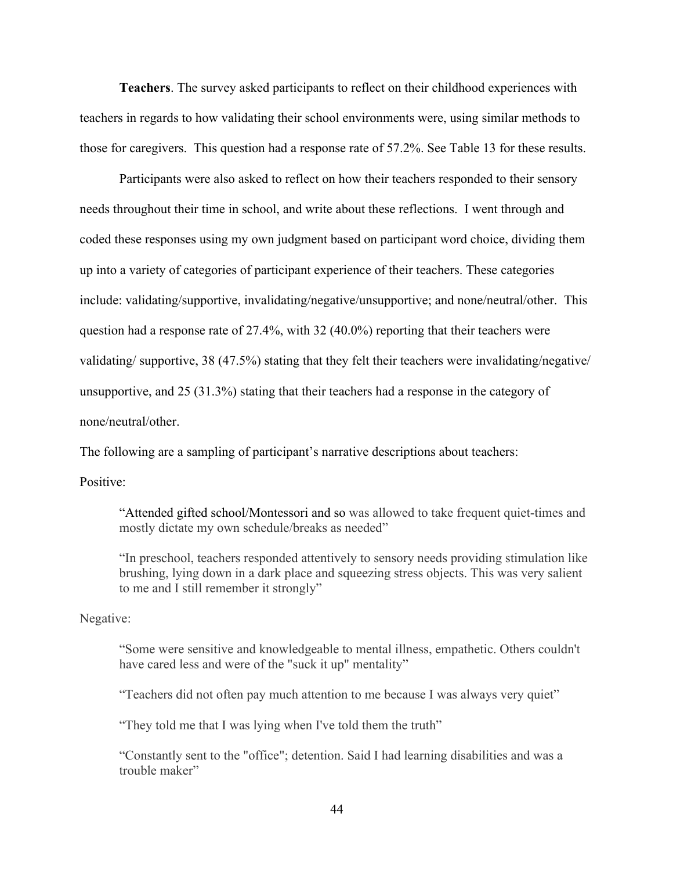**Teachers**. The survey asked participants to reflect on their childhood experiences with teachers in regards to how validating their school environments were, using similar methods to those for caregivers. This question had a response rate of 57.2%. See Table 13 for these results.

Participants were also asked to reflect on how their teachers responded to their sensory needs throughout their time in school, and write about these reflections. I went through and coded these responses using my own judgment based on participant word choice, dividing them up into a variety of categories of participant experience of their teachers. These categories include: validating/supportive, invalidating/negative/unsupportive; and none/neutral/other. This question had a response rate of 27.4%, with 32 (40.0%) reporting that their teachers were validating/ supportive, 38 (47.5%) stating that they felt their teachers were invalidating/negative/ unsupportive, and 25 (31.3%) stating that their teachers had a response in the category of none/neutral/other.

The following are a sampling of participant's narrative descriptions about teachers:

Positive:

"Attended gifted school/Montessori and so was allowed to take frequent quiet-times and mostly dictate my own schedule/breaks as needed"

"In preschool, teachers responded attentively to sensory needs providing stimulation like brushing, lying down in a dark place and squeezing stress objects. This was very salient to me and I still remember it strongly"

## Negative:

"Some were sensitive and knowledgeable to mental illness, empathetic. Others couldn't have cared less and were of the "suck it up" mentality"

"Teachers did not often pay much attention to me because I was always very quiet"

"They told me that I was lying when I've told them the truth"

"Constantly sent to the "office"; detention. Said I had learning disabilities and was a trouble maker"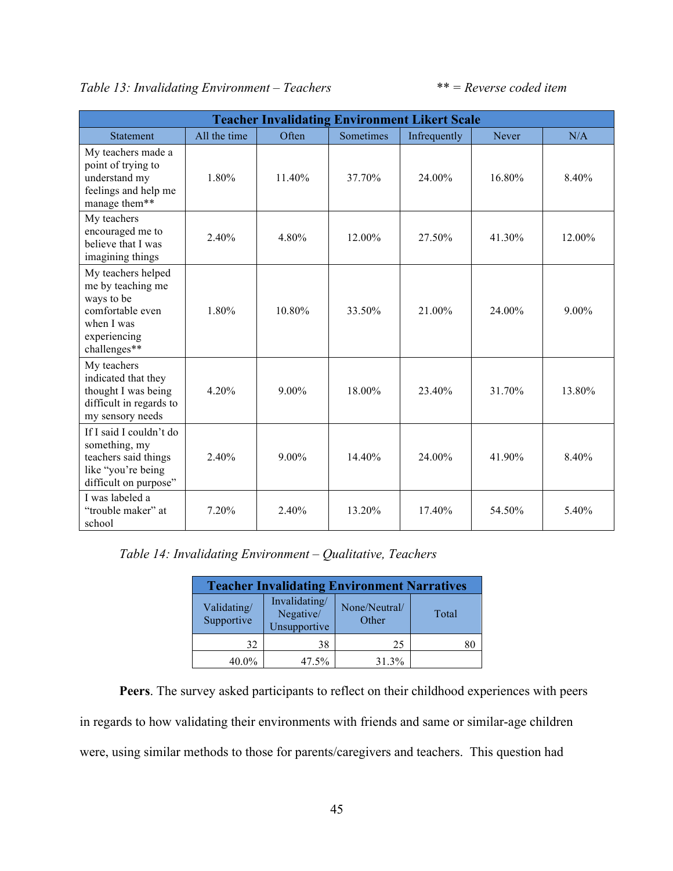# *Table 13: Invalidating Environment – Teachers \*\* = Reverse coded item*

| <b>Teacher Invalidating Environment Likert Scale</b>                                                                    |              |        |                  |              |              |        |
|-------------------------------------------------------------------------------------------------------------------------|--------------|--------|------------------|--------------|--------------|--------|
| <b>Statement</b>                                                                                                        | All the time | Often  | <b>Sometimes</b> | Infrequently | <b>Never</b> | N/A    |
| My teachers made a<br>point of trying to<br>understand my<br>feelings and help me<br>manage them**                      | 1.80%        | 11.40% | 37.70%           | 24.00%       | 16.80%       | 8.40%  |
| My teachers<br>encouraged me to<br>believe that I was<br>imagining things                                               | 2.40%        | 4.80%  | 12.00%           | 27.50%       | 41.30%       | 12.00% |
| My teachers helped<br>me by teaching me<br>ways to be<br>comfortable even<br>when I was<br>experiencing<br>challenges** | 1.80%        | 10.80% | 33.50%           | 21.00%       | 24.00%       | 9.00%  |
| My teachers<br>indicated that they<br>thought I was being<br>difficult in regards to<br>my sensory needs                | 4.20%        | 9.00%  | 18.00%           | 23.40%       | 31.70%       | 13.80% |
| If I said I couldn't do<br>something, my<br>teachers said things<br>like "you're being<br>difficult on purpose"         | 2.40%        | 9.00%  | 14.40%           | 24.00%       | 41.90%       | 8.40%  |
| I was labeled a<br>"trouble maker" at<br>school                                                                         | 7.20%        | 2.40%  | 13.20%           | 17.40%       | 54.50%       | 5.40%  |

# *Table 14: Invalidating Environment – Qualitative, Teachers*

| <b>Teacher Invalidating Environment Narratives</b> |                                            |                        |       |  |  |
|----------------------------------------------------|--------------------------------------------|------------------------|-------|--|--|
| Validating/<br>Supportive                          | Invalidating/<br>Negative/<br>Unsupportive | None/Neutral/<br>Other | Total |  |  |
| 32                                                 | 38                                         | 25                     |       |  |  |
| $40.0\%$                                           | 47.5%                                      | 31.3%                  |       |  |  |

**Peers**. The survey asked participants to reflect on their childhood experiences with peers

in regards to how validating their environments with friends and same or similar-age children

were, using similar methods to those for parents/caregivers and teachers. This question had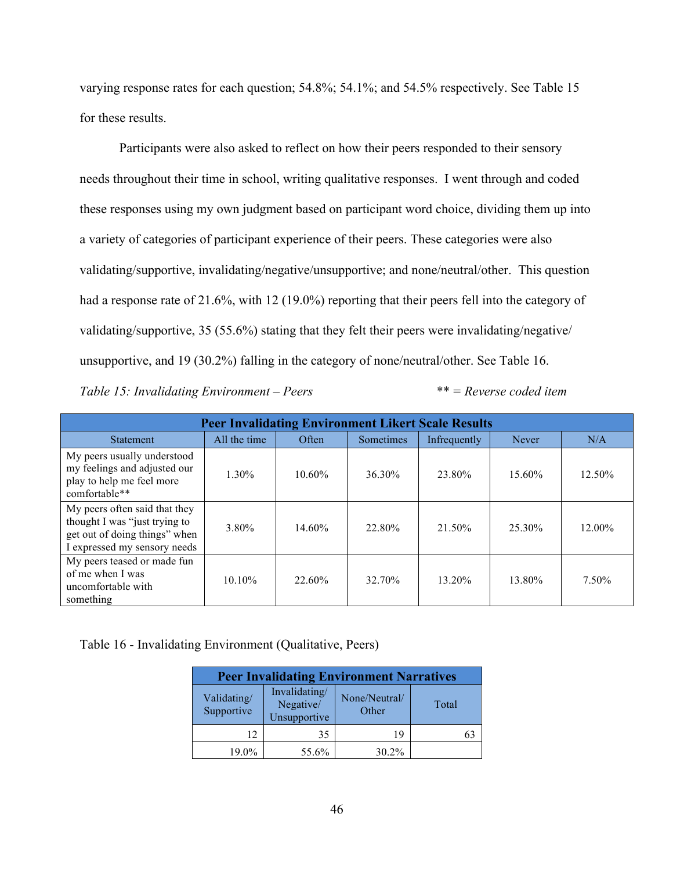varying response rates for each question; 54.8%; 54.1%; and 54.5% respectively. See Table 15 for these results.

Participants were also asked to reflect on how their peers responded to their sensory needs throughout their time in school, writing qualitative responses. I went through and coded these responses using my own judgment based on participant word choice, dividing them up into a variety of categories of participant experience of their peers. These categories were also validating/supportive, invalidating/negative/unsupportive; and none/neutral/other. This question had a response rate of 21.6%, with 12 (19.0%) reporting that their peers fell into the category of validating/supportive, 35 (55.6%) stating that they felt their peers were invalidating/negative/ unsupportive, and 19 (30.2%) falling in the category of none/neutral/other. See Table 16. *Table 15: Invalidating Environment – Peers \*\* = Reverse coded item*

**Peer Invalidating Environment Likert Scale Results** Statement All the time Often Sometimes Infrequently Never N/A My peers usually understood my feelings and adjusted our play to help me feel more comfortable\*\* 1.30% 10.60% 36.30% 23.80% 15.60% 12.50% My peers often said that they thought I was "just trying to get out of doing things" when I expressed my sensory needs 3.80% 14.60% 22.80% 21.50% 25.30% 12.00% My peers teased or made fun of me when I was uncomfortable with something 10.10% 22.60% 32.70% 13.20% 13.80% 7.50%

Table 16 - Invalidating Environment (Qualitative, Peers)

| <b>Peer Invalidating Environment Narratives</b> |                                            |                        |       |  |  |
|-------------------------------------------------|--------------------------------------------|------------------------|-------|--|--|
| Validating/<br>Supportive                       | Invalidating/<br>Negative/<br>Unsupportive | None/Neutral/<br>Other | Total |  |  |
| 12                                              | 35                                         | 19                     |       |  |  |
| 19.0%                                           | 55.6%                                      | 30.2%                  |       |  |  |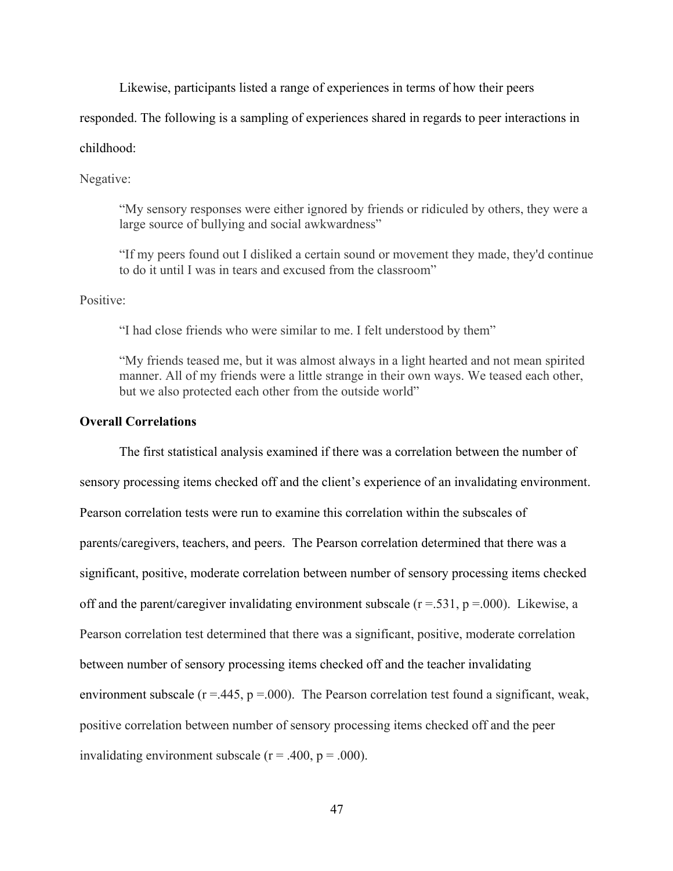Likewise, participants listed a range of experiences in terms of how their peers

responded. The following is a sampling of experiences shared in regards to peer interactions in

## childhood:

## Negative:

"My sensory responses were either ignored by friends or ridiculed by others, they were a large source of bullying and social awkwardness"

"If my peers found out I disliked a certain sound or movement they made, they'd continue to do it until I was in tears and excused from the classroom"

## Positive:

"I had close friends who were similar to me. I felt understood by them"

"My friends teased me, but it was almost always in a light hearted and not mean spirited manner. All of my friends were a little strange in their own ways. We teased each other, but we also protected each other from the outside world"

## **Overall Correlations**

The first statistical analysis examined if there was a correlation between the number of sensory processing items checked off and the client's experience of an invalidating environment. Pearson correlation tests were run to examine this correlation within the subscales of parents/caregivers, teachers, and peers. The Pearson correlation determined that there was a significant, positive, moderate correlation between number of sensory processing items checked off and the parent/caregiver invalidating environment subscale ( $r = .531$ ,  $p = .000$ ). Likewise, a Pearson correlation test determined that there was a significant, positive, moderate correlation between number of sensory processing items checked off and the teacher invalidating environment subscale ( $r = .445$ ,  $p = .000$ ). The Pearson correlation test found a significant, weak, positive correlation between number of sensory processing items checked off and the peer invalidating environment subscale ( $r = .400$ ,  $p = .000$ ).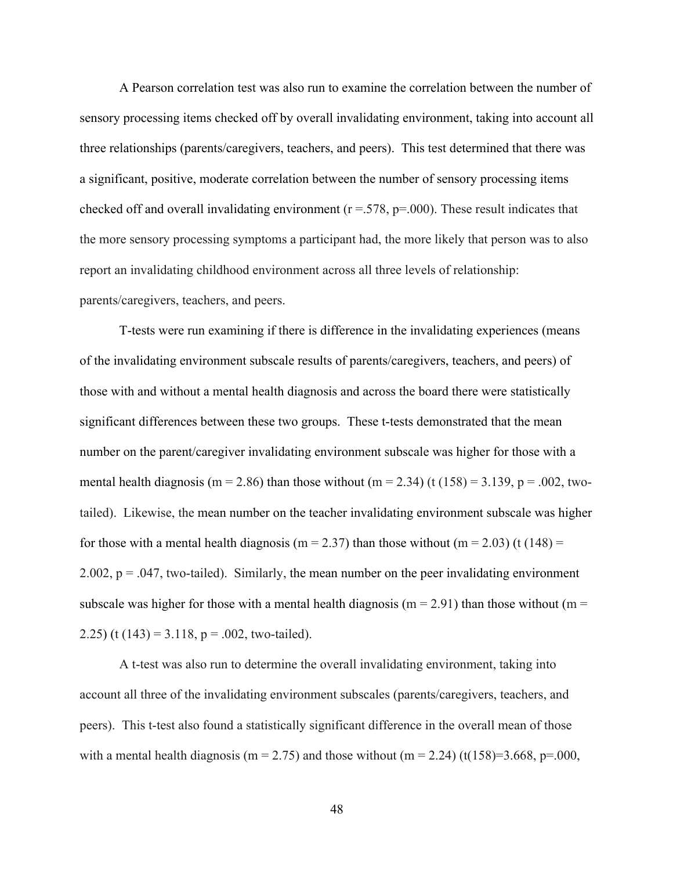A Pearson correlation test was also run to examine the correlation between the number of sensory processing items checked off by overall invalidating environment, taking into account all three relationships (parents/caregivers, teachers, and peers). This test determined that there was a significant, positive, moderate correlation between the number of sensory processing items checked off and overall invalidating environment ( $r = .578$ ,  $p = .000$ ). These result indicates that the more sensory processing symptoms a participant had, the more likely that person was to also report an invalidating childhood environment across all three levels of relationship: parents/caregivers, teachers, and peers.

T-tests were run examining if there is difference in the invalidating experiences (means of the invalidating environment subscale results of parents/caregivers, teachers, and peers) of those with and without a mental health diagnosis and across the board there were statistically significant differences between these two groups. These t-tests demonstrated that the mean number on the parent/caregiver invalidating environment subscale was higher for those with a mental health diagnosis (m = 2.86) than those without (m = 2.34) (t (158) = 3.139, p = .002, twotailed). Likewise, the mean number on the teacher invalidating environment subscale was higher for those with a mental health diagnosis ( $m = 2.37$ ) than those without ( $m = 2.03$ ) (t (148) = 2.002,  $p = 0.047$ , two-tailed). Similarly, the mean number on the peer invalidating environment subscale was higher for those with a mental health diagnosis ( $m = 2.91$ ) than those without ( $m =$ 2.25) (t  $(143) = 3.118$ , p = .002, two-tailed).

A t-test was also run to determine the overall invalidating environment, taking into account all three of the invalidating environment subscales (parents/caregivers, teachers, and peers). This t-test also found a statistically significant difference in the overall mean of those with a mental health diagnosis (m = 2.75) and those without (m = 2.24) (t(158)=3.668, p=.000,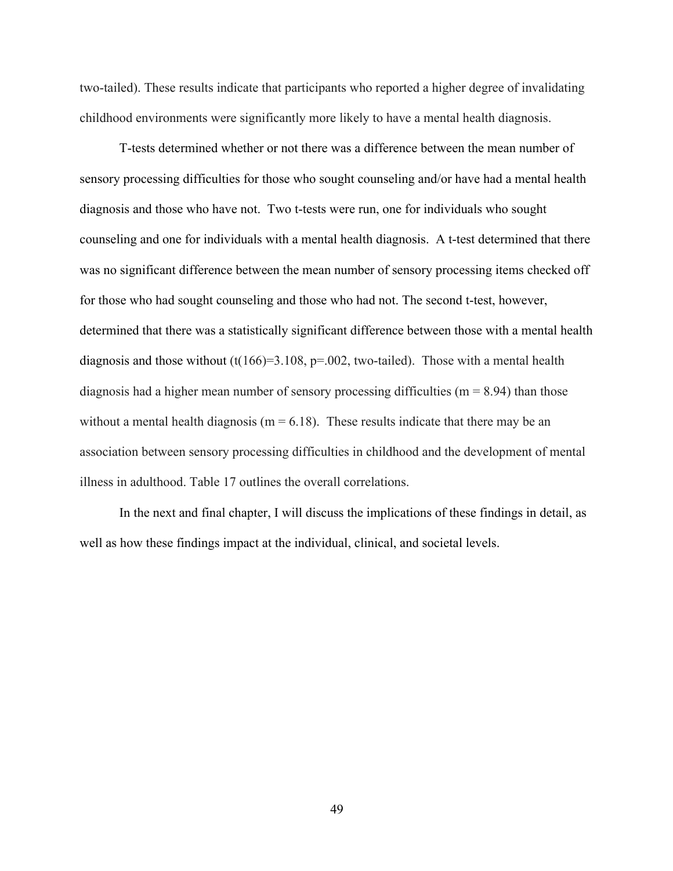two-tailed). These results indicate that participants who reported a higher degree of invalidating childhood environments were significantly more likely to have a mental health diagnosis.

T-tests determined whether or not there was a difference between the mean number of sensory processing difficulties for those who sought counseling and/or have had a mental health diagnosis and those who have not. Two t-tests were run, one for individuals who sought counseling and one for individuals with a mental health diagnosis. A t-test determined that there was no significant difference between the mean number of sensory processing items checked off for those who had sought counseling and those who had not. The second t-test, however, determined that there was a statistically significant difference between those with a mental health diagnosis and those without  $(t(166)=3.108, p=.002,$  two-tailed). Those with a mental health diagnosis had a higher mean number of sensory processing difficulties ( $m = 8.94$ ) than those without a mental health diagnosis ( $m = 6.18$ ). These results indicate that there may be an association between sensory processing difficulties in childhood and the development of mental illness in adulthood. Table 17 outlines the overall correlations.

In the next and final chapter, I will discuss the implications of these findings in detail, as well as how these findings impact at the individual, clinical, and societal levels.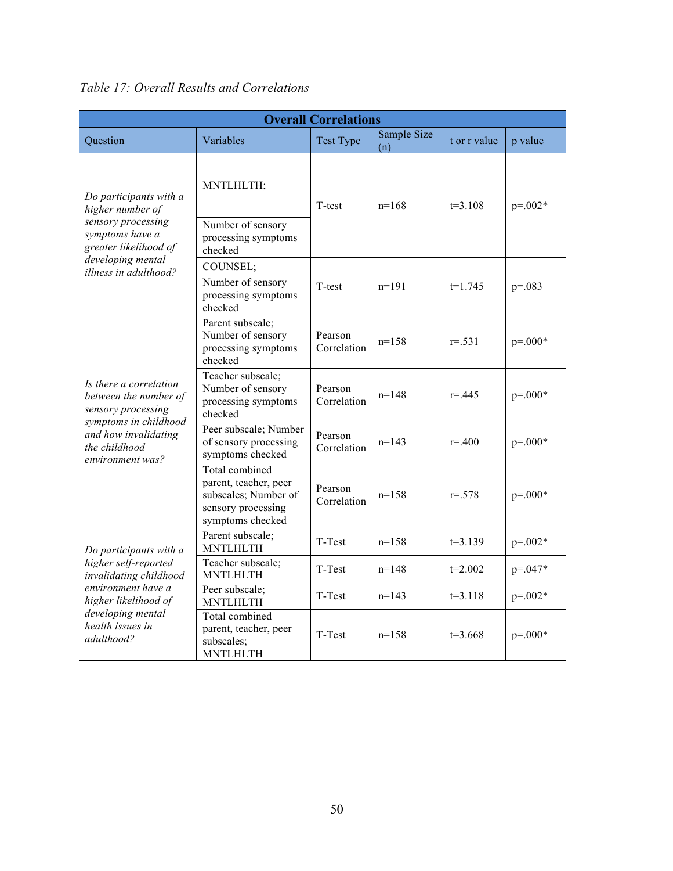| <b>Overall Correlations</b>                                                                                                                                                   |                                                                                                           |                        |                    |              |              |  |
|-------------------------------------------------------------------------------------------------------------------------------------------------------------------------------|-----------------------------------------------------------------------------------------------------------|------------------------|--------------------|--------------|--------------|--|
| Question                                                                                                                                                                      | Variables                                                                                                 | <b>Test Type</b>       | Sample Size<br>(n) | t or r value | p value      |  |
| Do participants with a<br>higher number of<br>sensory processing<br>symptoms have a<br>greater likelihood of<br>developing mental<br><i>illness in adulthood?</i>             | MNTLHLTH;                                                                                                 | T-test                 | $n=168$            | $t=3.108$    | $p=.002*$    |  |
|                                                                                                                                                                               | Number of sensory<br>processing symptoms<br>checked                                                       |                        |                    |              |              |  |
|                                                                                                                                                                               | COUNSEL;<br>Number of sensory<br>processing symptoms<br>checked                                           | T-test                 | $n=191$            | $t=1.745$    | $p = 0.083$  |  |
| Is there a correlation<br>between the number of<br>sensory processing<br>symptoms in childhood<br>and how invalidating<br>the childhood<br>environment was?                   | Parent subscale;<br>Number of sensory<br>processing symptoms<br>checked                                   | Pearson<br>Correlation | $n=158$            | $r = 531$    | $p = 000*$   |  |
|                                                                                                                                                                               | Teacher subscale;<br>Number of sensory<br>processing symptoms<br>checked                                  | Pearson<br>Correlation | $n=148$            | $r = 445$    | $p = 000*$   |  |
|                                                                                                                                                                               | Peer subscale; Number<br>of sensory processing<br>symptoms checked                                        | Pearson<br>Correlation | $n=143$            | $r = 400$    | $p = 000*$   |  |
|                                                                                                                                                                               | Total combined<br>parent, teacher, peer<br>subscales; Number of<br>sensory processing<br>symptoms checked | Pearson<br>Correlation | $n=158$            | $r = 578$    | $p = 000*$   |  |
| Do participants with a<br>higher self-reported<br>invalidating childhood<br>environment have a<br>higher likelihood of<br>developing mental<br>health issues in<br>adulthood? | Parent subscale;<br><b>MNTLHLTH</b>                                                                       | T-Test                 | $n=158$            | $t=3.139$    | $p=.002*$    |  |
|                                                                                                                                                                               | Teacher subscale;<br><b>MNTLHLTH</b>                                                                      | T-Test                 | $n=148$            | $t=2.002$    | p=.047*      |  |
|                                                                                                                                                                               | Peer subscale;<br><b>MNTLHLTH</b>                                                                         | T-Test                 | $n=143$            | $t = 3.118$  | $p = 0.002*$ |  |
|                                                                                                                                                                               | Total combined<br>parent, teacher, peer<br>subscales;<br><b>MNTLHLTH</b>                                  | T-Test                 | $n=158$            | $t=3.668$    | $p = 000*$   |  |

# *Table 17: Overall Results and Correlations*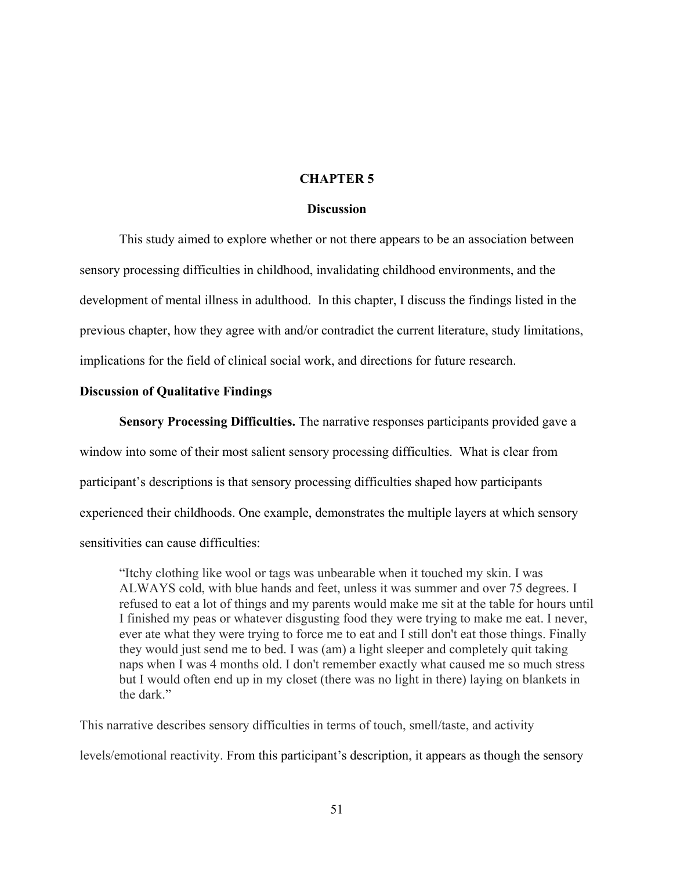## **CHAPTER 5**

## **Discussion**

This study aimed to explore whether or not there appears to be an association between sensory processing difficulties in childhood, invalidating childhood environments, and the development of mental illness in adulthood. In this chapter, I discuss the findings listed in the previous chapter, how they agree with and/or contradict the current literature, study limitations, implications for the field of clinical social work, and directions for future research.

## **Discussion of Qualitative Findings**

**Sensory Processing Difficulties.** The narrative responses participants provided gave a window into some of their most salient sensory processing difficulties. What is clear from participant's descriptions is that sensory processing difficulties shaped how participants experienced their childhoods. One example, demonstrates the multiple layers at which sensory sensitivities can cause difficulties:

"Itchy clothing like wool or tags was unbearable when it touched my skin. I was ALWAYS cold, with blue hands and feet, unless it was summer and over 75 degrees. I refused to eat a lot of things and my parents would make me sit at the table for hours until I finished my peas or whatever disgusting food they were trying to make me eat. I never, ever ate what they were trying to force me to eat and I still don't eat those things. Finally they would just send me to bed. I was (am) a light sleeper and completely quit taking naps when I was 4 months old. I don't remember exactly what caused me so much stress but I would often end up in my closet (there was no light in there) laying on blankets in the dark"

This narrative describes sensory difficulties in terms of touch, smell/taste, and activity

levels/emotional reactivity. From this participant's description, it appears as though the sensory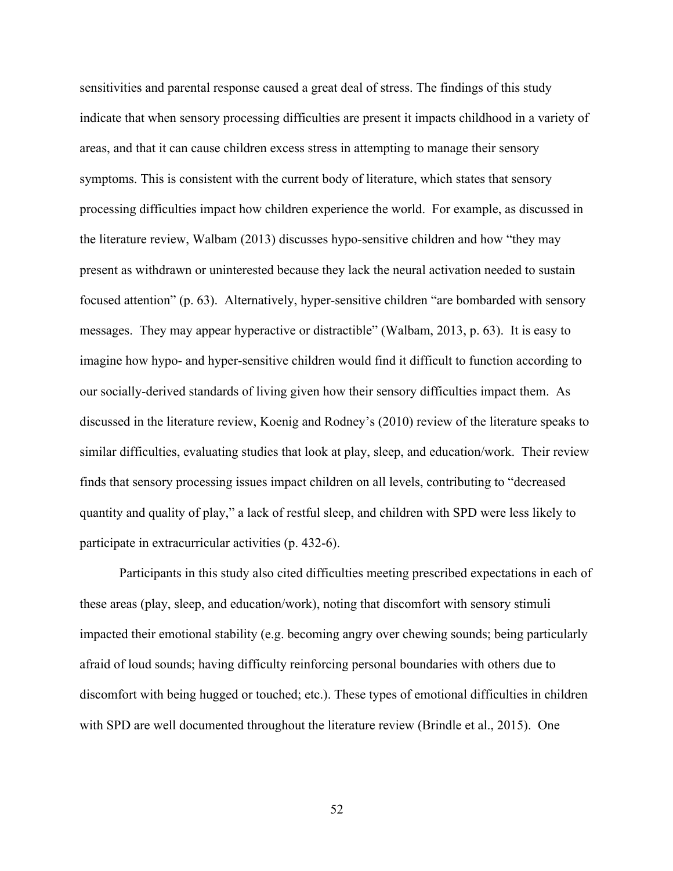sensitivities and parental response caused a great deal of stress. The findings of this study indicate that when sensory processing difficulties are present it impacts childhood in a variety of areas, and that it can cause children excess stress in attempting to manage their sensory symptoms. This is consistent with the current body of literature, which states that sensory processing difficulties impact how children experience the world. For example, as discussed in the literature review, Walbam (2013) discusses hypo-sensitive children and how "they may present as withdrawn or uninterested because they lack the neural activation needed to sustain focused attention" (p. 63). Alternatively, hyper-sensitive children "are bombarded with sensory messages. They may appear hyperactive or distractible" (Walbam, 2013, p. 63). It is easy to imagine how hypo- and hyper-sensitive children would find it difficult to function according to our socially-derived standards of living given how their sensory difficulties impact them. As discussed in the literature review, Koenig and Rodney's (2010) review of the literature speaks to similar difficulties, evaluating studies that look at play, sleep, and education/work. Their review finds that sensory processing issues impact children on all levels, contributing to "decreased quantity and quality of play," a lack of restful sleep, and children with SPD were less likely to participate in extracurricular activities (p. 432-6).

Participants in this study also cited difficulties meeting prescribed expectations in each of these areas (play, sleep, and education/work), noting that discomfort with sensory stimuli impacted their emotional stability (e.g. becoming angry over chewing sounds; being particularly afraid of loud sounds; having difficulty reinforcing personal boundaries with others due to discomfort with being hugged or touched; etc.). These types of emotional difficulties in children with SPD are well documented throughout the literature review (Brindle et al., 2015). One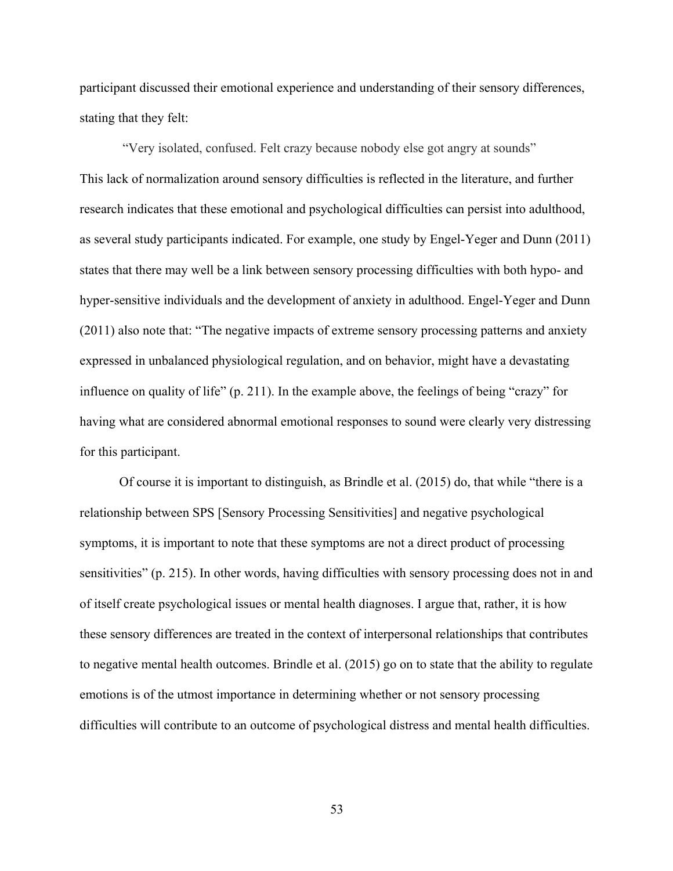participant discussed their emotional experience and understanding of their sensory differences, stating that they felt:

"Very isolated, confused. Felt crazy because nobody else got angry at sounds" This lack of normalization around sensory difficulties is reflected in the literature, and further research indicates that these emotional and psychological difficulties can persist into adulthood, as several study participants indicated. For example, one study by Engel-Yeger and Dunn (2011) states that there may well be a link between sensory processing difficulties with both hypo- and hyper-sensitive individuals and the development of anxiety in adulthood. Engel-Yeger and Dunn (2011) also note that: "The negative impacts of extreme sensory processing patterns and anxiety expressed in unbalanced physiological regulation, and on behavior, might have a devastating influence on quality of life" (p. 211). In the example above, the feelings of being "crazy" for having what are considered abnormal emotional responses to sound were clearly very distressing for this participant.

Of course it is important to distinguish, as Brindle et al. (2015) do, that while "there is a relationship between SPS [Sensory Processing Sensitivities] and negative psychological symptoms, it is important to note that these symptoms are not a direct product of processing sensitivities" (p. 215). In other words, having difficulties with sensory processing does not in and of itself create psychological issues or mental health diagnoses. I argue that, rather, it is how these sensory differences are treated in the context of interpersonal relationships that contributes to negative mental health outcomes. Brindle et al. (2015) go on to state that the ability to regulate emotions is of the utmost importance in determining whether or not sensory processing difficulties will contribute to an outcome of psychological distress and mental health difficulties.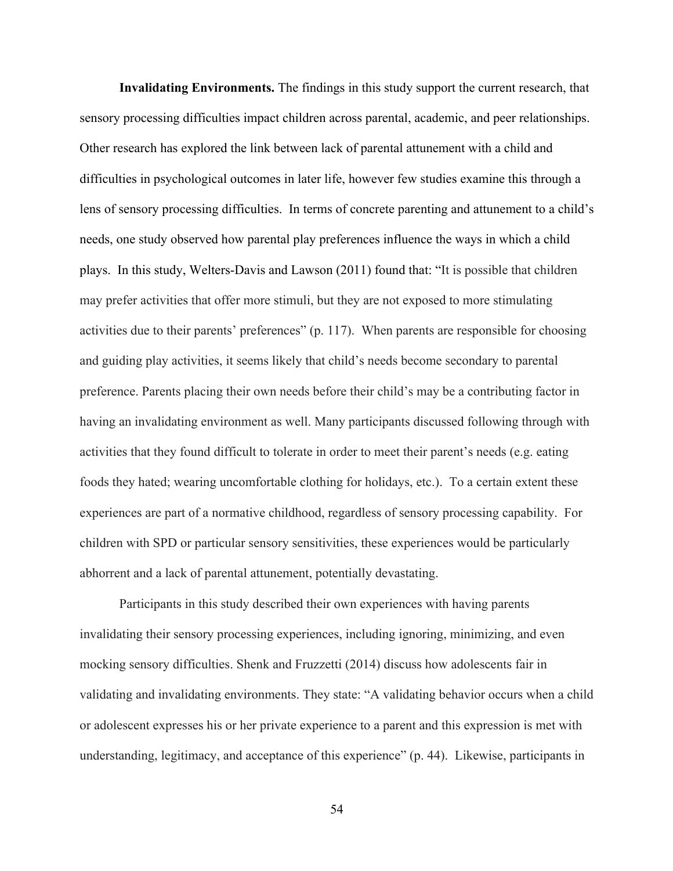**Invalidating Environments.** The findings in this study support the current research, that sensory processing difficulties impact children across parental, academic, and peer relationships. Other research has explored the link between lack of parental attunement with a child and difficulties in psychological outcomes in later life, however few studies examine this through a lens of sensory processing difficulties. In terms of concrete parenting and attunement to a child's needs, one study observed how parental play preferences influence the ways in which a child plays. In this study, Welters-Davis and Lawson (2011) found that: "It is possible that children may prefer activities that offer more stimuli, but they are not exposed to more stimulating activities due to their parents' preferences" (p. 117). When parents are responsible for choosing and guiding play activities, it seems likely that child's needs become secondary to parental preference. Parents placing their own needs before their child's may be a contributing factor in having an invalidating environment as well. Many participants discussed following through with activities that they found difficult to tolerate in order to meet their parent's needs (e.g. eating foods they hated; wearing uncomfortable clothing for holidays, etc.). To a certain extent these experiences are part of a normative childhood, regardless of sensory processing capability. For children with SPD or particular sensory sensitivities, these experiences would be particularly abhorrent and a lack of parental attunement, potentially devastating.

Participants in this study described their own experiences with having parents invalidating their sensory processing experiences, including ignoring, minimizing, and even mocking sensory difficulties. Shenk and Fruzzetti (2014) discuss how adolescents fair in validating and invalidating environments. They state: "A validating behavior occurs when a child or adolescent expresses his or her private experience to a parent and this expression is met with understanding, legitimacy, and acceptance of this experience" (p. 44). Likewise, participants in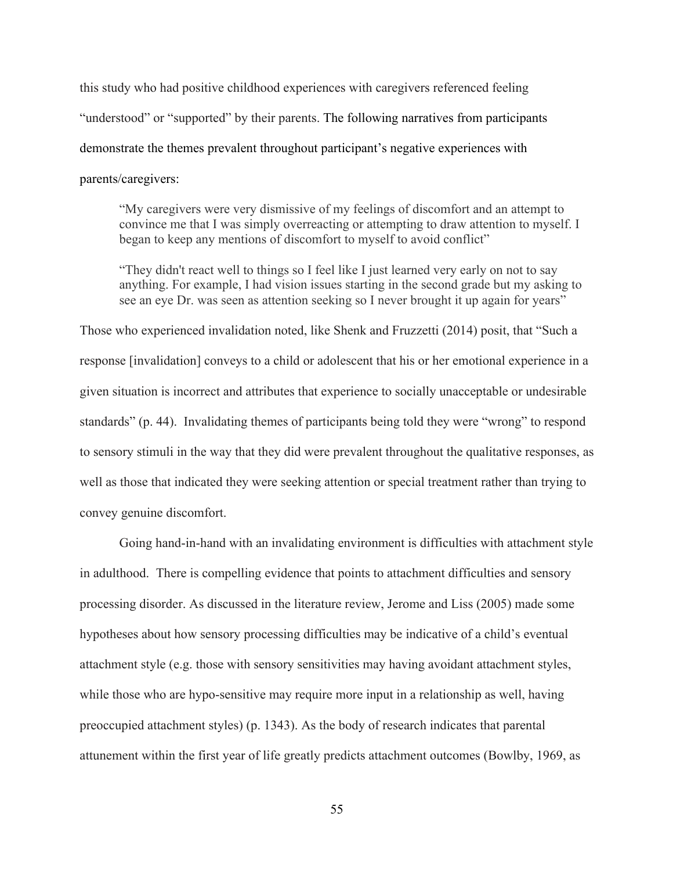this study who had positive childhood experiences with caregivers referenced feeling "understood" or "supported" by their parents. The following narratives from participants demonstrate the themes prevalent throughout participant's negative experiences with parents/caregivers:

"My caregivers were very dismissive of my feelings of discomfort and an attempt to convince me that I was simply overreacting or attempting to draw attention to myself. I began to keep any mentions of discomfort to myself to avoid conflict"

"They didn't react well to things so I feel like I just learned very early on not to say anything. For example, I had vision issues starting in the second grade but my asking to see an eye Dr. was seen as attention seeking so I never brought it up again for years"

Those who experienced invalidation noted, like Shenk and Fruzzetti (2014) posit, that "Such a response [invalidation] conveys to a child or adolescent that his or her emotional experience in a given situation is incorrect and attributes that experience to socially unacceptable or undesirable standards" (p. 44). Invalidating themes of participants being told they were "wrong" to respond to sensory stimuli in the way that they did were prevalent throughout the qualitative responses, as well as those that indicated they were seeking attention or special treatment rather than trying to convey genuine discomfort.

Going hand-in-hand with an invalidating environment is difficulties with attachment style in adulthood. There is compelling evidence that points to attachment difficulties and sensory processing disorder. As discussed in the literature review, Jerome and Liss (2005) made some hypotheses about how sensory processing difficulties may be indicative of a child's eventual attachment style (e.g. those with sensory sensitivities may having avoidant attachment styles, while those who are hypo-sensitive may require more input in a relationship as well, having preoccupied attachment styles) (p. 1343). As the body of research indicates that parental attunement within the first year of life greatly predicts attachment outcomes (Bowlby, 1969, as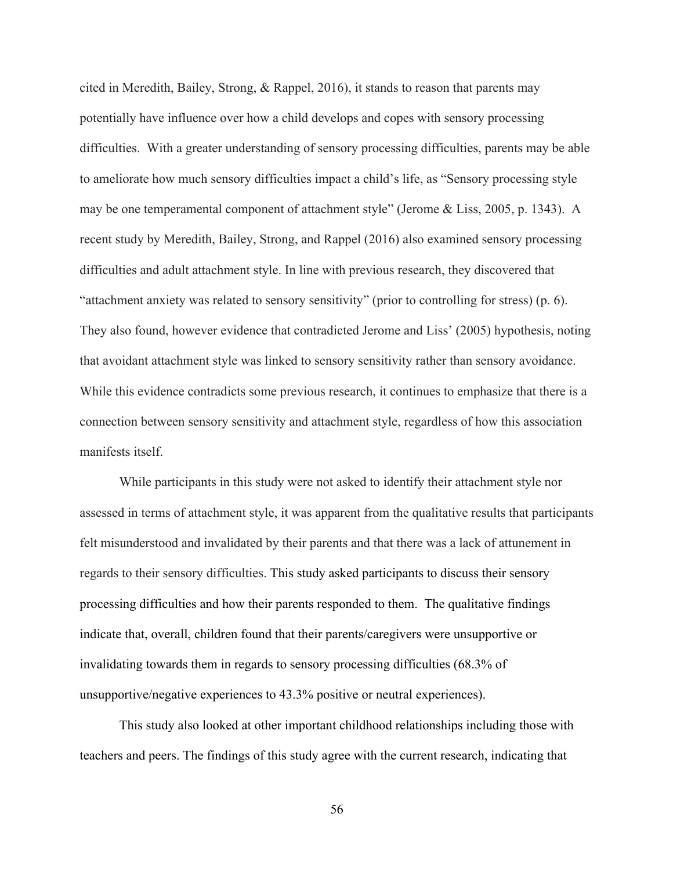cited in Meredith, Bailey, Strong, & Rappel, 2016), it stands to reason that parents may potentially have influence over how a child develops and copes with sensory processing difficulties. With a greater understanding of sensory processing difficulties, parents may be able to ameliorate how much sensory difficulties impact a child's life, as "Sensory processing style may be one temperamental component of attachment style" (Jerome & Liss, 2005, p. 1343). A recent study by Meredith, Bailey, Strong, and Rappel (2016) also examined sensory processing difficulties and adult attachment style. In line with previous research, they discovered that "attachment anxiety was related to sensory sensitivity" (prior to controlling for stress) (p. 6). They also found, however evidence that contradicted Jerome and Liss' (2005) hypothesis, noting that avoidant attachment style was linked to sensory sensitivity rather than sensory avoidance. While this evidence contradicts some previous research, it continues to emphasize that there is a connection between sensory sensitivity and attachment style, regardless of how this association manifests itself.

While participants in this study were not asked to identify their attachment style nor assessed in terms of attachment style, it was apparent from the qualitative results that participants felt misunderstood and invalidated by their parents and that there was a lack of attunement in regards to their sensory difficulties. This study asked participants to discuss their sensory processing difficulties and how their parents responded to them. The qualitative findings indicate that, overall, children found that their parents/caregivers were unsupportive or invalidating towards them in regards to sensory processing difficulties (68.3% of unsupportive/negative experiences to 43.3% positive or neutral experiences).

This study also looked at other important childhood relationships including those with teachers and peers. The findings of this study agree with the current research, indicating that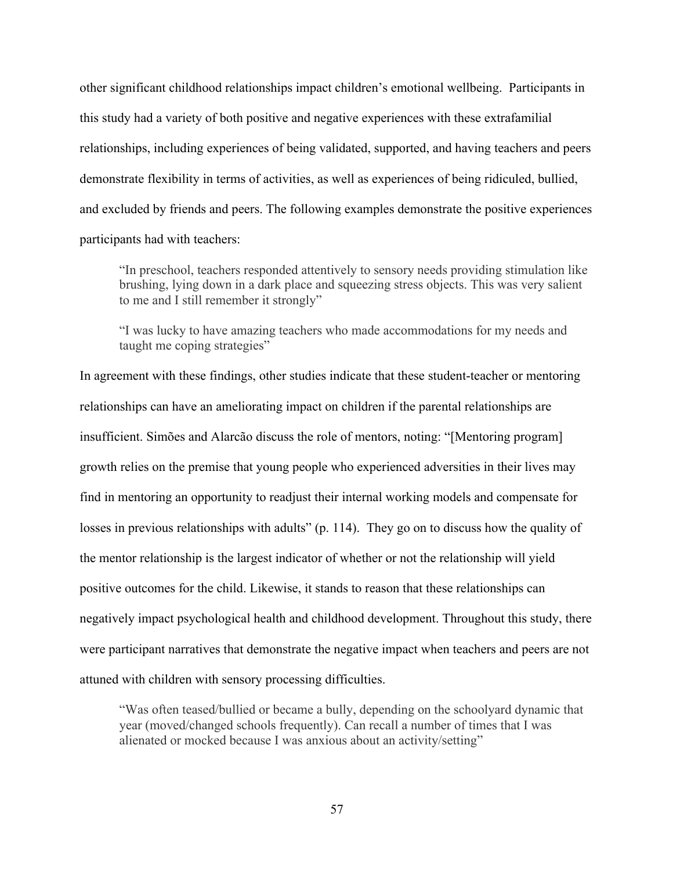other significant childhood relationships impact children's emotional wellbeing. Participants in this study had a variety of both positive and negative experiences with these extrafamilial relationships, including experiences of being validated, supported, and having teachers and peers demonstrate flexibility in terms of activities, as well as experiences of being ridiculed, bullied, and excluded by friends and peers. The following examples demonstrate the positive experiences participants had with teachers:

"In preschool, teachers responded attentively to sensory needs providing stimulation like brushing, lying down in a dark place and squeezing stress objects. This was very salient to me and I still remember it strongly"

"I was lucky to have amazing teachers who made accommodations for my needs and taught me coping strategies"

In agreement with these findings, other studies indicate that these student-teacher or mentoring relationships can have an ameliorating impact on children if the parental relationships are insufficient. Simões and Alarcão discuss the role of mentors, noting: "[Mentoring program] growth relies on the premise that young people who experienced adversities in their lives may find in mentoring an opportunity to readjust their internal working models and compensate for losses in previous relationships with adults" (p. 114). They go on to discuss how the quality of the mentor relationship is the largest indicator of whether or not the relationship will yield positive outcomes for the child. Likewise, it stands to reason that these relationships can negatively impact psychological health and childhood development. Throughout this study, there were participant narratives that demonstrate the negative impact when teachers and peers are not attuned with children with sensory processing difficulties.

"Was often teased/bullied or became a bully, depending on the schoolyard dynamic that year (moved/changed schools frequently). Can recall a number of times that I was alienated or mocked because I was anxious about an activity/setting"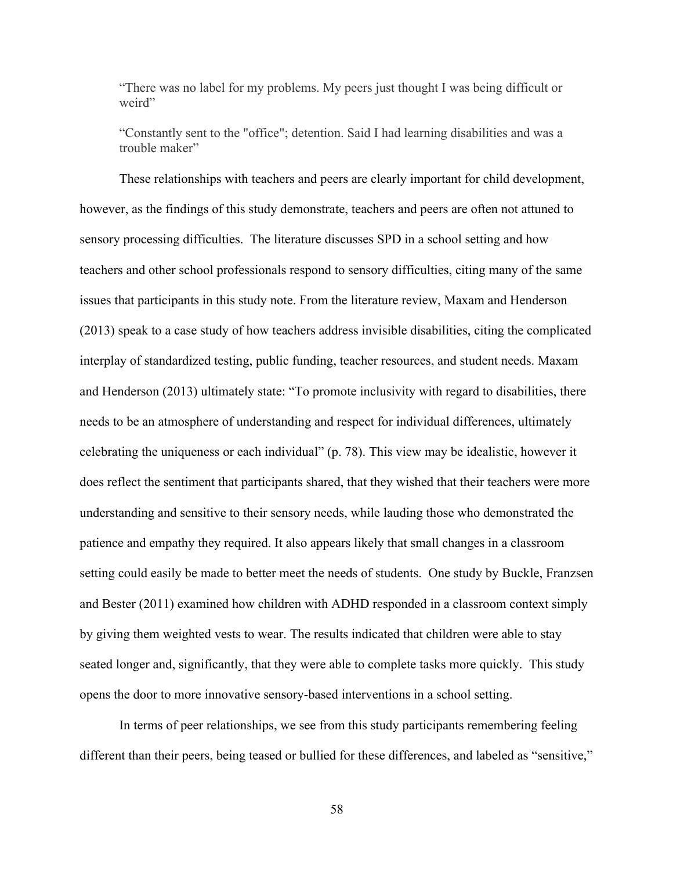"There was no label for my problems. My peers just thought I was being difficult or weird"

"Constantly sent to the "office"; detention. Said I had learning disabilities and was a trouble maker"

These relationships with teachers and peers are clearly important for child development, however, as the findings of this study demonstrate, teachers and peers are often not attuned to sensory processing difficulties. The literature discusses SPD in a school setting and how teachers and other school professionals respond to sensory difficulties, citing many of the same issues that participants in this study note. From the literature review, Maxam and Henderson (2013) speak to a case study of how teachers address invisible disabilities, citing the complicated interplay of standardized testing, public funding, teacher resources, and student needs. Maxam and Henderson (2013) ultimately state: "To promote inclusivity with regard to disabilities, there needs to be an atmosphere of understanding and respect for individual differences, ultimately celebrating the uniqueness or each individual" (p. 78). This view may be idealistic, however it does reflect the sentiment that participants shared, that they wished that their teachers were more understanding and sensitive to their sensory needs, while lauding those who demonstrated the patience and empathy they required. It also appears likely that small changes in a classroom setting could easily be made to better meet the needs of students. One study by Buckle, Franzsen and Bester (2011) examined how children with ADHD responded in a classroom context simply by giving them weighted vests to wear. The results indicated that children were able to stay seated longer and, significantly, that they were able to complete tasks more quickly. This study opens the door to more innovative sensory-based interventions in a school setting.

In terms of peer relationships, we see from this study participants remembering feeling different than their peers, being teased or bullied for these differences, and labeled as "sensitive,"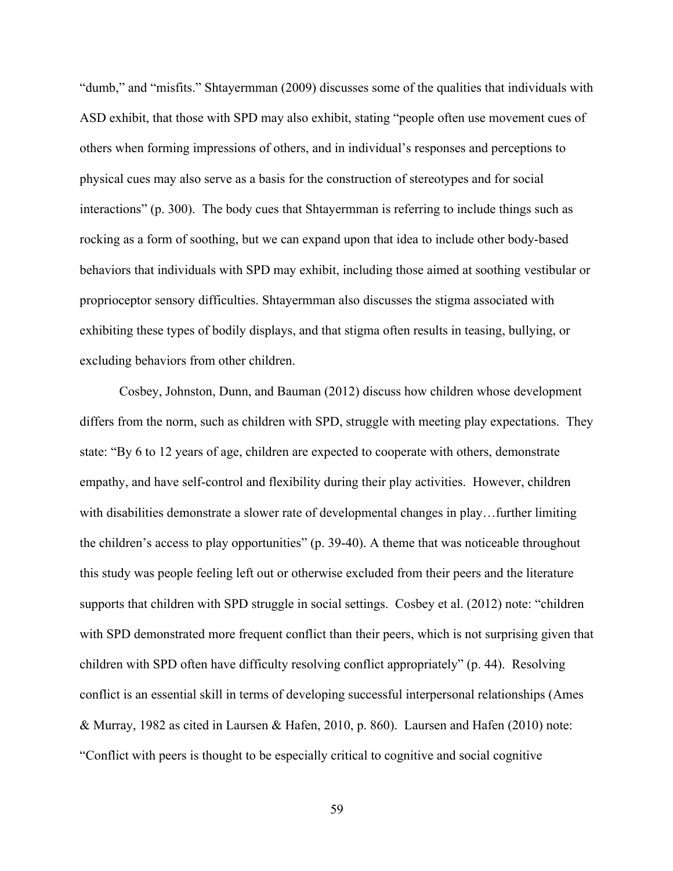"dumb," and "misfits." Shtayermman (2009) discusses some of the qualities that individuals with ASD exhibit, that those with SPD may also exhibit, stating "people often use movement cues of others when forming impressions of others, and in individual's responses and perceptions to physical cues may also serve as a basis for the construction of stereotypes and for social interactions" (p. 300). The body cues that Shtayermman is referring to include things such as rocking as a form of soothing, but we can expand upon that idea to include other body-based behaviors that individuals with SPD may exhibit, including those aimed at soothing vestibular or proprioceptor sensory difficulties. Shtayermman also discusses the stigma associated with exhibiting these types of bodily displays, and that stigma often results in teasing, bullying, or excluding behaviors from other children.

Cosbey, Johnston, Dunn, and Bauman (2012) discuss how children whose development differs from the norm, such as children with SPD, struggle with meeting play expectations. They state: "By 6 to 12 years of age, children are expected to cooperate with others, demonstrate empathy, and have self-control and flexibility during their play activities. However, children with disabilities demonstrate a slower rate of developmental changes in play...further limiting the children's access to play opportunities" (p. 39-40). A theme that was noticeable throughout this study was people feeling left out or otherwise excluded from their peers and the literature supports that children with SPD struggle in social settings. Cosbey et al. (2012) note: "children with SPD demonstrated more frequent conflict than their peers, which is not surprising given that children with SPD often have difficulty resolving conflict appropriately" (p. 44). Resolving conflict is an essential skill in terms of developing successful interpersonal relationships (Ames & Murray, 1982 as cited in Laursen & Hafen, 2010, p. 860). Laursen and Hafen (2010) note: "Conflict with peers is thought to be especially critical to cognitive and social cognitive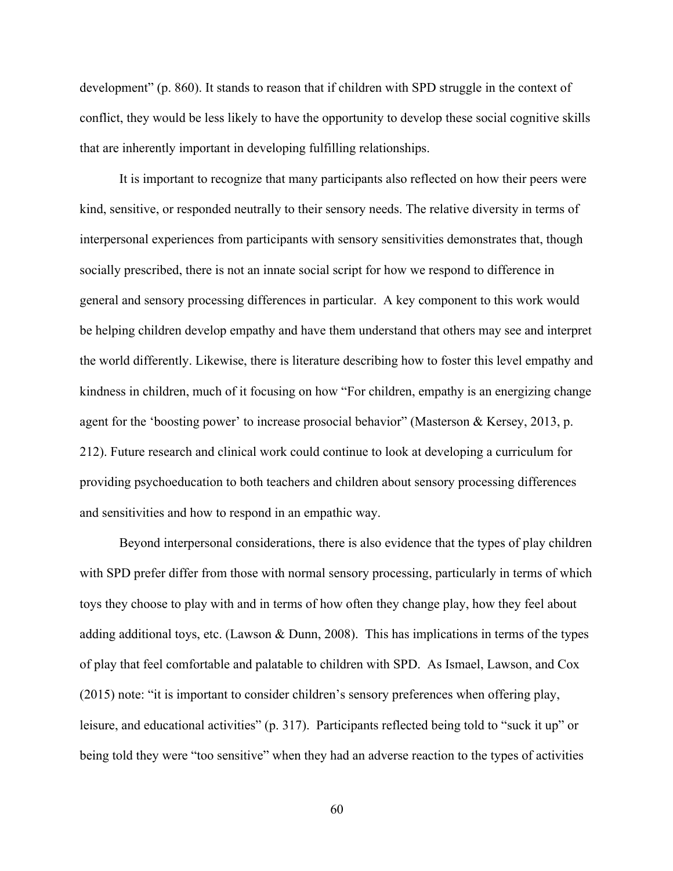development" (p. 860). It stands to reason that if children with SPD struggle in the context of conflict, they would be less likely to have the opportunity to develop these social cognitive skills that are inherently important in developing fulfilling relationships.

It is important to recognize that many participants also reflected on how their peers were kind, sensitive, or responded neutrally to their sensory needs. The relative diversity in terms of interpersonal experiences from participants with sensory sensitivities demonstrates that, though socially prescribed, there is not an innate social script for how we respond to difference in general and sensory processing differences in particular. A key component to this work would be helping children develop empathy and have them understand that others may see and interpret the world differently. Likewise, there is literature describing how to foster this level empathy and kindness in children, much of it focusing on how "For children, empathy is an energizing change agent for the 'boosting power' to increase prosocial behavior" (Masterson & Kersey, 2013, p. 212). Future research and clinical work could continue to look at developing a curriculum for providing psychoeducation to both teachers and children about sensory processing differences and sensitivities and how to respond in an empathic way.

Beyond interpersonal considerations, there is also evidence that the types of play children with SPD prefer differ from those with normal sensory processing, particularly in terms of which toys they choose to play with and in terms of how often they change play, how they feel about adding additional toys, etc. (Lawson & Dunn, 2008). This has implications in terms of the types of play that feel comfortable and palatable to children with SPD. As Ismael, Lawson, and Cox (2015) note: "it is important to consider children's sensory preferences when offering play, leisure, and educational activities" (p. 317). Participants reflected being told to "suck it up" or being told they were "too sensitive" when they had an adverse reaction to the types of activities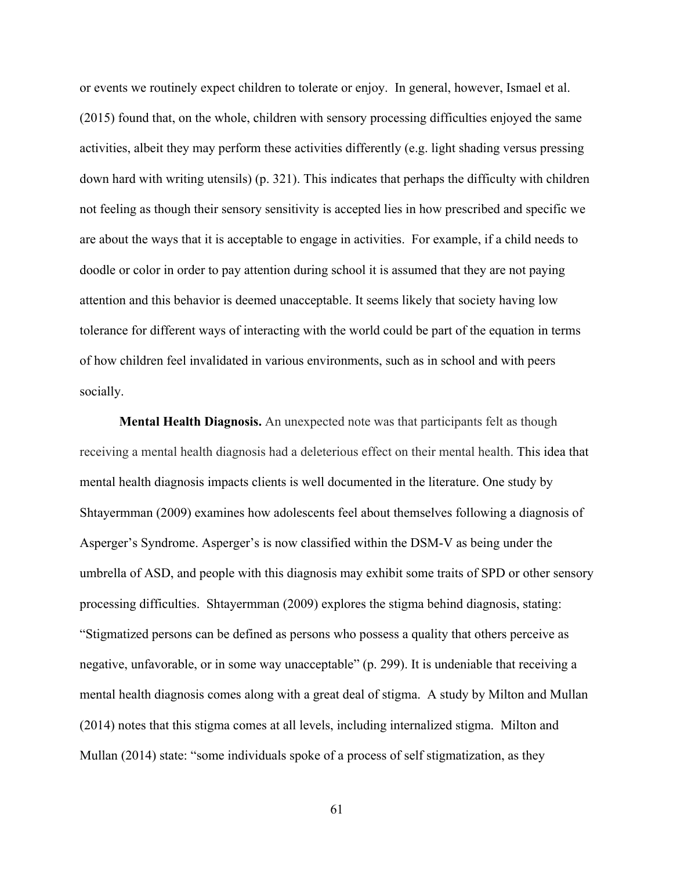or events we routinely expect children to tolerate or enjoy. In general, however, Ismael et al. (2015) found that, on the whole, children with sensory processing difficulties enjoyed the same activities, albeit they may perform these activities differently (e.g. light shading versus pressing down hard with writing utensils) (p. 321). This indicates that perhaps the difficulty with children not feeling as though their sensory sensitivity is accepted lies in how prescribed and specific we are about the ways that it is acceptable to engage in activities. For example, if a child needs to doodle or color in order to pay attention during school it is assumed that they are not paying attention and this behavior is deemed unacceptable. It seems likely that society having low tolerance for different ways of interacting with the world could be part of the equation in terms of how children feel invalidated in various environments, such as in school and with peers socially.

**Mental Health Diagnosis.** An unexpected note was that participants felt as though receiving a mental health diagnosis had a deleterious effect on their mental health. This idea that mental health diagnosis impacts clients is well documented in the literature. One study by Shtayermman (2009) examines how adolescents feel about themselves following a diagnosis of Asperger's Syndrome. Asperger's is now classified within the DSM-V as being under the umbrella of ASD, and people with this diagnosis may exhibit some traits of SPD or other sensory processing difficulties. Shtayermman (2009) explores the stigma behind diagnosis, stating: "Stigmatized persons can be defined as persons who possess a quality that others perceive as negative, unfavorable, or in some way unacceptable" (p. 299). It is undeniable that receiving a mental health diagnosis comes along with a great deal of stigma. A study by Milton and Mullan (2014) notes that this stigma comes at all levels, including internalized stigma. Milton and Mullan (2014) state: "some individuals spoke of a process of self stigmatization, as they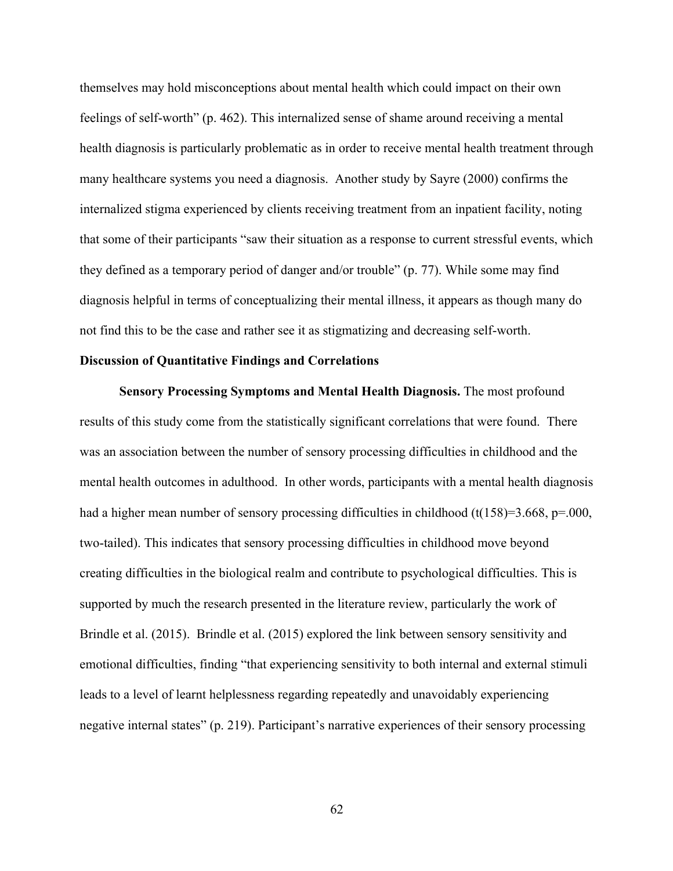themselves may hold misconceptions about mental health which could impact on their own feelings of self-worth" (p. 462). This internalized sense of shame around receiving a mental health diagnosis is particularly problematic as in order to receive mental health treatment through many healthcare systems you need a diagnosis. Another study by Sayre (2000) confirms the internalized stigma experienced by clients receiving treatment from an inpatient facility, noting that some of their participants "saw their situation as a response to current stressful events, which they defined as a temporary period of danger and/or trouble" (p. 77). While some may find diagnosis helpful in terms of conceptualizing their mental illness, it appears as though many do not find this to be the case and rather see it as stigmatizing and decreasing self-worth.

## **Discussion of Quantitative Findings and Correlations**

**Sensory Processing Symptoms and Mental Health Diagnosis.** The most profound results of this study come from the statistically significant correlations that were found. There was an association between the number of sensory processing difficulties in childhood and the mental health outcomes in adulthood. In other words, participants with a mental health diagnosis had a higher mean number of sensory processing difficulties in childhood  $(t(158)=3.668, p=000,$ two-tailed). This indicates that sensory processing difficulties in childhood move beyond creating difficulties in the biological realm and contribute to psychological difficulties. This is supported by much the research presented in the literature review, particularly the work of Brindle et al. (2015). Brindle et al. (2015) explored the link between sensory sensitivity and emotional difficulties, finding "that experiencing sensitivity to both internal and external stimuli leads to a level of learnt helplessness regarding repeatedly and unavoidably experiencing negative internal states" (p. 219). Participant's narrative experiences of their sensory processing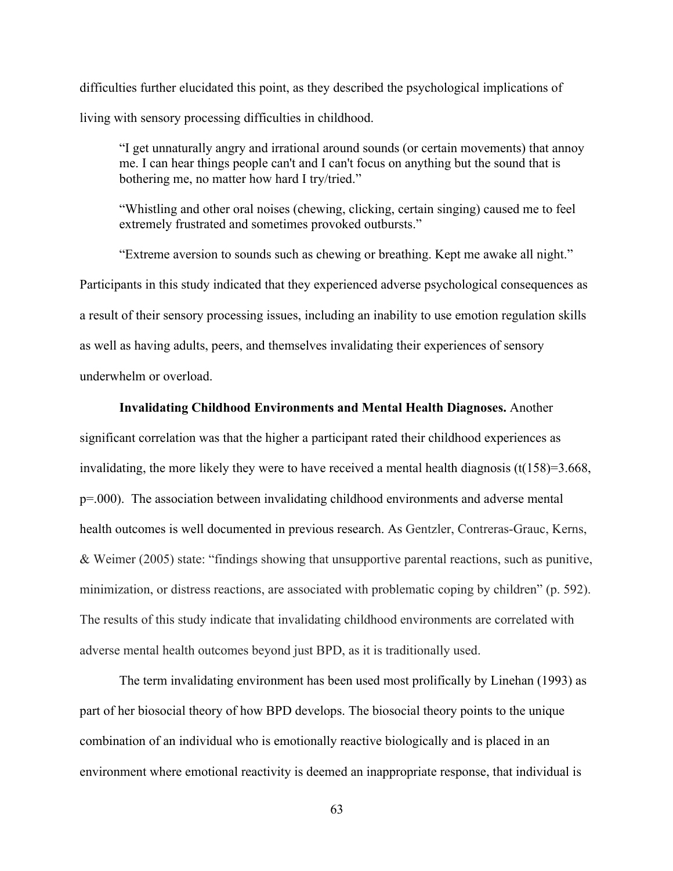difficulties further elucidated this point, as they described the psychological implications of living with sensory processing difficulties in childhood.

"I get unnaturally angry and irrational around sounds (or certain movements) that annoy me. I can hear things people can't and I can't focus on anything but the sound that is bothering me, no matter how hard I try/tried."

"Whistling and other oral noises (chewing, clicking, certain singing) caused me to feel extremely frustrated and sometimes provoked outbursts."

"Extreme aversion to sounds such as chewing or breathing. Kept me awake all night." Participants in this study indicated that they experienced adverse psychological consequences as a result of their sensory processing issues, including an inability to use emotion regulation skills as well as having adults, peers, and themselves invalidating their experiences of sensory underwhelm or overload.

## **Invalidating Childhood Environments and Mental Health Diagnoses.** Another

significant correlation was that the higher a participant rated their childhood experiences as invalidating, the more likely they were to have received a mental health diagnosis  $(t(158)=3.668)$ , p=.000). The association between invalidating childhood environments and adverse mental health outcomes is well documented in previous research. As Gentzler, Contreras-Grauc, Kerns, & Weimer (2005) state: "findings showing that unsupportive parental reactions, such as punitive, minimization, or distress reactions, are associated with problematic coping by children" (p. 592). The results of this study indicate that invalidating childhood environments are correlated with adverse mental health outcomes beyond just BPD, as it is traditionally used.

The term invalidating environment has been used most prolifically by Linehan (1993) as part of her biosocial theory of how BPD develops. The biosocial theory points to the unique combination of an individual who is emotionally reactive biologically and is placed in an environment where emotional reactivity is deemed an inappropriate response, that individual is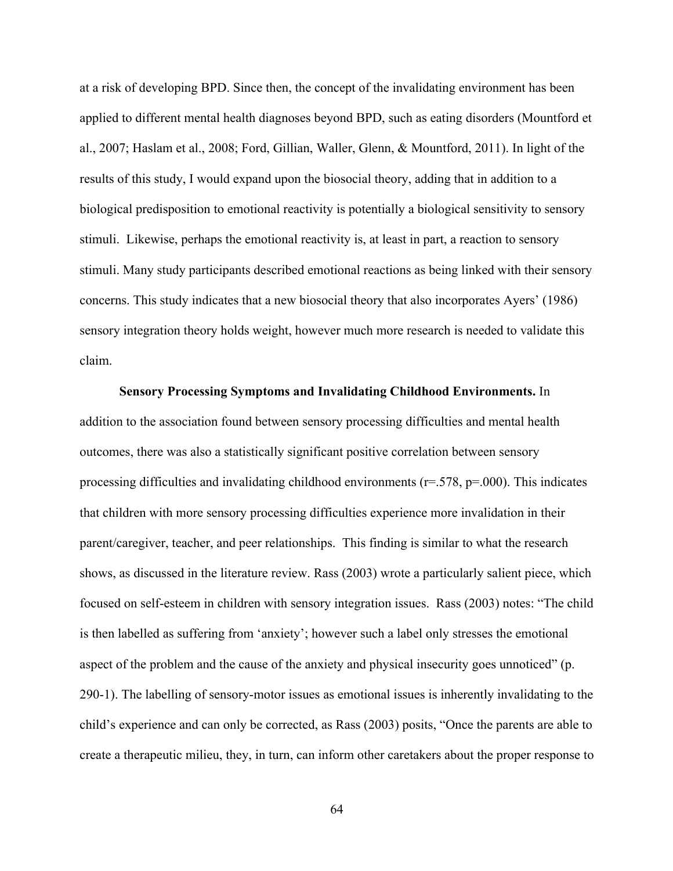at a risk of developing BPD. Since then, the concept of the invalidating environment has been applied to different mental health diagnoses beyond BPD, such as eating disorders (Mountford et al., 2007; Haslam et al., 2008; Ford, Gillian, Waller, Glenn, & Mountford, 2011). In light of the results of this study, I would expand upon the biosocial theory, adding that in addition to a biological predisposition to emotional reactivity is potentially a biological sensitivity to sensory stimuli. Likewise, perhaps the emotional reactivity is, at least in part, a reaction to sensory stimuli. Many study participants described emotional reactions as being linked with their sensory concerns. This study indicates that a new biosocial theory that also incorporates Ayers' (1986) sensory integration theory holds weight, however much more research is needed to validate this claim.

**Sensory Processing Symptoms and Invalidating Childhood Environments.** In addition to the association found between sensory processing difficulties and mental health outcomes, there was also a statistically significant positive correlation between sensory processing difficulties and invalidating childhood environments ( $r = .578$ ,  $p = .000$ ). This indicates that children with more sensory processing difficulties experience more invalidation in their parent/caregiver, teacher, and peer relationships. This finding is similar to what the research shows, as discussed in the literature review. Rass (2003) wrote a particularly salient piece, which focused on self-esteem in children with sensory integration issues. Rass (2003) notes: "The child is then labelled as suffering from 'anxiety'; however such a label only stresses the emotional aspect of the problem and the cause of the anxiety and physical insecurity goes unnoticed" (p. 290-1). The labelling of sensory-motor issues as emotional issues is inherently invalidating to the child's experience and can only be corrected, as Rass (2003) posits, "Once the parents are able to create a therapeutic milieu, they, in turn, can inform other caretakers about the proper response to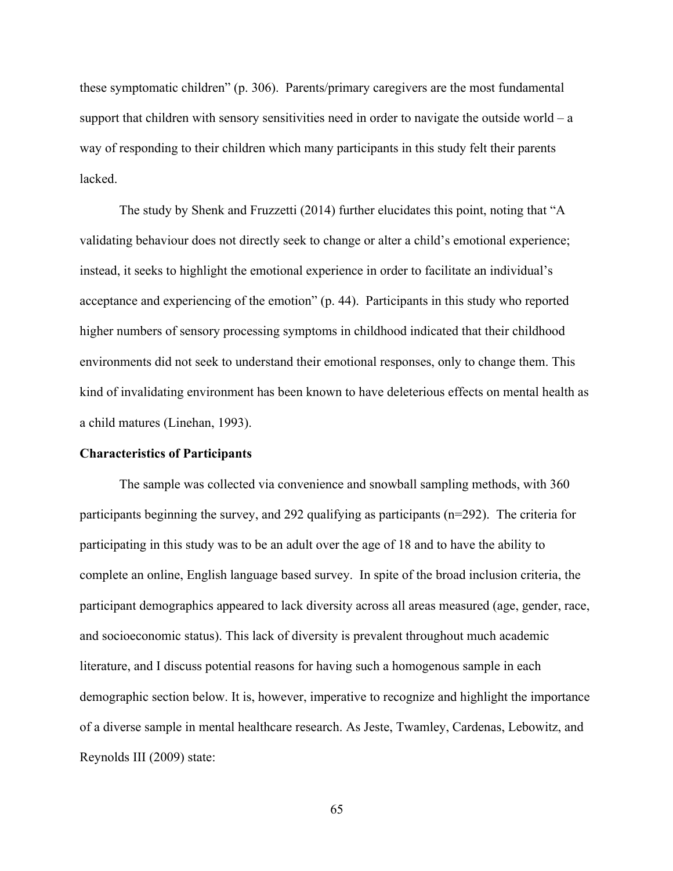these symptomatic children" (p. 306). Parents/primary caregivers are the most fundamental support that children with sensory sensitivities need in order to navigate the outside world – a way of responding to their children which many participants in this study felt their parents lacked.

The study by Shenk and Fruzzetti (2014) further elucidates this point, noting that "A validating behaviour does not directly seek to change or alter a child's emotional experience; instead, it seeks to highlight the emotional experience in order to facilitate an individual's acceptance and experiencing of the emotion" (p. 44). Participants in this study who reported higher numbers of sensory processing symptoms in childhood indicated that their childhood environments did not seek to understand their emotional responses, only to change them. This kind of invalidating environment has been known to have deleterious effects on mental health as a child matures (Linehan, 1993).

## **Characteristics of Participants**

The sample was collected via convenience and snowball sampling methods, with 360 participants beginning the survey, and 292 qualifying as participants (n=292). The criteria for participating in this study was to be an adult over the age of 18 and to have the ability to complete an online, English language based survey. In spite of the broad inclusion criteria, the participant demographics appeared to lack diversity across all areas measured (age, gender, race, and socioeconomic status). This lack of diversity is prevalent throughout much academic literature, and I discuss potential reasons for having such a homogenous sample in each demographic section below. It is, however, imperative to recognize and highlight the importance of a diverse sample in mental healthcare research. As Jeste, Twamley, Cardenas, Lebowitz, and Reynolds III (2009) state: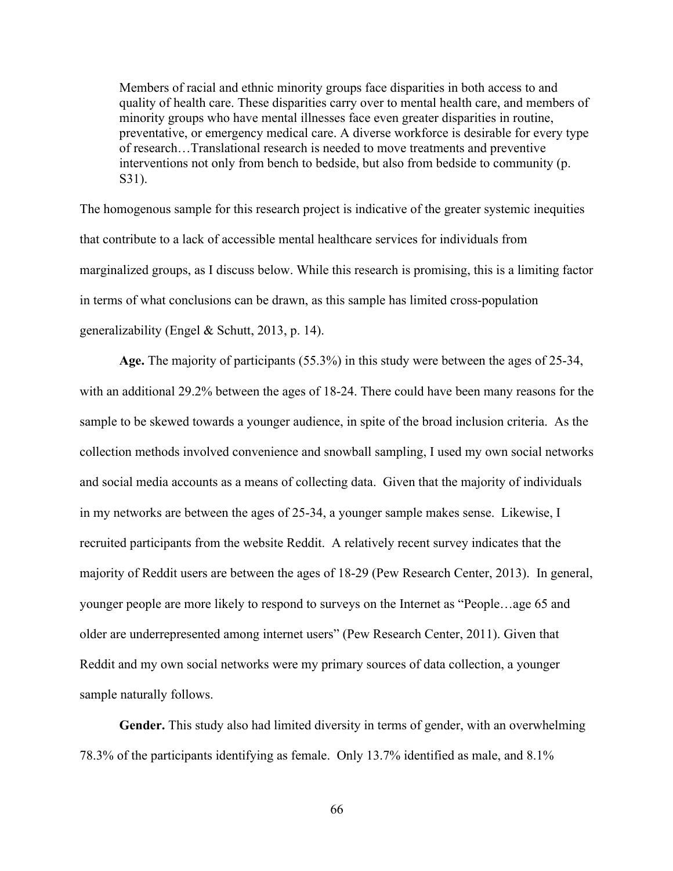Members of racial and ethnic minority groups face disparities in both access to and quality of health care. These disparities carry over to mental health care, and members of minority groups who have mental illnesses face even greater disparities in routine, preventative, or emergency medical care. A diverse workforce is desirable for every type of research…Translational research is needed to move treatments and preventive interventions not only from bench to bedside, but also from bedside to community (p. S31).

The homogenous sample for this research project is indicative of the greater systemic inequities that contribute to a lack of accessible mental healthcare services for individuals from marginalized groups, as I discuss below. While this research is promising, this is a limiting factor in terms of what conclusions can be drawn, as this sample has limited cross-population generalizability (Engel & Schutt, 2013, p. 14).

**Age.** The majority of participants (55.3%) in this study were between the ages of 25-34, with an additional 29.2% between the ages of 18-24. There could have been many reasons for the sample to be skewed towards a younger audience, in spite of the broad inclusion criteria. As the collection methods involved convenience and snowball sampling, I used my own social networks and social media accounts as a means of collecting data. Given that the majority of individuals in my networks are between the ages of 25-34, a younger sample makes sense. Likewise, I recruited participants from the website Reddit. A relatively recent survey indicates that the majority of Reddit users are between the ages of 18-29 (Pew Research Center, 2013). In general, younger people are more likely to respond to surveys on the Internet as "People…age 65 and older are underrepresented among internet users" (Pew Research Center, 2011). Given that Reddit and my own social networks were my primary sources of data collection, a younger sample naturally follows.

**Gender.** This study also had limited diversity in terms of gender, with an overwhelming 78.3% of the participants identifying as female. Only 13.7% identified as male, and 8.1%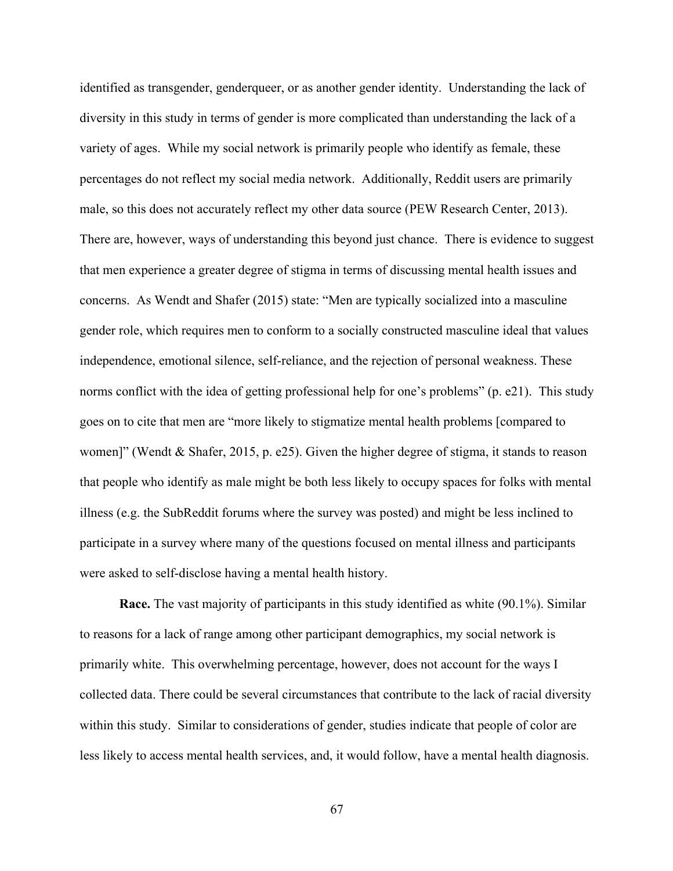identified as transgender, genderqueer, or as another gender identity. Understanding the lack of diversity in this study in terms of gender is more complicated than understanding the lack of a variety of ages. While my social network is primarily people who identify as female, these percentages do not reflect my social media network. Additionally, Reddit users are primarily male, so this does not accurately reflect my other data source (PEW Research Center, 2013). There are, however, ways of understanding this beyond just chance. There is evidence to suggest that men experience a greater degree of stigma in terms of discussing mental health issues and concerns. As Wendt and Shafer (2015) state: "Men are typically socialized into a masculine gender role, which requires men to conform to a socially constructed masculine ideal that values independence, emotional silence, self-reliance, and the rejection of personal weakness. These norms conflict with the idea of getting professional help for one's problems" (p. e21). This study goes on to cite that men are "more likely to stigmatize mental health problems [compared to women]" (Wendt & Shafer, 2015, p. e25). Given the higher degree of stigma, it stands to reason that people who identify as male might be both less likely to occupy spaces for folks with mental illness (e.g. the SubReddit forums where the survey was posted) and might be less inclined to participate in a survey where many of the questions focused on mental illness and participants were asked to self-disclose having a mental health history.

**Race.** The vast majority of participants in this study identified as white (90.1%). Similar to reasons for a lack of range among other participant demographics, my social network is primarily white. This overwhelming percentage, however, does not account for the ways I collected data. There could be several circumstances that contribute to the lack of racial diversity within this study. Similar to considerations of gender, studies indicate that people of color are less likely to access mental health services, and, it would follow, have a mental health diagnosis.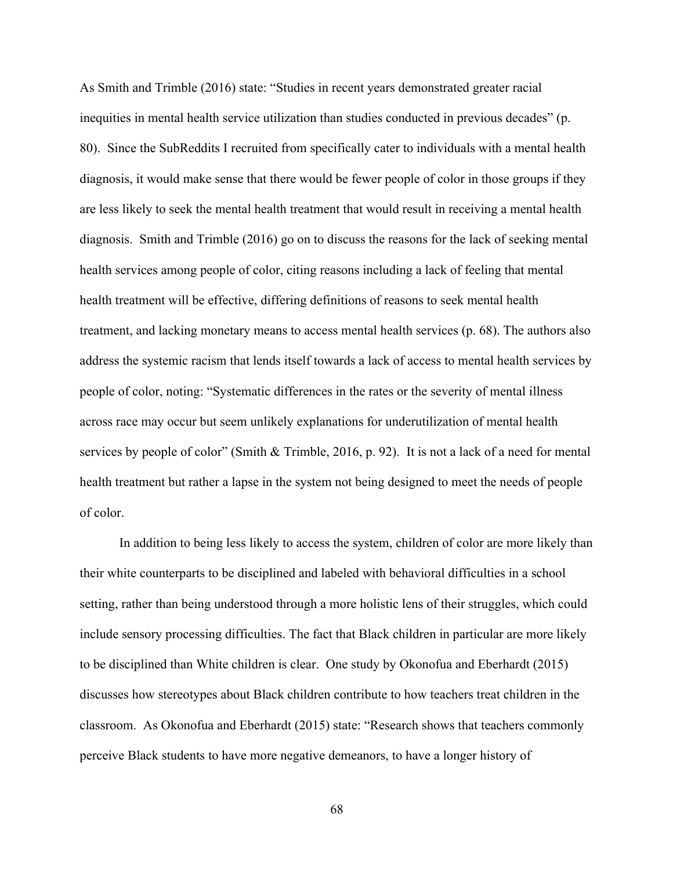As Smith and Trimble (2016) state: "Studies in recent years demonstrated greater racial inequities in mental health service utilization than studies conducted in previous decades" (p. 80). Since the SubReddits I recruited from specifically cater to individuals with a mental health diagnosis, it would make sense that there would be fewer people of color in those groups if they are less likely to seek the mental health treatment that would result in receiving a mental health diagnosis. Smith and Trimble (2016) go on to discuss the reasons for the lack of seeking mental health services among people of color, citing reasons including a lack of feeling that mental health treatment will be effective, differing definitions of reasons to seek mental health treatment, and lacking monetary means to access mental health services (p. 68). The authors also address the systemic racism that lends itself towards a lack of access to mental health services by people of color, noting: "Systematic differences in the rates or the severity of mental illness across race may occur but seem unlikely explanations for underutilization of mental health services by people of color" (Smith & Trimble, 2016, p. 92). It is not a lack of a need for mental health treatment but rather a lapse in the system not being designed to meet the needs of people of color.

In addition to being less likely to access the system, children of color are more likely than their white counterparts to be disciplined and labeled with behavioral difficulties in a school setting, rather than being understood through a more holistic lens of their struggles, which could include sensory processing difficulties. The fact that Black children in particular are more likely to be disciplined than White children is clear. One study by Okonofua and Eberhardt (2015) discusses how stereotypes about Black children contribute to how teachers treat children in the classroom. As Okonofua and Eberhardt (2015) state: "Research shows that teachers commonly perceive Black students to have more negative demeanors, to have a longer history of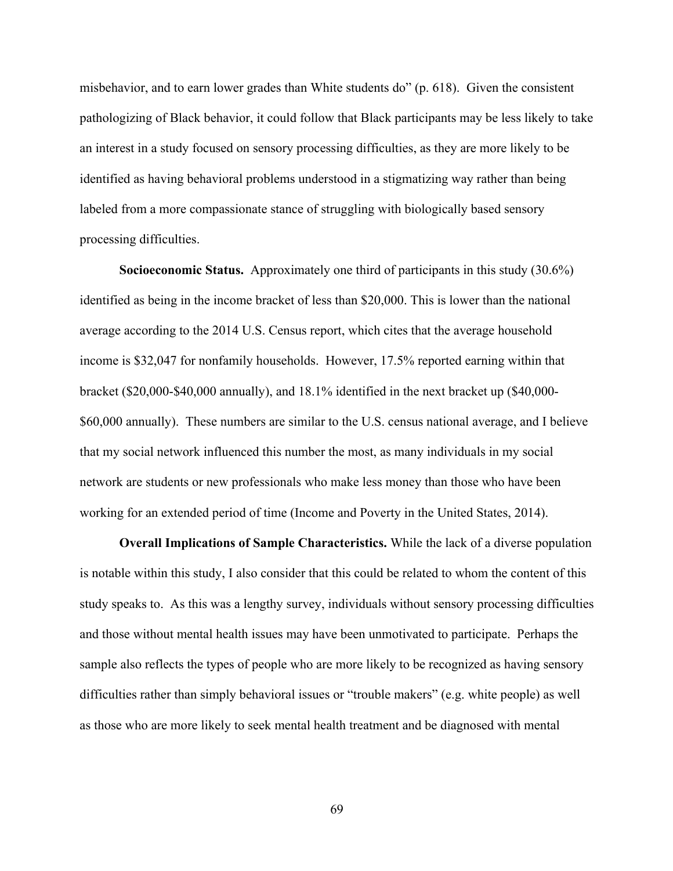misbehavior, and to earn lower grades than White students do" (p. 618). Given the consistent pathologizing of Black behavior, it could follow that Black participants may be less likely to take an interest in a study focused on sensory processing difficulties, as they are more likely to be identified as having behavioral problems understood in a stigmatizing way rather than being labeled from a more compassionate stance of struggling with biologically based sensory processing difficulties.

**Socioeconomic Status.** Approximately one third of participants in this study (30.6%) identified as being in the income bracket of less than \$20,000. This is lower than the national average according to the 2014 U.S. Census report, which cites that the average household income is \$32,047 for nonfamily households. However, 17.5% reported earning within that bracket (\$20,000-\$40,000 annually), and 18.1% identified in the next bracket up (\$40,000- \$60,000 annually). These numbers are similar to the U.S. census national average, and I believe that my social network influenced this number the most, as many individuals in my social network are students or new professionals who make less money than those who have been working for an extended period of time (Income and Poverty in the United States, 2014).

**Overall Implications of Sample Characteristics.** While the lack of a diverse population is notable within this study, I also consider that this could be related to whom the content of this study speaks to. As this was a lengthy survey, individuals without sensory processing difficulties and those without mental health issues may have been unmotivated to participate. Perhaps the sample also reflects the types of people who are more likely to be recognized as having sensory difficulties rather than simply behavioral issues or "trouble makers" (e.g. white people) as well as those who are more likely to seek mental health treatment and be diagnosed with mental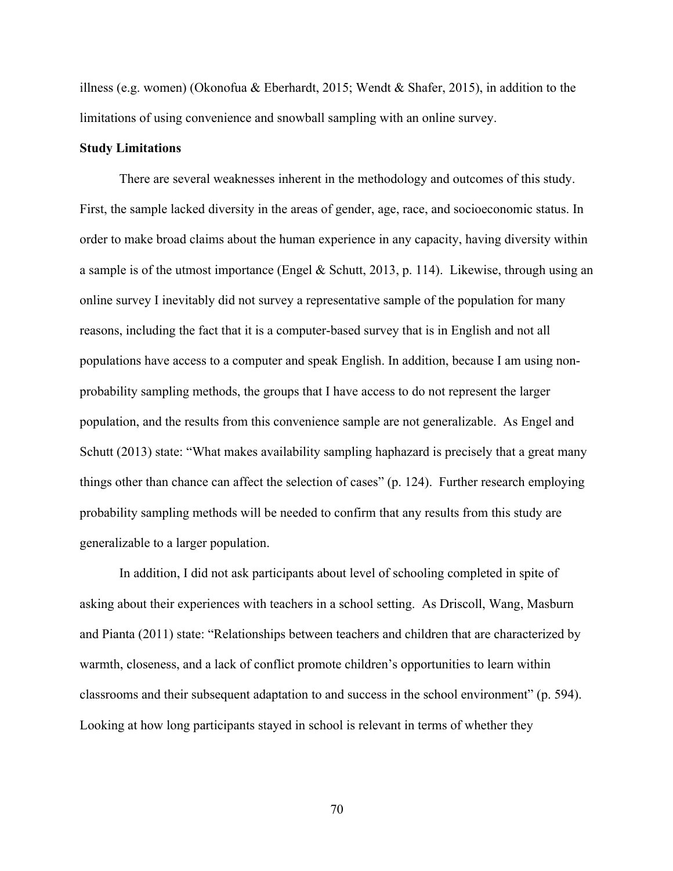illness (e.g. women) (Okonofua & Eberhardt, 2015; Wendt & Shafer, 2015), in addition to the limitations of using convenience and snowball sampling with an online survey.

## **Study Limitations**

There are several weaknesses inherent in the methodology and outcomes of this study. First, the sample lacked diversity in the areas of gender, age, race, and socioeconomic status. In order to make broad claims about the human experience in any capacity, having diversity within a sample is of the utmost importance (Engel & Schutt, 2013, p. 114). Likewise, through using an online survey I inevitably did not survey a representative sample of the population for many reasons, including the fact that it is a computer-based survey that is in English and not all populations have access to a computer and speak English. In addition, because I am using nonprobability sampling methods, the groups that I have access to do not represent the larger population, and the results from this convenience sample are not generalizable. As Engel and Schutt (2013) state: "What makes availability sampling haphazard is precisely that a great many things other than chance can affect the selection of cases" (p. 124). Further research employing probability sampling methods will be needed to confirm that any results from this study are generalizable to a larger population.

In addition, I did not ask participants about level of schooling completed in spite of asking about their experiences with teachers in a school setting. As Driscoll, Wang, Masburn and Pianta (2011) state: "Relationships between teachers and children that are characterized by warmth, closeness, and a lack of conflict promote children's opportunities to learn within classrooms and their subsequent adaptation to and success in the school environment" (p. 594). Looking at how long participants stayed in school is relevant in terms of whether they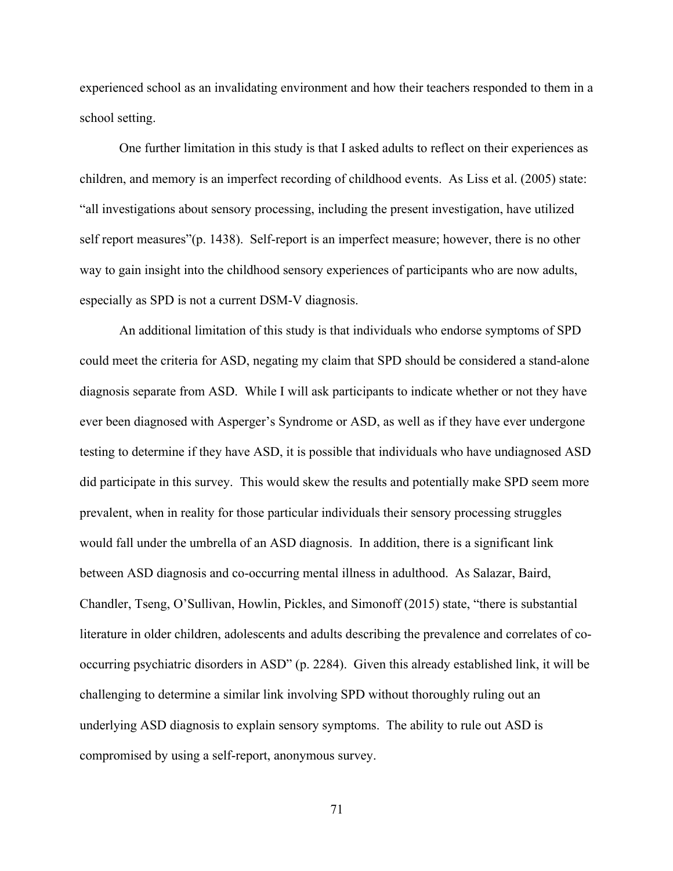experienced school as an invalidating environment and how their teachers responded to them in a school setting.

One further limitation in this study is that I asked adults to reflect on their experiences as children, and memory is an imperfect recording of childhood events. As Liss et al. (2005) state: "all investigations about sensory processing, including the present investigation, have utilized self report measures"(p. 1438). Self-report is an imperfect measure; however, there is no other way to gain insight into the childhood sensory experiences of participants who are now adults, especially as SPD is not a current DSM-V diagnosis.

An additional limitation of this study is that individuals who endorse symptoms of SPD could meet the criteria for ASD, negating my claim that SPD should be considered a stand-alone diagnosis separate from ASD. While I will ask participants to indicate whether or not they have ever been diagnosed with Asperger's Syndrome or ASD, as well as if they have ever undergone testing to determine if they have ASD, it is possible that individuals who have undiagnosed ASD did participate in this survey. This would skew the results and potentially make SPD seem more prevalent, when in reality for those particular individuals their sensory processing struggles would fall under the umbrella of an ASD diagnosis. In addition, there is a significant link between ASD diagnosis and co-occurring mental illness in adulthood. As Salazar, Baird, Chandler, Tseng, O'Sullivan, Howlin, Pickles, and Simonoff (2015) state, "there is substantial literature in older children, adolescents and adults describing the prevalence and correlates of cooccurring psychiatric disorders in ASD" (p. 2284). Given this already established link, it will be challenging to determine a similar link involving SPD without thoroughly ruling out an underlying ASD diagnosis to explain sensory symptoms. The ability to rule out ASD is compromised by using a self-report, anonymous survey.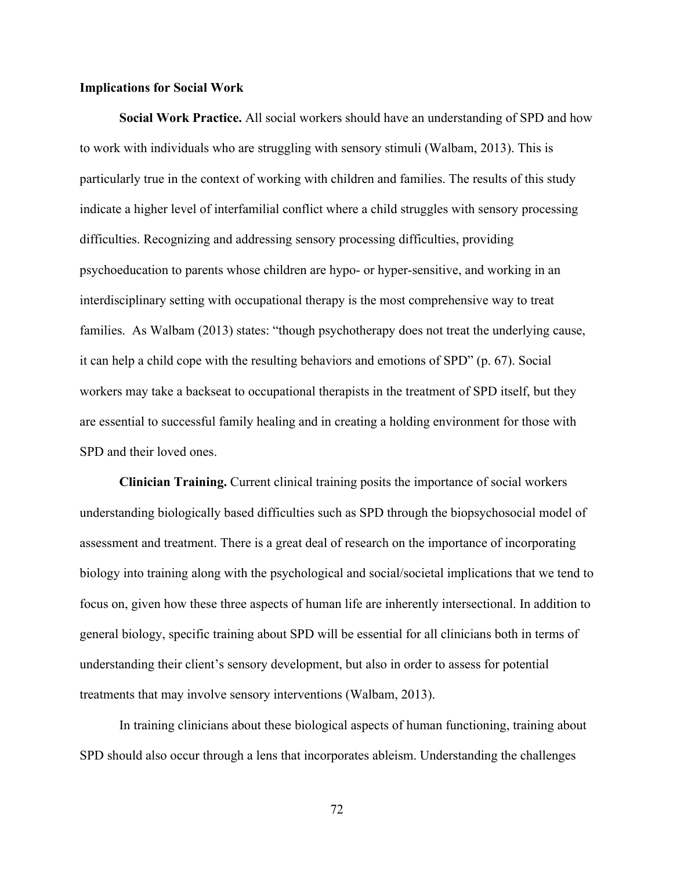### **Implications for Social Work**

**Social Work Practice.** All social workers should have an understanding of SPD and how to work with individuals who are struggling with sensory stimuli (Walbam, 2013). This is particularly true in the context of working with children and families. The results of this study indicate a higher level of interfamilial conflict where a child struggles with sensory processing difficulties. Recognizing and addressing sensory processing difficulties, providing psychoeducation to parents whose children are hypo- or hyper-sensitive, and working in an interdisciplinary setting with occupational therapy is the most comprehensive way to treat families. As Walbam (2013) states: "though psychotherapy does not treat the underlying cause, it can help a child cope with the resulting behaviors and emotions of SPD" (p. 67). Social workers may take a backseat to occupational therapists in the treatment of SPD itself, but they are essential to successful family healing and in creating a holding environment for those with SPD and their loved ones.

**Clinician Training.** Current clinical training posits the importance of social workers understanding biologically based difficulties such as SPD through the biopsychosocial model of assessment and treatment. There is a great deal of research on the importance of incorporating biology into training along with the psychological and social/societal implications that we tend to focus on, given how these three aspects of human life are inherently intersectional. In addition to general biology, specific training about SPD will be essential for all clinicians both in terms of understanding their client's sensory development, but also in order to assess for potential treatments that may involve sensory interventions (Walbam, 2013).

In training clinicians about these biological aspects of human functioning, training about SPD should also occur through a lens that incorporates ableism. Understanding the challenges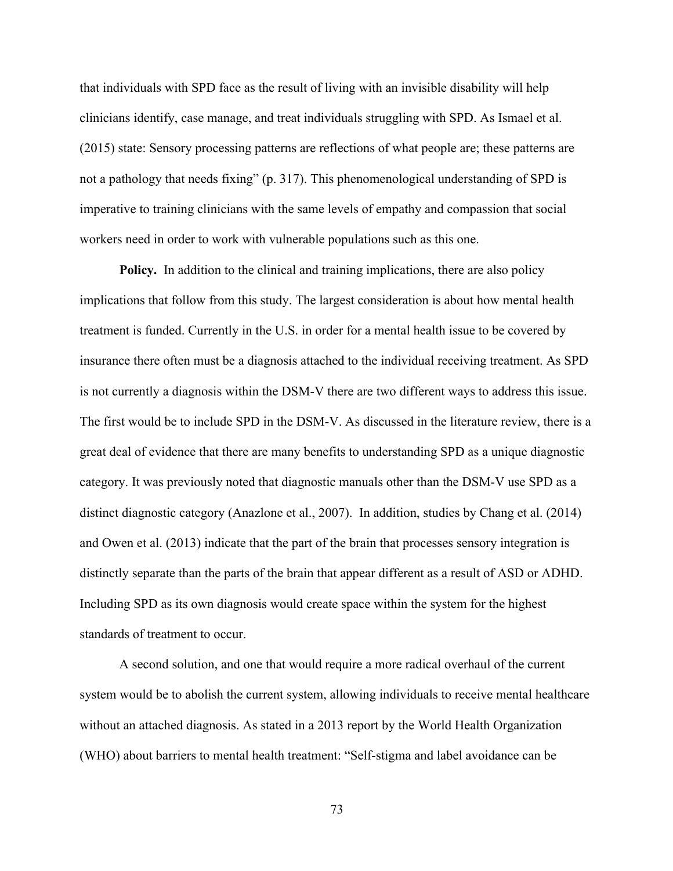that individuals with SPD face as the result of living with an invisible disability will help clinicians identify, case manage, and treat individuals struggling with SPD. As Ismael et al. (2015) state: Sensory processing patterns are reflections of what people are; these patterns are not a pathology that needs fixing" (p. 317). This phenomenological understanding of SPD is imperative to training clinicians with the same levels of empathy and compassion that social workers need in order to work with vulnerable populations such as this one.

**Policy.** In addition to the clinical and training implications, there are also policy implications that follow from this study. The largest consideration is about how mental health treatment is funded. Currently in the U.S. in order for a mental health issue to be covered by insurance there often must be a diagnosis attached to the individual receiving treatment. As SPD is not currently a diagnosis within the DSM-V there are two different ways to address this issue. The first would be to include SPD in the DSM-V. As discussed in the literature review, there is a great deal of evidence that there are many benefits to understanding SPD as a unique diagnostic category. It was previously noted that diagnostic manuals other than the DSM-V use SPD as a distinct diagnostic category (Anazlone et al., 2007). In addition, studies by Chang et al. (2014) and Owen et al. (2013) indicate that the part of the brain that processes sensory integration is distinctly separate than the parts of the brain that appear different as a result of ASD or ADHD. Including SPD as its own diagnosis would create space within the system for the highest standards of treatment to occur.

A second solution, and one that would require a more radical overhaul of the current system would be to abolish the current system, allowing individuals to receive mental healthcare without an attached diagnosis. As stated in a 2013 report by the World Health Organization (WHO) about barriers to mental health treatment: "Self-stigma and label avoidance can be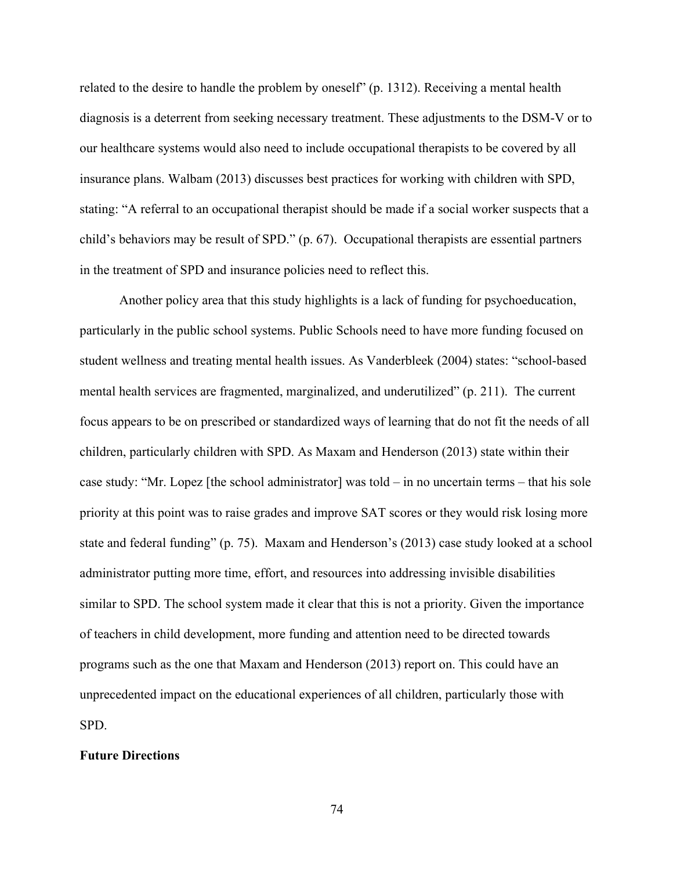related to the desire to handle the problem by oneself" (p. 1312). Receiving a mental health diagnosis is a deterrent from seeking necessary treatment. These adjustments to the DSM-V or to our healthcare systems would also need to include occupational therapists to be covered by all insurance plans. Walbam (2013) discusses best practices for working with children with SPD, stating: "A referral to an occupational therapist should be made if a social worker suspects that a child's behaviors may be result of SPD." (p. 67). Occupational therapists are essential partners in the treatment of SPD and insurance policies need to reflect this.

Another policy area that this study highlights is a lack of funding for psychoeducation, particularly in the public school systems. Public Schools need to have more funding focused on student wellness and treating mental health issues. As Vanderbleek (2004) states: "school-based mental health services are fragmented, marginalized, and underutilized" (p. 211). The current focus appears to be on prescribed or standardized ways of learning that do not fit the needs of all children, particularly children with SPD. As Maxam and Henderson (2013) state within their case study: "Mr. Lopez [the school administrator] was told – in no uncertain terms – that his sole priority at this point was to raise grades and improve SAT scores or they would risk losing more state and federal funding" (p. 75). Maxam and Henderson's (2013) case study looked at a school administrator putting more time, effort, and resources into addressing invisible disabilities similar to SPD. The school system made it clear that this is not a priority. Given the importance of teachers in child development, more funding and attention need to be directed towards programs such as the one that Maxam and Henderson (2013) report on. This could have an unprecedented impact on the educational experiences of all children, particularly those with SPD.

## **Future Directions**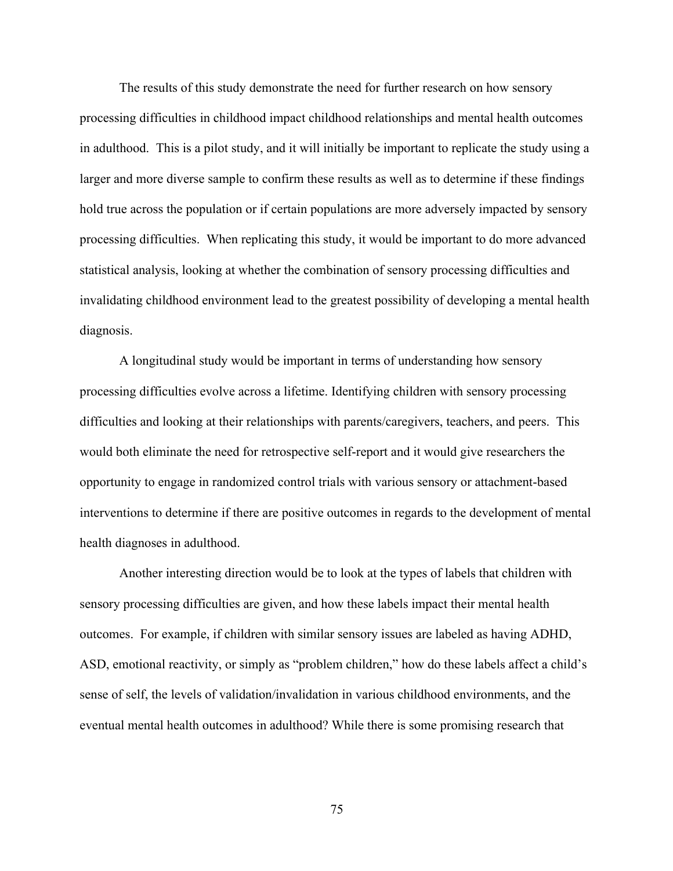The results of this study demonstrate the need for further research on how sensory processing difficulties in childhood impact childhood relationships and mental health outcomes in adulthood. This is a pilot study, and it will initially be important to replicate the study using a larger and more diverse sample to confirm these results as well as to determine if these findings hold true across the population or if certain populations are more adversely impacted by sensory processing difficulties. When replicating this study, it would be important to do more advanced statistical analysis, looking at whether the combination of sensory processing difficulties and invalidating childhood environment lead to the greatest possibility of developing a mental health diagnosis.

A longitudinal study would be important in terms of understanding how sensory processing difficulties evolve across a lifetime. Identifying children with sensory processing difficulties and looking at their relationships with parents/caregivers, teachers, and peers. This would both eliminate the need for retrospective self-report and it would give researchers the opportunity to engage in randomized control trials with various sensory or attachment-based interventions to determine if there are positive outcomes in regards to the development of mental health diagnoses in adulthood.

Another interesting direction would be to look at the types of labels that children with sensory processing difficulties are given, and how these labels impact their mental health outcomes. For example, if children with similar sensory issues are labeled as having ADHD, ASD, emotional reactivity, or simply as "problem children," how do these labels affect a child's sense of self, the levels of validation/invalidation in various childhood environments, and the eventual mental health outcomes in adulthood? While there is some promising research that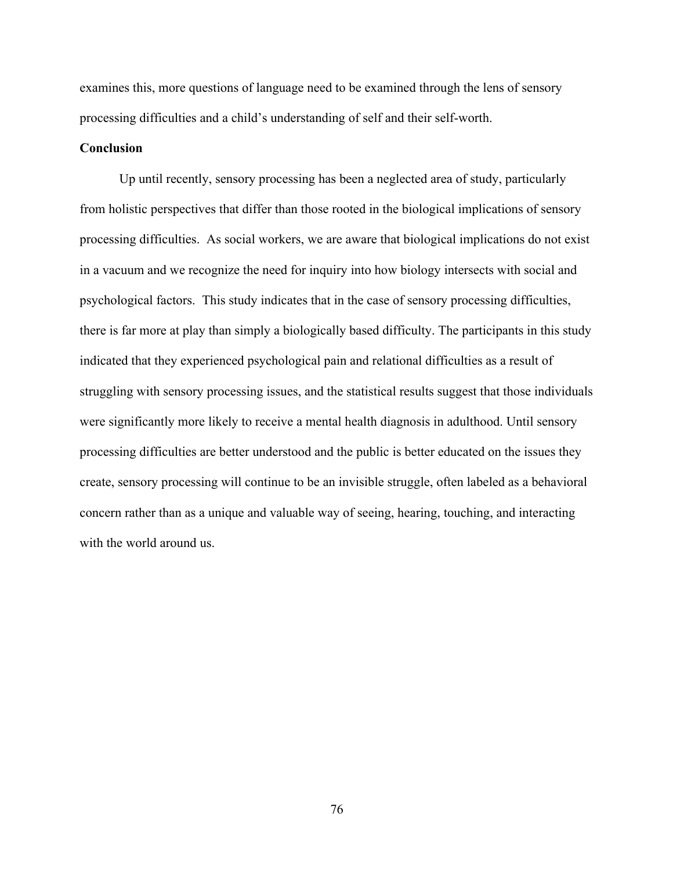examines this, more questions of language need to be examined through the lens of sensory processing difficulties and a child's understanding of self and their self-worth.

## **Conclusion**

Up until recently, sensory processing has been a neglected area of study, particularly from holistic perspectives that differ than those rooted in the biological implications of sensory processing difficulties. As social workers, we are aware that biological implications do not exist in a vacuum and we recognize the need for inquiry into how biology intersects with social and psychological factors. This study indicates that in the case of sensory processing difficulties, there is far more at play than simply a biologically based difficulty. The participants in this study indicated that they experienced psychological pain and relational difficulties as a result of struggling with sensory processing issues, and the statistical results suggest that those individuals were significantly more likely to receive a mental health diagnosis in adulthood. Until sensory processing difficulties are better understood and the public is better educated on the issues they create, sensory processing will continue to be an invisible struggle, often labeled as a behavioral concern rather than as a unique and valuable way of seeing, hearing, touching, and interacting with the world around us.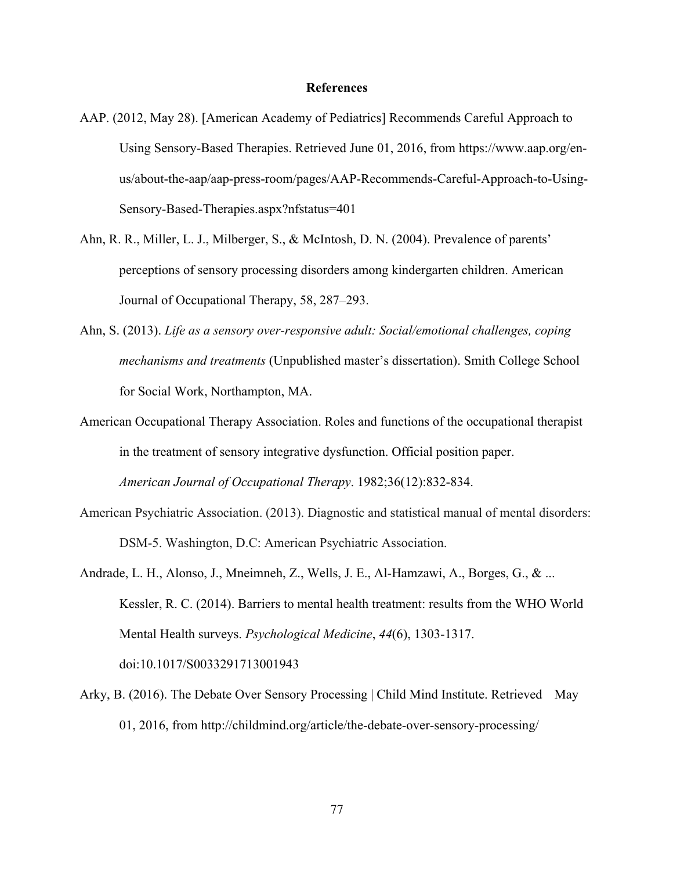## **References**

- AAP. (2012, May 28). [American Academy of Pediatrics] Recommends Careful Approach to Using Sensory-Based Therapies. Retrieved June 01, 2016, from https://www.aap.org/enus/about-the-aap/aap-press-room/pages/AAP-Recommends-Careful-Approach-to-Using-Sensory-Based-Therapies.aspx?nfstatus=401
- Ahn, R. R., Miller, L. J., Milberger, S., & McIntosh, D. N. (2004). Prevalence of parents' perceptions of sensory processing disorders among kindergarten children. American Journal of Occupational Therapy, 58, 287–293.
- Ahn, S. (2013). *Life as a sensory over-responsive adult: Social/emotional challenges, coping mechanisms and treatments* (Unpublished master's dissertation). Smith College School for Social Work, Northampton, MA.
- American Occupational Therapy Association. Roles and functions of the occupational therapist in the treatment of sensory integrative dysfunction. Official position paper. *American Journal of Occupational Therapy*. 1982;36(12):832-834.
- American Psychiatric Association. (2013). Diagnostic and statistical manual of mental disorders: DSM-5. Washington, D.C: American Psychiatric Association.
- Andrade, L. H., Alonso, J., Mneimneh, Z., Wells, J. E., Al-Hamzawi, A., Borges, G., & ... Kessler, R. C. (2014). Barriers to mental health treatment: results from the WHO World Mental Health surveys. *Psychological Medicine*, *44*(6), 1303-1317. doi:10.1017/S0033291713001943
- Arky, B. (2016). The Debate Over Sensory Processing | Child Mind Institute. Retrieved May 01, 2016, from http://childmind.org/article/the-debate-over-sensory-processing/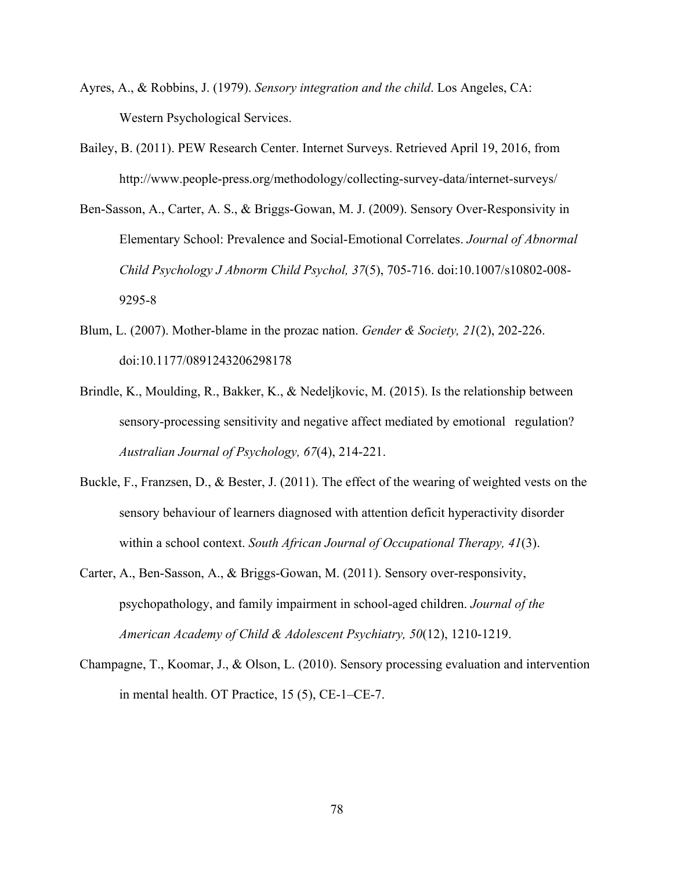- Ayres, A., & Robbins, J. (1979). *Sensory integration and the child*. Los Angeles, CA: Western Psychological Services.
- Bailey, B. (2011). PEW Research Center. Internet Surveys. Retrieved April 19, 2016, from http://www.people-press.org/methodology/collecting-survey-data/internet-surveys/
- Ben-Sasson, A., Carter, A. S., & Briggs-Gowan, M. J. (2009). Sensory Over-Responsivity in Elementary School: Prevalence and Social-Emotional Correlates. *Journal of Abnormal Child Psychology J Abnorm Child Psychol, 37*(5), 705-716. doi:10.1007/s10802-008- 9295-8
- Blum, L. (2007). Mother-blame in the prozac nation. *Gender & Society, 21*(2), 202-226. doi:10.1177/0891243206298178
- Brindle, K., Moulding, R., Bakker, K., & Nedeljkovic, M. (2015). Is the relationship between sensory-processing sensitivity and negative affect mediated by emotional regulation? *Australian Journal of Psychology, 67*(4), 214-221.
- Buckle, F., Franzsen, D., & Bester, J. (2011). The effect of the wearing of weighted vests on the sensory behaviour of learners diagnosed with attention deficit hyperactivity disorder within a school context. *South African Journal of Occupational Therapy, 41*(3).
- Carter, A., Ben-Sasson, A., & Briggs-Gowan, M. (2011). Sensory over-responsivity, psychopathology, and family impairment in school-aged children. *Journal of the American Academy of Child & Adolescent Psychiatry, 50*(12), 1210-1219.
- Champagne, T., Koomar, J., & Olson, L. (2010). Sensory processing evaluation and intervention in mental health. OT Practice, 15 (5), CE-1–CE-7.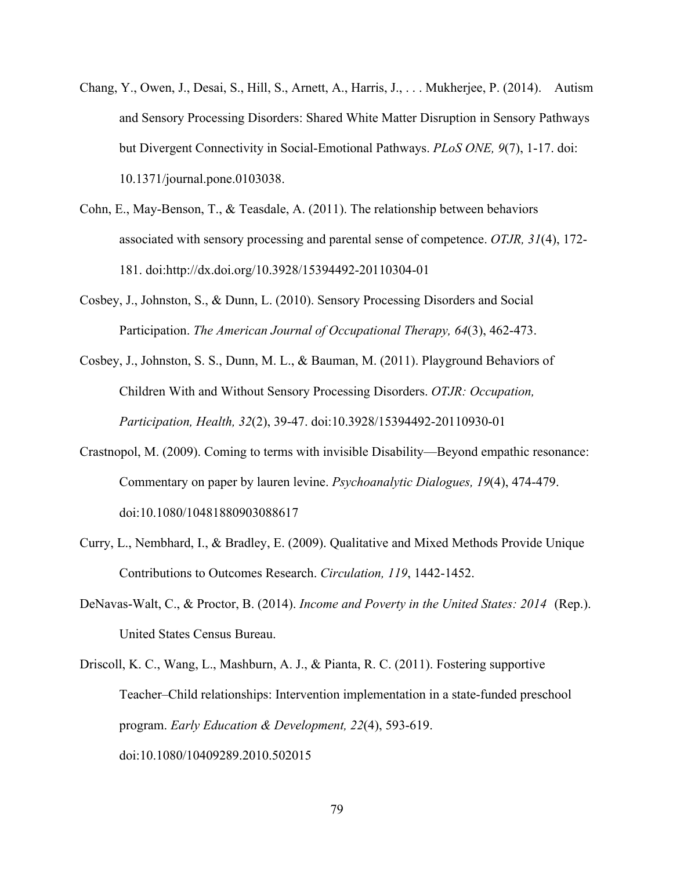- Chang, Y., Owen, J., Desai, S., Hill, S., Arnett, A., Harris, J., . . . Mukherjee, P. (2014). Autism and Sensory Processing Disorders: Shared White Matter Disruption in Sensory Pathways but Divergent Connectivity in Social-Emotional Pathways. *PLoS ONE, 9*(7), 1-17. doi: 10.1371/journal.pone.0103038.
- Cohn, E., May-Benson, T., & Teasdale, A. (2011). The relationship between behaviors associated with sensory processing and parental sense of competence. *OTJR, 31*(4), 172- 181. doi:http://dx.doi.org/10.3928/15394492-20110304-01
- Cosbey, J., Johnston, S., & Dunn, L. (2010). Sensory Processing Disorders and Social Participation. *The American Journal of Occupational Therapy, 64*(3), 462-473.
- Cosbey, J., Johnston, S. S., Dunn, M. L., & Bauman, M. (2011). Playground Behaviors of Children With and Without Sensory Processing Disorders. *OTJR: Occupation, Participation, Health, 32*(2), 39-47. doi:10.3928/15394492-20110930-01
- Crastnopol, M. (2009). Coming to terms with invisible Disability—Beyond empathic resonance: Commentary on paper by lauren levine. *Psychoanalytic Dialogues, 19*(4), 474-479. doi:10.1080/10481880903088617
- Curry, L., Nembhard, I., & Bradley, E. (2009). Qualitative and Mixed Methods Provide Unique Contributions to Outcomes Research. *Circulation, 119*, 1442-1452.
- DeNavas-Walt, C., & Proctor, B. (2014). *Income and Poverty in the United States: 2014* (Rep.). United States Census Bureau.
- Driscoll, K. C., Wang, L., Mashburn, A. J., & Pianta, R. C. (2011). Fostering supportive Teacher–Child relationships: Intervention implementation in a state-funded preschool program. *Early Education & Development, 22*(4), 593-619. doi:10.1080/10409289.2010.502015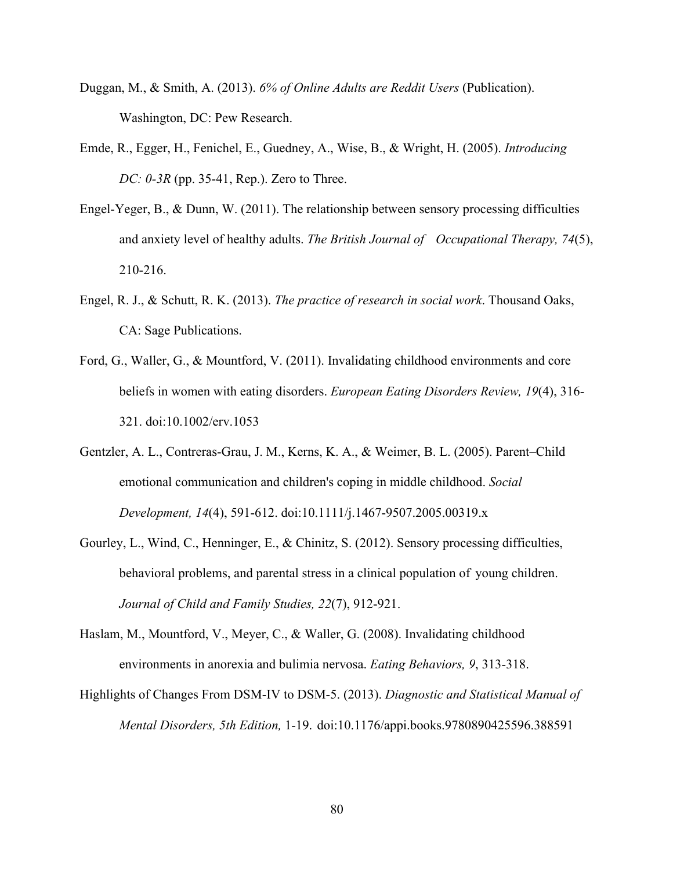- Duggan, M., & Smith, A. (2013). *6% of Online Adults are Reddit Users* (Publication). Washington, DC: Pew Research.
- Emde, R., Egger, H., Fenichel, E., Guedney, A., Wise, B., & Wright, H. (2005). *Introducing DC: 0-3R* (pp. 35-41, Rep.). Zero to Three.
- Engel-Yeger, B., & Dunn, W. (2011). The relationship between sensory processing difficulties and anxiety level of healthy adults. *The British Journal of Occupational Therapy, 74*(5), 210-216.
- Engel, R. J., & Schutt, R. K. (2013). *The practice of research in social work*. Thousand Oaks, CA: Sage Publications.
- Ford, G., Waller, G., & Mountford, V. (2011). Invalidating childhood environments and core beliefs in women with eating disorders. *European Eating Disorders Review, 19*(4), 316- 321. doi:10.1002/erv.1053
- Gentzler, A. L., Contreras-Grau, J. M., Kerns, K. A., & Weimer, B. L. (2005). Parent–Child emotional communication and children's coping in middle childhood. *Social Development, 14*(4), 591-612. doi:10.1111/j.1467-9507.2005.00319.x
- Gourley, L., Wind, C., Henninger, E., & Chinitz, S. (2012). Sensory processing difficulties, behavioral problems, and parental stress in a clinical population of young children. *Journal of Child and Family Studies, 22*(7), 912-921.
- Haslam, M., Mountford, V., Meyer, C., & Waller, G. (2008). Invalidating childhood environments in anorexia and bulimia nervosa. *Eating Behaviors, 9*, 313-318.
- Highlights of Changes From DSM-IV to DSM-5. (2013). *Diagnostic and Statistical Manual of Mental Disorders, 5th Edition,* 1-19. doi:10.1176/appi.books.9780890425596.388591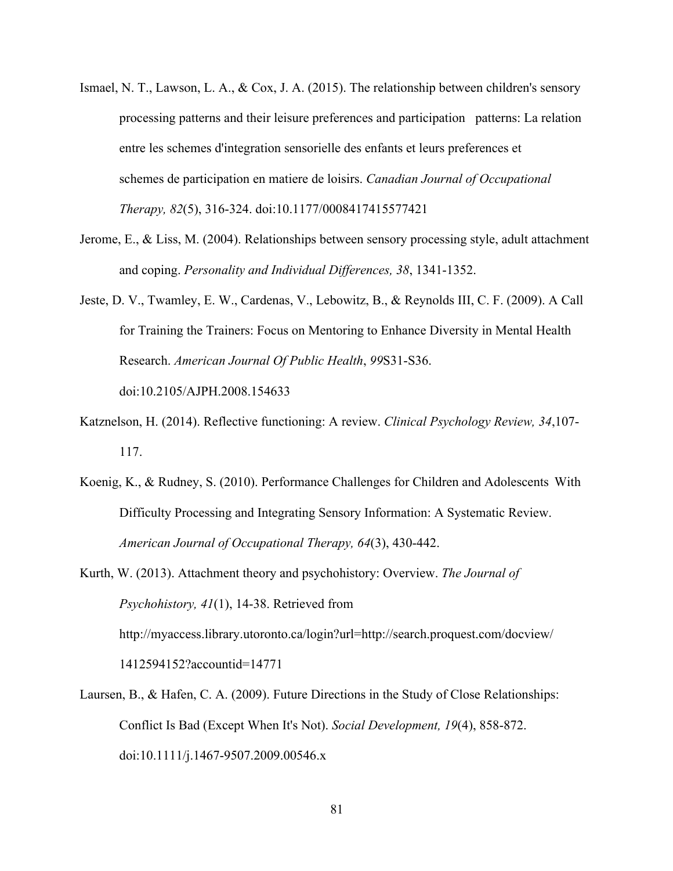- Ismael, N. T., Lawson, L. A., & Cox, J. A. (2015). The relationship between children's sensory processing patterns and their leisure preferences and participation patterns: La relation entre les schemes d'integration sensorielle des enfants et leurs preferences et schemes de participation en matiere de loisirs. *Canadian Journal of Occupational Therapy, 82*(5), 316-324. doi:10.1177/0008417415577421
- Jerome, E., & Liss, M. (2004). Relationships between sensory processing style, adult attachment and coping. *Personality and Individual Differences, 38*, 1341-1352.
- Jeste, D. V., Twamley, E. W., Cardenas, V., Lebowitz, B., & Reynolds III, C. F. (2009). A Call for Training the Trainers: Focus on Mentoring to Enhance Diversity in Mental Health Research. *American Journal Of Public Health*, *99*S31-S36. doi:10.2105/AJPH.2008.154633
- Katznelson, H. (2014). Reflective functioning: A review. *Clinical Psychology Review, 34*,107- 117.
- Koenig, K., & Rudney, S. (2010). Performance Challenges for Children and Adolescents With Difficulty Processing and Integrating Sensory Information: A Systematic Review. *American Journal of Occupational Therapy, 64*(3), 430-442.

Kurth, W. (2013). Attachment theory and psychohistory: Overview. *The Journal of Psychohistory, 41*(1), 14-38. Retrieved from http://myaccess.library.utoronto.ca/login?url=http://search.proquest.com/docview/ 1412594152?accountid=14771

Laursen, B., & Hafen, C. A. (2009). Future Directions in the Study of Close Relationships: Conflict Is Bad (Except When It's Not). *Social Development, 19*(4), 858-872. doi:10.1111/j.1467-9507.2009.00546.x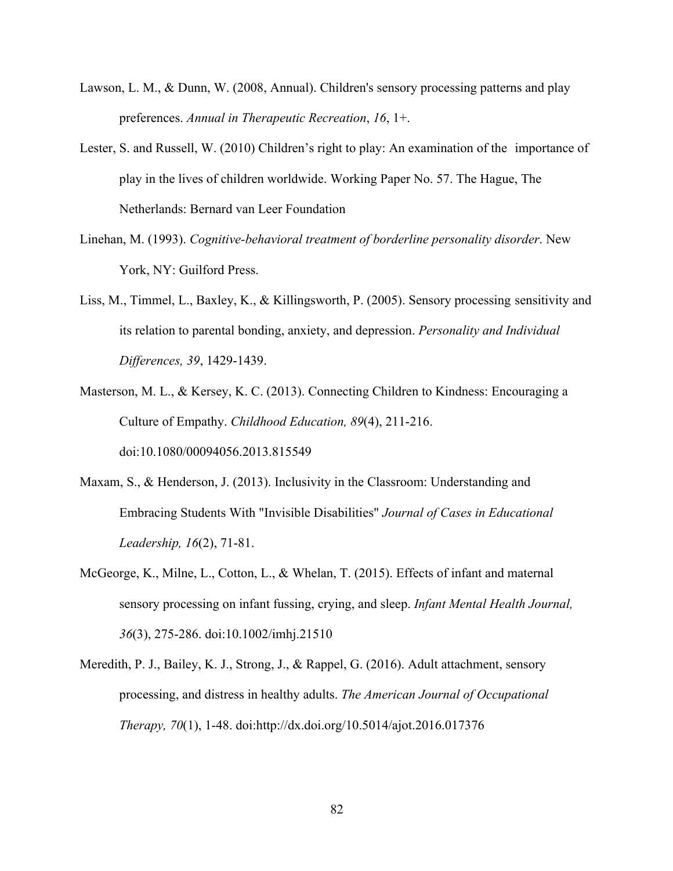- Lawson, L. M., & Dunn, W. (2008, Annual). Children's sensory processing patterns and play preferences. *Annual in Therapeutic Recreation*, *16*, 1+.
- Lester, S. and Russell, W. (2010) Children's right to play: An examination of the importance of play in the lives of children worldwide. Working Paper No. 57. The Hague, The Netherlands: Bernard van Leer Foundation
- Linehan, M. (1993). *Cognitive-behavioral treatment of borderline personality disorder*. New York, NY: Guilford Press.
- Liss, M., Timmel, L., Baxley, K., & Killingsworth, P. (2005). Sensory processing sensitivity and its relation to parental bonding, anxiety, and depression. *Personality and Individual Differences, 39*, 1429-1439.
- Masterson, M. L., & Kersey, K. C. (2013). Connecting Children to Kindness: Encouraging a Culture of Empathy. *Childhood Education, 89*(4), 211-216. doi:10.1080/00094056.2013.815549
- Maxam, S., & Henderson, J. (2013). Inclusivity in the Classroom: Understanding and Embracing Students With "Invisible Disabilities" *Journal of Cases in Educational Leadership, 16*(2), 71-81.
- McGeorge, K., Milne, L., Cotton, L., & Whelan, T. (2015). Effects of infant and maternal sensory processing on infant fussing, crying, and sleep. *Infant Mental Health Journal, 36*(3), 275-286. doi:10.1002/imhj.21510
- Meredith, P. J., Bailey, K. J., Strong, J., & Rappel, G. (2016). Adult attachment, sensory processing, and distress in healthy adults. *The American Journal of Occupational Therapy, 70*(1), 1-48. doi:http://dx.doi.org/10.5014/ajot.2016.017376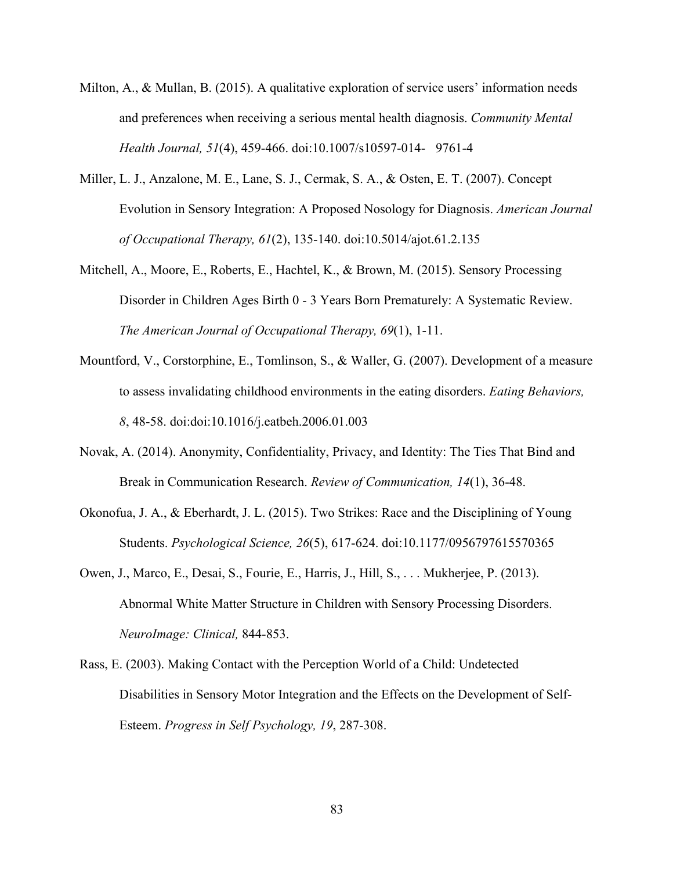- Milton, A., & Mullan, B. (2015). A qualitative exploration of service users' information needs and preferences when receiving a serious mental health diagnosis. *Community Mental Health Journal, 51*(4), 459-466. doi:10.1007/s10597-014- 9761-4
- Miller, L. J., Anzalone, M. E., Lane, S. J., Cermak, S. A., & Osten, E. T. (2007). Concept Evolution in Sensory Integration: A Proposed Nosology for Diagnosis. *American Journal of Occupational Therapy, 61*(2), 135-140. doi:10.5014/ajot.61.2.135
- Mitchell, A., Moore, E., Roberts, E., Hachtel, K., & Brown, M. (2015). Sensory Processing Disorder in Children Ages Birth 0 - 3 Years Born Prematurely: A Systematic Review. *The American Journal of Occupational Therapy, 69*(1), 1-11.
- Mountford, V., Corstorphine, E., Tomlinson, S., & Waller, G. (2007). Development of a measure to assess invalidating childhood environments in the eating disorders. *Eating Behaviors, 8*, 48-58. doi:doi:10.1016/j.eatbeh.2006.01.003
- Novak, A. (2014). Anonymity, Confidentiality, Privacy, and Identity: The Ties That Bind and Break in Communication Research. *Review of Communication, 14*(1), 36-48.
- Okonofua, J. A., & Eberhardt, J. L. (2015). Two Strikes: Race and the Disciplining of Young Students. *Psychological Science, 26*(5), 617-624. doi:10.1177/0956797615570365
- Owen, J., Marco, E., Desai, S., Fourie, E., Harris, J., Hill, S., . . . Mukherjee, P. (2013). Abnormal White Matter Structure in Children with Sensory Processing Disorders. *NeuroImage: Clinical,* 844-853.
- Rass, E. (2003). Making Contact with the Perception World of a Child: Undetected Disabilities in Sensory Motor Integration and the Effects on the Development of Self-Esteem. *Progress in Self Psychology, 19*, 287-308.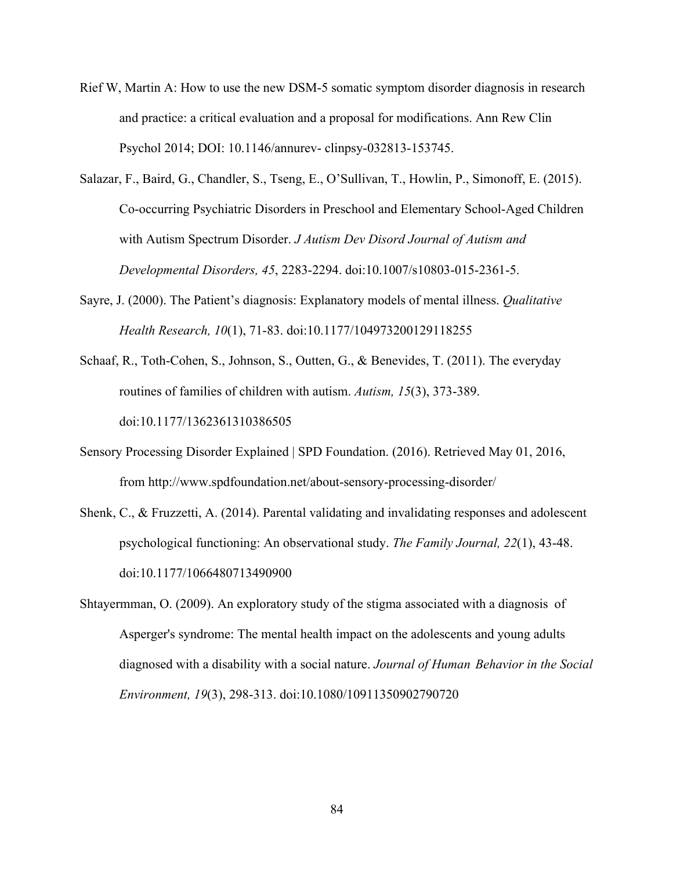- Rief W, Martin A: How to use the new DSM-5 somatic symptom disorder diagnosis in research and practice: a critical evaluation and a proposal for modifications. Ann Rew Clin Psychol 2014; DOI: 10.1146/annurev- clinpsy-032813-153745.
- Salazar, F., Baird, G., Chandler, S., Tseng, E., O'Sullivan, T., Howlin, P., Simonoff, E. (2015). Co-occurring Psychiatric Disorders in Preschool and Elementary School-Aged Children with Autism Spectrum Disorder. *J Autism Dev Disord Journal of Autism and Developmental Disorders, 45*, 2283-2294. doi:10.1007/s10803-015-2361-5.
- Sayre, J. (2000). The Patient's diagnosis: Explanatory models of mental illness. *Qualitative Health Research, 10*(1), 71-83. doi:10.1177/104973200129118255
- Schaaf, R., Toth-Cohen, S., Johnson, S., Outten, G., & Benevides, T. (2011). The everyday routines of families of children with autism. *Autism, 15*(3), 373-389. doi:10.1177/1362361310386505
- Sensory Processing Disorder Explained | SPD Foundation. (2016). Retrieved May 01, 2016, from http://www.spdfoundation.net/about-sensory-processing-disorder/
- Shenk, C., & Fruzzetti, A. (2014). Parental validating and invalidating responses and adolescent psychological functioning: An observational study. *The Family Journal, 22*(1), 43-48. doi:10.1177/1066480713490900
- Shtayermman, O. (2009). An exploratory study of the stigma associated with a diagnosis of Asperger's syndrome: The mental health impact on the adolescents and young adults diagnosed with a disability with a social nature. *Journal of Human Behavior in the Social Environment, 19*(3), 298-313. doi:10.1080/10911350902790720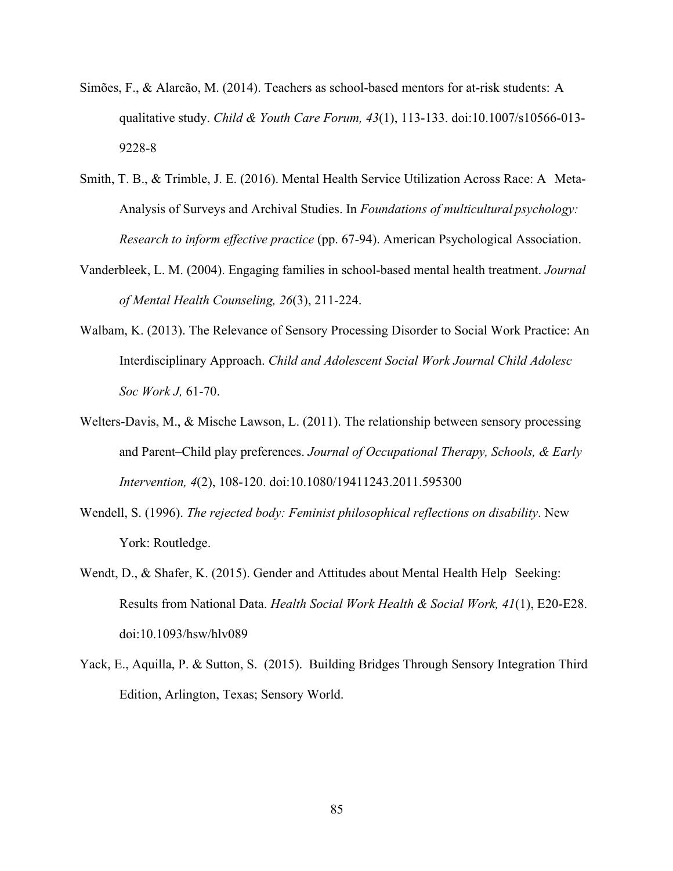- Simões, F., & Alarcão, M. (2014). Teachers as school-based mentors for at-risk students: A qualitative study. *Child & Youth Care Forum, 43*(1), 113-133. doi:10.1007/s10566-013- 9228-8
- Smith, T. B., & Trimble, J. E. (2016). Mental Health Service Utilization Across Race: A Meta-Analysis of Surveys and Archival Studies. In *Foundations of multicultural psychology: Research to inform effective practice* (pp. 67-94). American Psychological Association.
- Vanderbleek, L. M. (2004). Engaging families in school-based mental health treatment. *Journal of Mental Health Counseling, 26*(3), 211-224.
- Walbam, K. (2013). The Relevance of Sensory Processing Disorder to Social Work Practice: An Interdisciplinary Approach. *Child and Adolescent Social Work Journal Child Adolesc Soc Work J,* 61-70.
- Welters-Davis, M., & Mische Lawson, L. (2011). The relationship between sensory processing and Parent–Child play preferences. *Journal of Occupational Therapy, Schools, & Early Intervention, 4*(2), 108-120. doi:10.1080/19411243.2011.595300
- Wendell, S. (1996). *The rejected body: Feminist philosophical reflections on disability*. New York: Routledge.
- Wendt, D., & Shafer, K. (2015). Gender and Attitudes about Mental Health Help Seeking: Results from National Data. *Health Social Work Health & Social Work, 41*(1), E20-E28. doi:10.1093/hsw/hlv089
- Yack, E., Aquilla, P. & Sutton, S. (2015). Building Bridges Through Sensory Integration Third Edition, Arlington, Texas; Sensory World.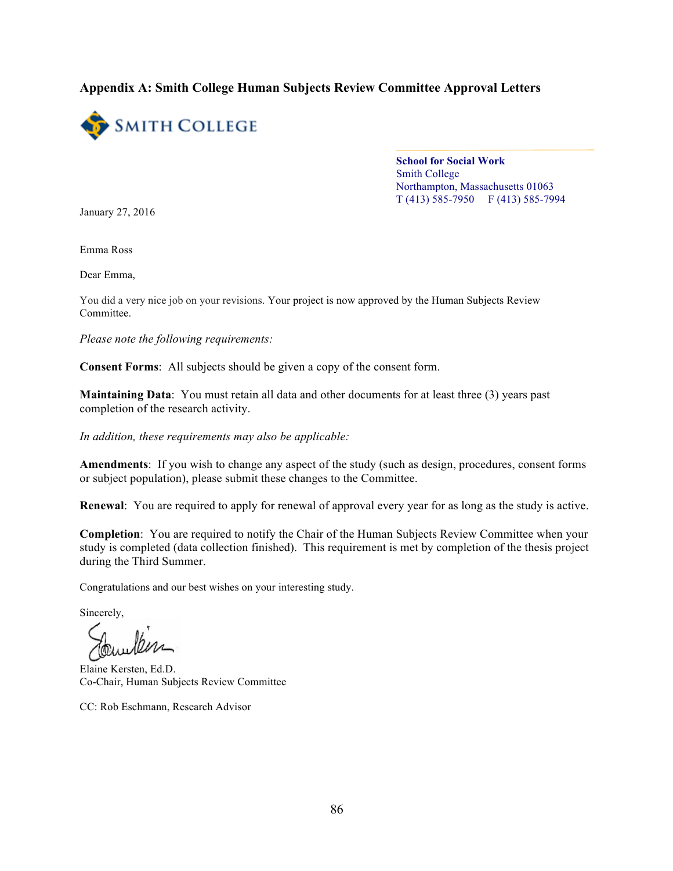## **Appendix A: Smith College Human Subjects Review Committee Approval Letters**



**School for Social Work** Smith College Northampton, Massachusetts 01063 T (413) 585-7950 F (413) 585-7994

January 27, 2016

Emma Ross

Dear Emma,

You did a very nice job on your revisions. Your project is now approved by the Human Subjects Review Committee.

*Please note the following requirements:*

**Consent Forms**: All subjects should be given a copy of the consent form.

**Maintaining Data**: You must retain all data and other documents for at least three (3) years past completion of the research activity.

*In addition, these requirements may also be applicable:*

**Amendments**: If you wish to change any aspect of the study (such as design, procedures, consent forms or subject population), please submit these changes to the Committee.

**Renewal**: You are required to apply for renewal of approval every year for as long as the study is active.

**Completion**: You are required to notify the Chair of the Human Subjects Review Committee when your study is completed (data collection finished). This requirement is met by completion of the thesis project during the Third Summer.

Congratulations and our best wishes on your interesting study.

Sincerely,

Elaine Kersten, Ed.D. Co-Chair, Human Subjects Review Committee

CC: Rob Eschmann, Research Advisor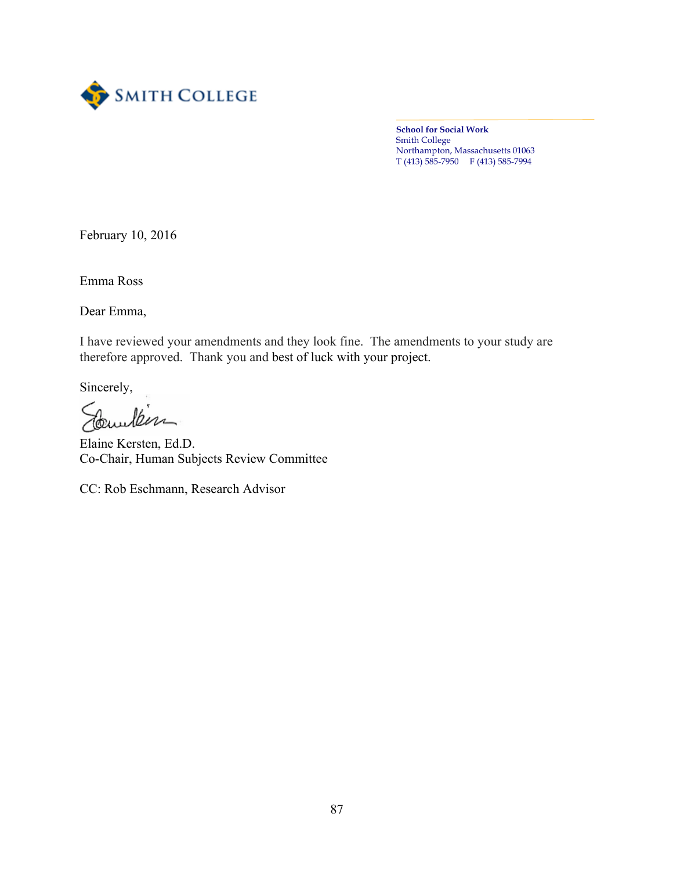

**School for Social Work** Smith College Northampton, Massachusetts 01063 T (413) 585-7950 F (413) 585-7994

February 10, 2016

Emma Ross

Dear Emma,

I have reviewed your amendments and they look fine. The amendments to your study are therefore approved. Thank you and best of luck with your project.

Sincerely,

Cambers

Elaine Kersten, Ed.D. Co-Chair, Human Subjects Review Committee

CC: Rob Eschmann, Research Advisor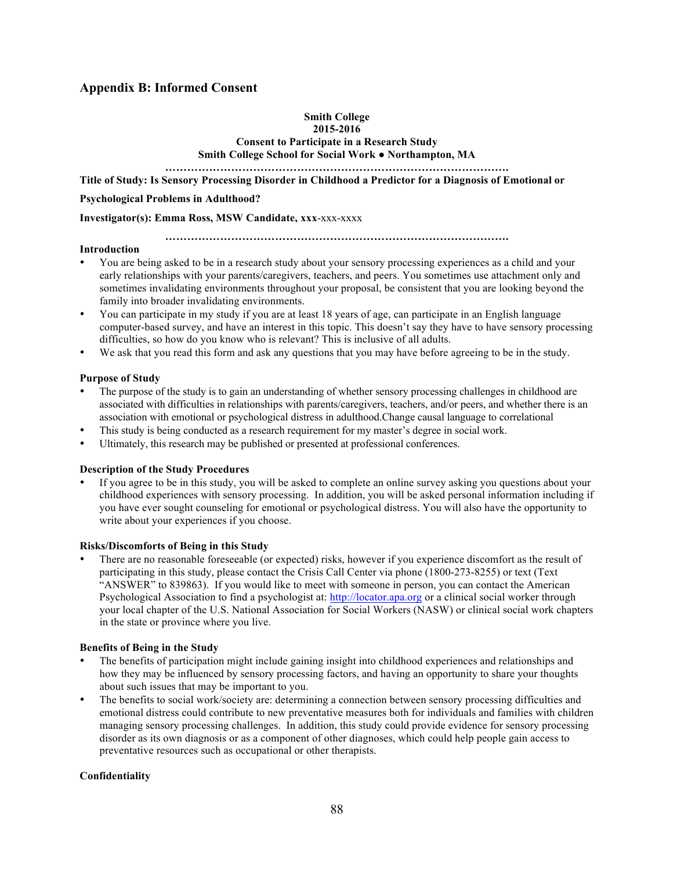## **Appendix B: Informed Consent**

### **Smith College 2015-2016 Consent to Participate in a Research Study Smith College School for Social Work ● Northampton, MA**

**………………………………………………………………………………….**

**Title of Study: Is Sensory Processing Disorder in Childhood a Predictor for a Diagnosis of Emotional or** 

### **Psychological Problems in Adulthood?**

**Investigator(s): Emma Ross, MSW Candidate, xxx**-xxx-xxxx

**………………………………………………………………………………….**

#### **Introduction**

- You are being asked to be in a research study about your sensory processing experiences as a child and your early relationships with your parents/caregivers, teachers, and peers. You sometimes use attachment only and sometimes invalidating environments throughout your proposal, be consistent that you are looking beyond the family into broader invalidating environments.
- You can participate in my study if you are at least 18 years of age, can participate in an English language computer-based survey, and have an interest in this topic. This doesn't say they have to have sensory processing difficulties, so how do you know who is relevant? This is inclusive of all adults.
- We ask that you read this form and ask any questions that you may have before agreeing to be in the study.

#### **Purpose of Study**

- The purpose of the study is to gain an understanding of whether sensory processing challenges in childhood are associated with difficulties in relationships with parents/caregivers, teachers, and/or peers, and whether there is an association with emotional or psychological distress in adulthood.Change causal language to correlational
- This study is being conducted as a research requirement for my master's degree in social work.
- Ultimately, this research may be published or presented at professional conferences.

#### **Description of the Study Procedures**

• If you agree to be in this study, you will be asked to complete an online survey asking you questions about your childhood experiences with sensory processing. In addition, you will be asked personal information including if you have ever sought counseling for emotional or psychological distress. You will also have the opportunity to write about your experiences if you choose.

#### **Risks/Discomforts of Being in this Study**

• There are no reasonable foreseeable (or expected) risks, however if you experience discomfort as the result of participating in this study, please contact the Crisis Call Center via phone (1800-273-8255) or text (Text "ANSWER" to 839863). If you would like to meet with someone in person, you can contact the American Psychological Association to find a psychologist at: http://locator.apa.org or a clinical social worker through your local chapter of the U.S. National Association for Social Workers (NASW) or clinical social work chapters in the state or province where you live.

#### **Benefits of Being in the Study**

- The benefits of participation might include gaining insight into childhood experiences and relationships and how they may be influenced by sensory processing factors, and having an opportunity to share your thoughts about such issues that may be important to you.
- The benefits to social work/society are: determining a connection between sensory processing difficulties and emotional distress could contribute to new preventative measures both for individuals and families with children managing sensory processing challenges. In addition, this study could provide evidence for sensory processing disorder as its own diagnosis or as a component of other diagnoses, which could help people gain access to preventative resources such as occupational or other therapists.

#### **Confidentiality**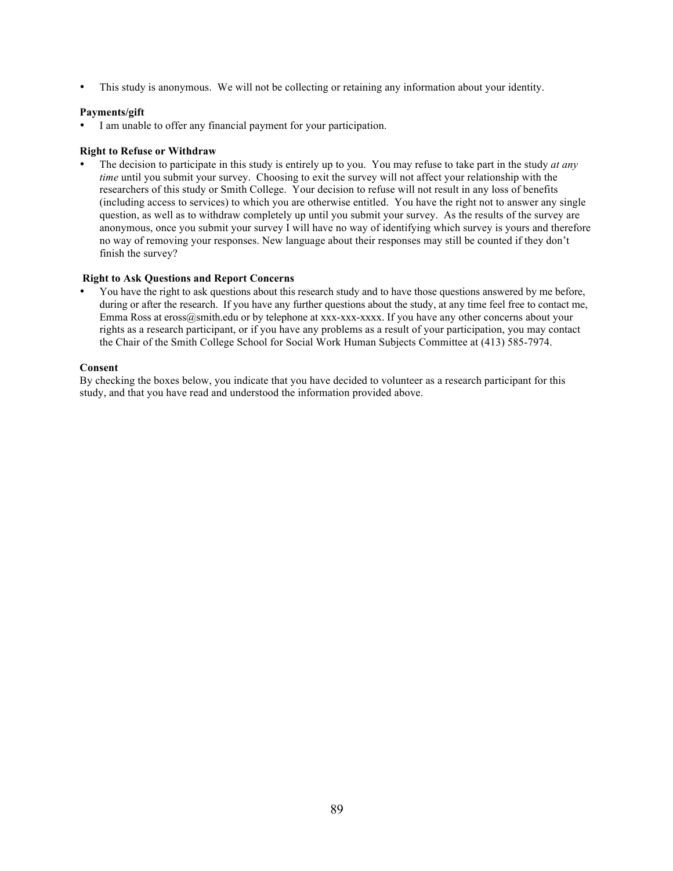• This study is anonymous. We will not be collecting or retaining any information about your identity.

### **Payments/gift**

I am unable to offer any financial payment for your participation.

### **Right to Refuse or Withdraw**

• The decision to participate in this study is entirely up to you.You may refuse to take part in the study *at any time* until you submit your survey. Choosing to exit the survey will not affect your relationship with the researchers of this study or Smith College. Your decision to refuse will not result in any loss of benefits (including access to services) to which you are otherwise entitled. You have the right not to answer any single question, as well as to withdraw completely up until you submit your survey. As the results of the survey are anonymous, once you submit your survey I will have no way of identifying which survey is yours and therefore no way of removing your responses. New language about their responses may still be counted if they don't finish the survey?

### **Right to Ask Questions and Report Concerns**

• You have the right to ask questions about this research study and to have those questions answered by me before, during or after the research. If you have any further questions about the study, at any time feel free to contact me, Emma Ross at eross@smith.edu or by telephone at xxx-xxx-xxxx. If you have any other concerns about your rights as a research participant, or if you have any problems as a result of your participation, you may contact the Chair of the Smith College School for Social Work Human Subjects Committee at (413) 585-7974.

#### **Consent**

By checking the boxes below, you indicate that you have decided to volunteer as a research participant for this study, and that you have read and understood the information provided above.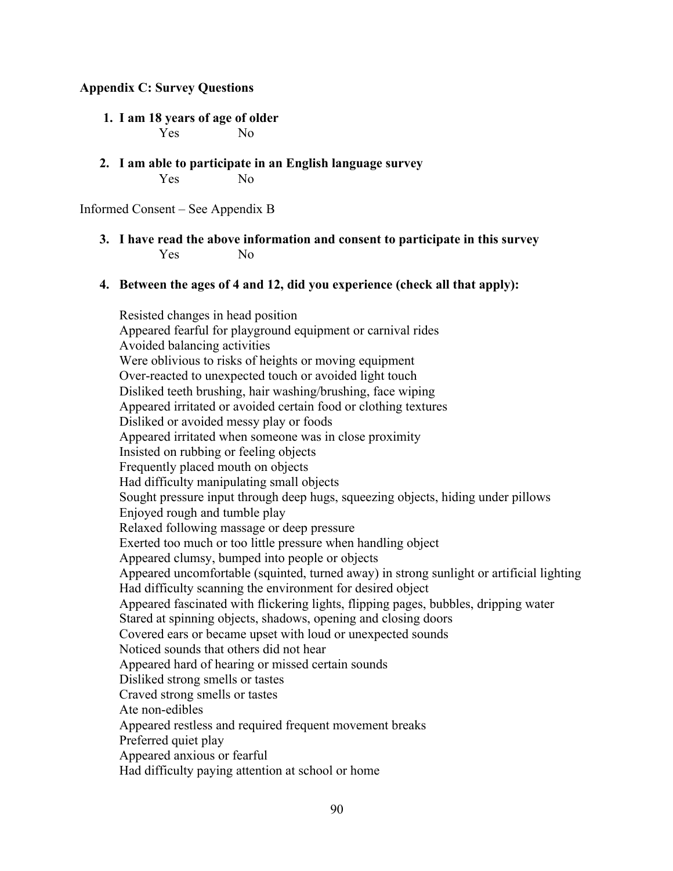# **Appendix C: Survey Questions**

**1. I am 18 years of age of older**

Yes No

**2. I am able to participate in an English language survey**

Yes No

Informed Consent – See Appendix B

**3. I have read the above information and consent to participate in this survey** Yes No

# **4. Between the ages of 4 and 12, did you experience (check all that apply):**

Resisted changes in head position Appeared fearful for playground equipment or carnival rides Avoided balancing activities Were oblivious to risks of heights or moving equipment Over-reacted to unexpected touch or avoided light touch Disliked teeth brushing, hair washing/brushing, face wiping Appeared irritated or avoided certain food or clothing textures Disliked or avoided messy play or foods Appeared irritated when someone was in close proximity Insisted on rubbing or feeling objects Frequently placed mouth on objects Had difficulty manipulating small objects Sought pressure input through deep hugs, squeezing objects, hiding under pillows Enjoyed rough and tumble play Relaxed following massage or deep pressure Exerted too much or too little pressure when handling object Appeared clumsy, bumped into people or objects Appeared uncomfortable (squinted, turned away) in strong sunlight or artificial lighting Had difficulty scanning the environment for desired object Appeared fascinated with flickering lights, flipping pages, bubbles, dripping water Stared at spinning objects, shadows, opening and closing doors Covered ears or became upset with loud or unexpected sounds Noticed sounds that others did not hear Appeared hard of hearing or missed certain sounds Disliked strong smells or tastes Craved strong smells or tastes Ate non-edibles Appeared restless and required frequent movement breaks Preferred quiet play Appeared anxious or fearful Had difficulty paying attention at school or home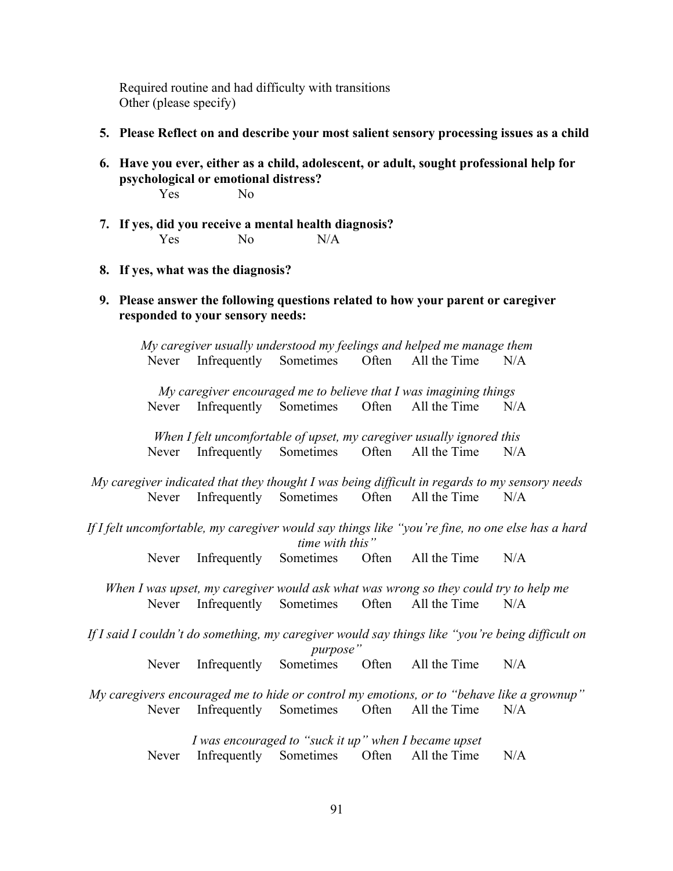Required routine and had difficulty with transitions Other (please specify)

- **5. Please Reflect on and describe your most salient sensory processing issues as a child**
- **6. Have you ever, either as a child, adolescent, or adult, sought professional help for psychological or emotional distress?** Yes No
- **7. If yes, did you receive a mental health diagnosis?** Yes No N/A
- **8. If yes, what was the diagnosis?**
- **9. Please answer the following questions related to how your parent or caregiver responded to your sensory needs:**

*My caregiver usually understood my feelings and helped me manage them* Never Infrequently Sometimes Often All the Time N/A

*My caregiver encouraged me to believe that I was imagining things* Never Infrequently Sometimes Often All the Time N/A

*When I felt uncomfortable of upset, my caregiver usually ignored this* Never Infrequently Sometimes Often All the Time N/A

- *My caregiver indicated that they thought I was being difficult in regards to my sensory needs* Never Infrequently Sometimes Often All the Time N/A
- *If I felt uncomfortable, my caregiver would say things like "you're fine, no one else has a hard time with this"*

Never Infrequently Sometimes Often All the Time N/A

*When I was upset, my caregiver would ask what was wrong so they could try to help me* Never Infrequently Sometimes Often All the Time N/A

*If I said I couldn't do something, my caregiver would say things like "you're being difficult on purpose"*

Never Infrequently Sometimes Often All the Time N/A

*My caregivers encouraged me to hide or control my emotions, or to "behave like a grownup"* Never Infrequently Sometimes Often All the Time N/A

> *I was encouraged to "suck it up" when I became upset* Never Infrequently Sometimes Often All the Time N/A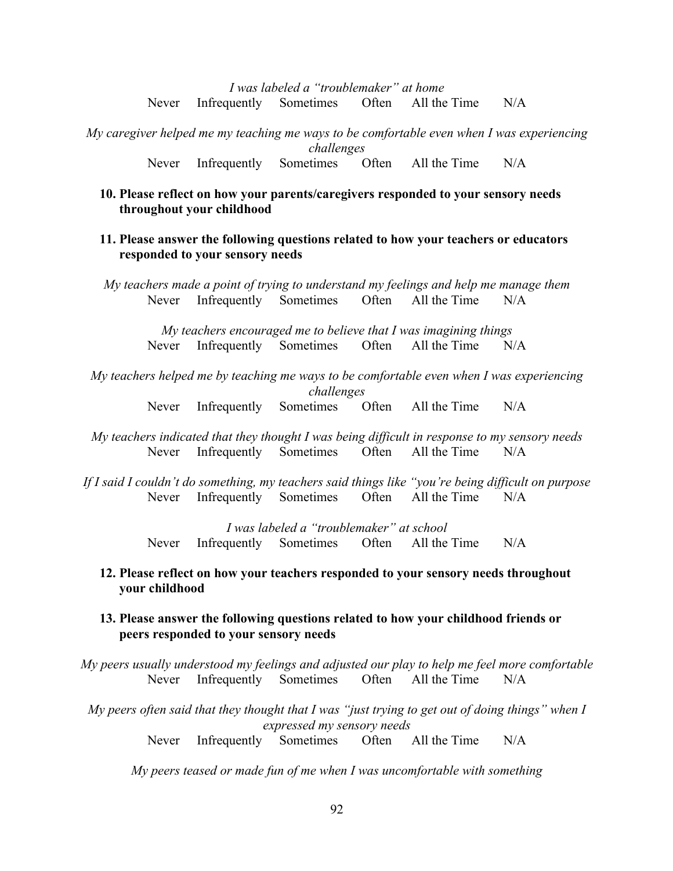*I was labeled a "troublemaker" at home* Never Infrequently Sometimes Often All the Time N/A

*My caregiver helped me my teaching me ways to be comfortable even when I was experiencing challenges*

Never Infrequently Sometimes Often All the Time N/A

# **10. Please reflect on how your parents/caregivers responded to your sensory needs throughout your childhood**

## **11. Please answer the following questions related to how your teachers or educators responded to your sensory needs**

*My teachers made a point of trying to understand my feelings and help me manage them* Never Infrequently Sometimes Often All the Time N/A

*My teachers encouraged me to believe that I was imagining things* Never Infrequently Sometimes Often All the Time N/A

*My teachers helped me by teaching me ways to be comfortable even when I was experiencing challenges*

Never Infrequently Sometimes Often All the Time N/A

- *My teachers indicated that they thought I was being difficult in response to my sensory needs* Never Infrequently Sometimes Often All the Time N/A
- *If I said I couldn't do something, my teachers said things like "you're being difficult on purpose* Never Infrequently Sometimes Often All the Time N/A

*I was labeled a "troublemaker" at school* Never Infrequently Sometimes Often All the Time N/A

- **12. Please reflect on how your teachers responded to your sensory needs throughout your childhood**
- **13. Please answer the following questions related to how your childhood friends or peers responded to your sensory needs**

*My peers usually understood my feelings and adjusted our play to help me feel more comfortable* Never Infrequently Sometimes Often All the Time N/A

*My peers often said that they thought that I was "just trying to get out of doing things" when I expressed my sensory needs*

Never Infrequently Sometimes Often All the Time N/A

*My peers teased or made fun of me when I was uncomfortable with something*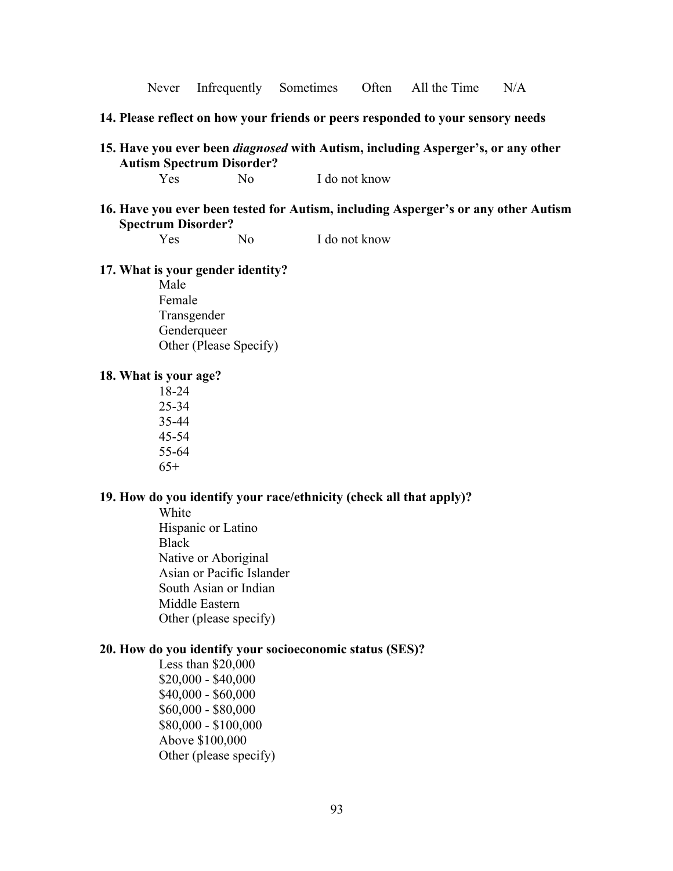|                                                                                                                                                                                                                |                           | Never Infrequently Sometimes Often All the Time |  |  |                                                                                    | N/A |
|----------------------------------------------------------------------------------------------------------------------------------------------------------------------------------------------------------------|---------------------------|-------------------------------------------------|--|--|------------------------------------------------------------------------------------|-----|
| 14. Please reflect on how your friends or peers responded to your sensory needs<br>15. Have you ever been <i>diagnosed</i> with Autism, including Asperger's, or any other<br><b>Autism Spectrum Disorder?</b> |                           |                                                 |  |  |                                                                                    |     |
|                                                                                                                                                                                                                |                           |                                                 |  |  |                                                                                    |     |
|                                                                                                                                                                                                                | <b>Spectrum Disorder?</b> |                                                 |  |  | 16. Have you ever been tested for Autism, including Asperger's or any other Autism |     |

Yes No I do not know

# **17. What is your gender identity?**

Male Female Transgender Genderqueer Other (Please Specify)

## **18. What is your age?**

18-24 25-34 35-44 45-54 55-64 65+

## **19. How do you identify your race/ethnicity (check all that apply)?**

White Hispanic or Latino Black Native or Aboriginal Asian or Pacific Islander South Asian or Indian Middle Eastern Other (please specify)

# **20. How do you identify your socioeconomic status (SES)?**

Less than \$20,000 \$20,000 - \$40,000 \$40,000 - \$60,000 \$60,000 - \$80,000 \$80,000 - \$100,000 Above \$100,000 Other (please specify)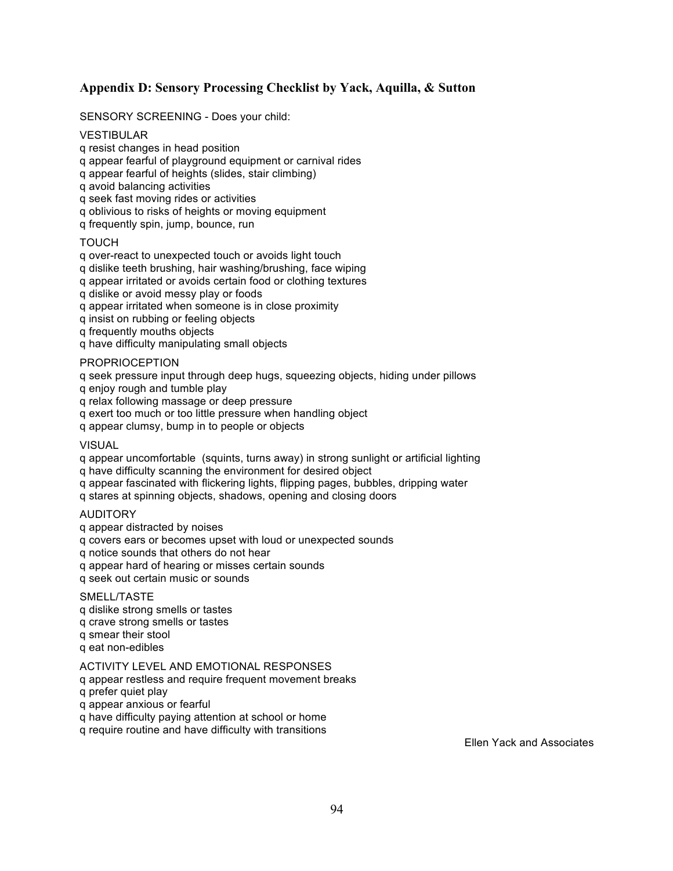# **Appendix D: Sensory Processing Checklist by Yack, Aquilla, & Sutton**

### SENSORY SCREENING - Does your child:

### VESTIBULAR

- q resist changes in head position
- q appear fearful of playground equipment or carnival rides
- q appear fearful of heights (slides, stair climbing)
- q avoid balancing activities
- q seek fast moving rides or activities
- q oblivious to risks of heights or moving equipment
- q frequently spin, jump, bounce, run

## TOUCH

- q over-react to unexpected touch or avoids light touch
- q dislike teeth brushing, hair washing/brushing, face wiping
- q appear irritated or avoids certain food or clothing textures
- q dislike or avoid messy play or foods
- q appear irritated when someone is in close proximity
- q insist on rubbing or feeling objects
- q frequently mouths objects
- q have difficulty manipulating small objects

## **PROPRIOCEPTION**

q seek pressure input through deep hugs, squeezing objects, hiding under pillows

- q enjoy rough and tumble play
- q relax following massage or deep pressure
- q exert too much or too little pressure when handling object
- q appear clumsy, bump in to people or objects

### VISUAL

q appear uncomfortable (squints, turns away) in strong sunlight or artificial lighting

- q have difficulty scanning the environment for desired object
- q appear fascinated with flickering lights, flipping pages, bubbles, dripping water
- q stares at spinning objects, shadows, opening and closing doors

### AUDITORY

- q appear distracted by noises
- q covers ears or becomes upset with loud or unexpected sounds
- q notice sounds that others do not hear
- q appear hard of hearing or misses certain sounds
- q seek out certain music or sounds

## SMELL/TASTE

- q dislike strong smells or tastes
- q crave strong smells or tastes
- q smear their stool
- q eat non-edibles

### ACTIVITY LEVEL AND EMOTIONAL RESPONSES

- q appear restless and require frequent movement breaks
- q prefer quiet play
- q appear anxious or fearful
- q have difficulty paying attention at school or home
- q require routine and have difficulty with transitions

Ellen Yack and Associates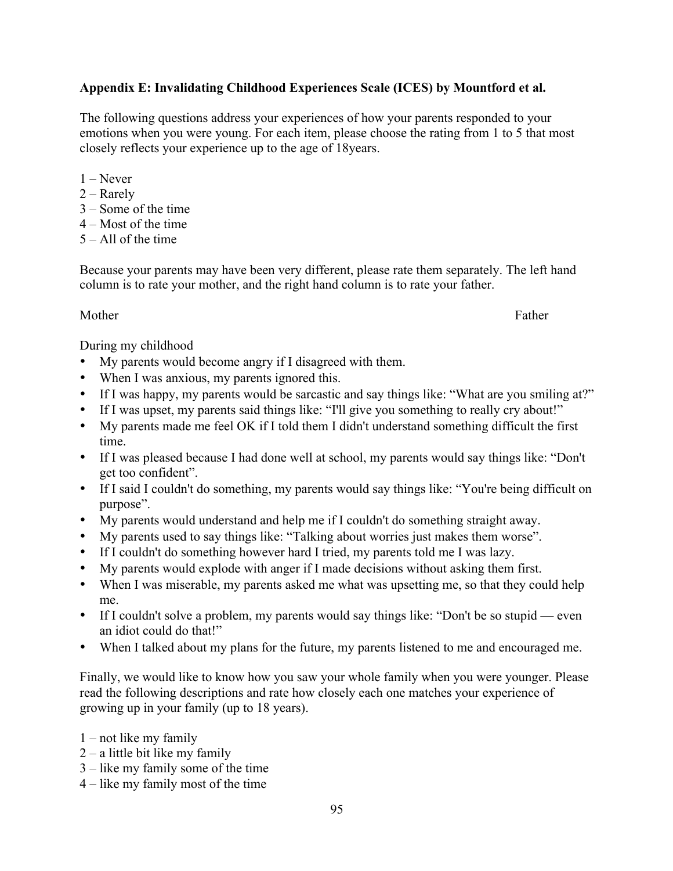# **Appendix E: Invalidating Childhood Experiences Scale (ICES) by Mountford et al.**

The following questions address your experiences of how your parents responded to your emotions when you were young. For each item, please choose the rating from 1 to 5 that most closely reflects your experience up to the age of 18years.

- $1 -$ Never
- 2 Rarely
- 3 Some of the time
- 4 Most of the time
- 5 All of the time

Because your parents may have been very different, please rate them separately. The left hand column is to rate your mother, and the right hand column is to rate your father.

# Mother Father

During my childhood

- My parents would become angry if I disagreed with them.
- When I was anxious, my parents ignored this.
- If I was happy, my parents would be sarcastic and say things like: "What are you smiling at?"
- If I was upset, my parents said things like: "I'll give you something to really cry about!"
- My parents made me feel OK if I told them I didn't understand something difficult the first time.
- If I was pleased because I had done well at school, my parents would say things like: "Don't get too confident".
- If I said I couldn't do something, my parents would say things like: "You're being difficult on purpose".
- My parents would understand and help me if I couldn't do something straight away.
- My parents used to say things like: "Talking about worries just makes them worse".
- If I couldn't do something however hard I tried, my parents told me I was lazy.
- My parents would explode with anger if I made decisions without asking them first.
- When I was miserable, my parents asked me what was upsetting me, so that they could help me.
- If I couldn't solve a problem, my parents would say things like: "Don't be so stupid even an idiot could do that!"
- When I talked about my plans for the future, my parents listened to me and encouraged me.

Finally, we would like to know how you saw your whole family when you were younger. Please read the following descriptions and rate how closely each one matches your experience of growing up in your family (up to 18 years).

1 – not like my family

- 2 a little bit like my family
- 3 like my family some of the time
- 4 like my family most of the time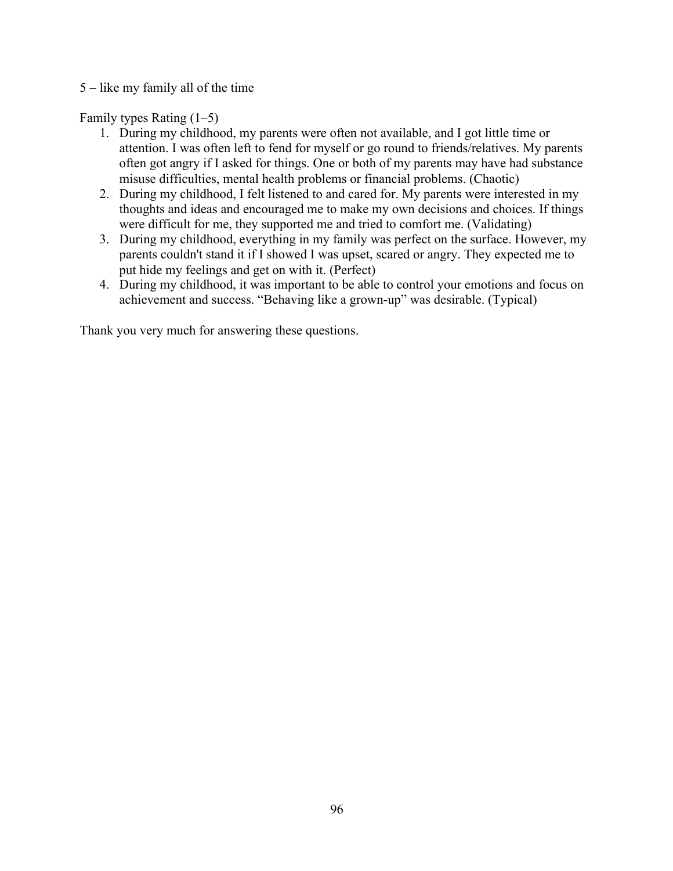# 5 – like my family all of the time

Family types Rating (1–5)

- 1. During my childhood, my parents were often not available, and I got little time or attention. I was often left to fend for myself or go round to friends/relatives. My parents often got angry if I asked for things. One or both of my parents may have had substance misuse difficulties, mental health problems or financial problems. (Chaotic)
- 2. During my childhood, I felt listened to and cared for. My parents were interested in my thoughts and ideas and encouraged me to make my own decisions and choices. If things were difficult for me, they supported me and tried to comfort me. (Validating)
- 3. During my childhood, everything in my family was perfect on the surface. However, my parents couldn't stand it if I showed I was upset, scared or angry. They expected me to put hide my feelings and get on with it. (Perfect)
- 4. During my childhood, it was important to be able to control your emotions and focus on achievement and success. "Behaving like a grown-up" was desirable. (Typical)

Thank you very much for answering these questions.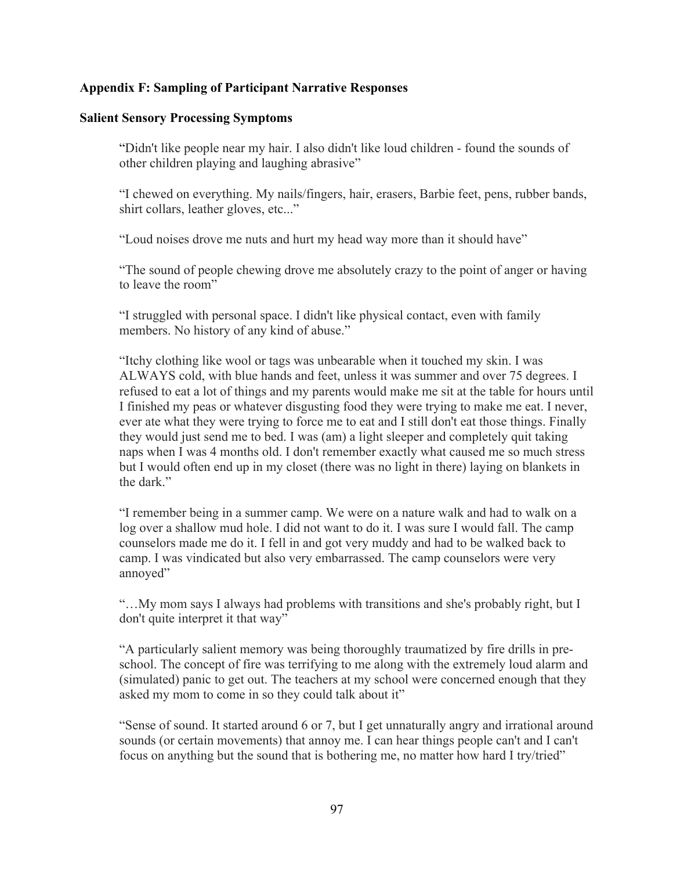# **Appendix F: Sampling of Participant Narrative Responses**

## **Salient Sensory Processing Symptoms**

"Didn't like people near my hair. I also didn't like loud children - found the sounds of other children playing and laughing abrasive"

"I chewed on everything. My nails/fingers, hair, erasers, Barbie feet, pens, rubber bands, shirt collars, leather gloves, etc..."

"Loud noises drove me nuts and hurt my head way more than it should have"

"The sound of people chewing drove me absolutely crazy to the point of anger or having to leave the room"

"I struggled with personal space. I didn't like physical contact, even with family members. No history of any kind of abuse."

"Itchy clothing like wool or tags was unbearable when it touched my skin. I was ALWAYS cold, with blue hands and feet, unless it was summer and over 75 degrees. I refused to eat a lot of things and my parents would make me sit at the table for hours until I finished my peas or whatever disgusting food they were trying to make me eat. I never, ever ate what they were trying to force me to eat and I still don't eat those things. Finally they would just send me to bed. I was (am) a light sleeper and completely quit taking naps when I was 4 months old. I don't remember exactly what caused me so much stress but I would often end up in my closet (there was no light in there) laying on blankets in the dark"

"I remember being in a summer camp. We were on a nature walk and had to walk on a log over a shallow mud hole. I did not want to do it. I was sure I would fall. The camp counselors made me do it. I fell in and got very muddy and had to be walked back to camp. I was vindicated but also very embarrassed. The camp counselors were very annoyed"

"…My mom says I always had problems with transitions and she's probably right, but I don't quite interpret it that way"

"A particularly salient memory was being thoroughly traumatized by fire drills in preschool. The concept of fire was terrifying to me along with the extremely loud alarm and (simulated) panic to get out. The teachers at my school were concerned enough that they asked my mom to come in so they could talk about it"

"Sense of sound. It started around 6 or 7, but I get unnaturally angry and irrational around sounds (or certain movements) that annoy me. I can hear things people can't and I can't focus on anything but the sound that is bothering me, no matter how hard I try/tried"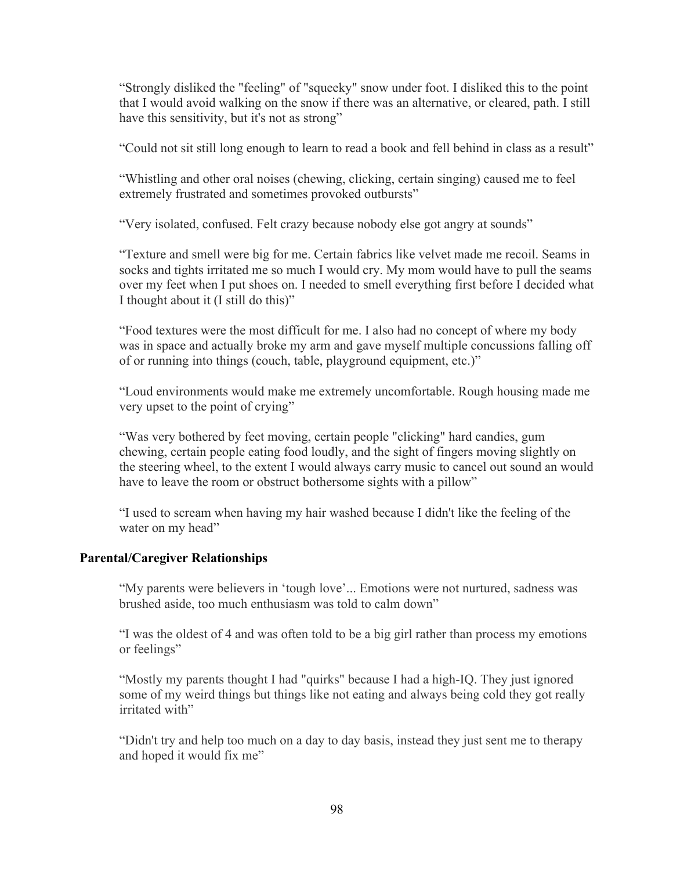"Strongly disliked the "feeling" of "squeeky" snow under foot. I disliked this to the point that I would avoid walking on the snow if there was an alternative, or cleared, path. I still have this sensitivity, but it's not as strong"

"Could not sit still long enough to learn to read a book and fell behind in class as a result"

"Whistling and other oral noises (chewing, clicking, certain singing) caused me to feel extremely frustrated and sometimes provoked outbursts"

"Very isolated, confused. Felt crazy because nobody else got angry at sounds"

"Texture and smell were big for me. Certain fabrics like velvet made me recoil. Seams in socks and tights irritated me so much I would cry. My mom would have to pull the seams over my feet when I put shoes on. I needed to smell everything first before I decided what I thought about it (I still do this)"

"Food textures were the most difficult for me. I also had no concept of where my body was in space and actually broke my arm and gave myself multiple concussions falling off of or running into things (couch, table, playground equipment, etc.)"

"Loud environments would make me extremely uncomfortable. Rough housing made me very upset to the point of crying"

"Was very bothered by feet moving, certain people "clicking" hard candies, gum chewing, certain people eating food loudly, and the sight of fingers moving slightly on the steering wheel, to the extent I would always carry music to cancel out sound an would have to leave the room or obstruct bothersome sights with a pillow"

"I used to scream when having my hair washed because I didn't like the feeling of the water on my head"

## **Parental/Caregiver Relationships**

"My parents were believers in 'tough love'... Emotions were not nurtured, sadness was brushed aside, too much enthusiasm was told to calm down"

"I was the oldest of 4 and was often told to be a big girl rather than process my emotions or feelings"

"Mostly my parents thought I had "quirks" because I had a high-IQ. They just ignored some of my weird things but things like not eating and always being cold they got really irritated with"

"Didn't try and help too much on a day to day basis, instead they just sent me to therapy and hoped it would fix me"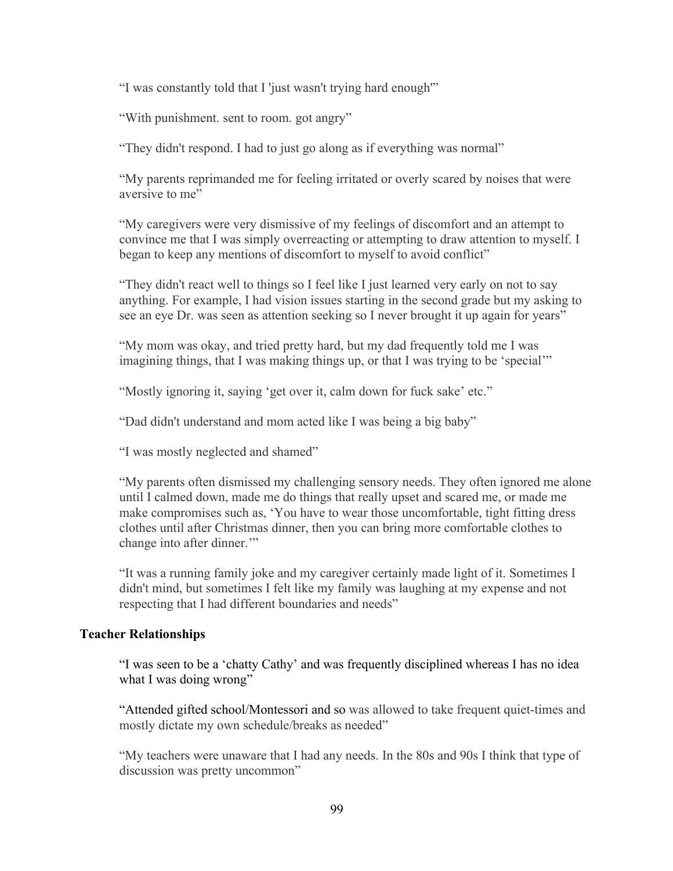"I was constantly told that I 'just wasn't trying hard enough'"

"With punishment. sent to room. got angry"

"They didn't respond. I had to just go along as if everything was normal"

"My parents reprimanded me for feeling irritated or overly scared by noises that were aversive to me"

"My caregivers were very dismissive of my feelings of discomfort and an attempt to convince me that I was simply overreacting or attempting to draw attention to myself. I began to keep any mentions of discomfort to myself to avoid conflict"

"They didn't react well to things so I feel like I just learned very early on not to say anything. For example, I had vision issues starting in the second grade but my asking to see an eye Dr. was seen as attention seeking so I never brought it up again for years"

"My mom was okay, and tried pretty hard, but my dad frequently told me I was imagining things, that I was making things up, or that I was trying to be 'special'"

"Mostly ignoring it, saying 'get over it, calm down for fuck sake' etc."

"Dad didn't understand and mom acted like I was being a big baby"

"I was mostly neglected and shamed"

"My parents often dismissed my challenging sensory needs. They often ignored me alone until I calmed down, made me do things that really upset and scared me, or made me make compromises such as, 'You have to wear those uncomfortable, tight fitting dress clothes until after Christmas dinner, then you can bring more comfortable clothes to change into after dinner.'"

"It was a running family joke and my caregiver certainly made light of it. Sometimes I didn't mind, but sometimes I felt like my family was laughing at my expense and not respecting that I had different boundaries and needs"

## **Teacher Relationships**

"I was seen to be a 'chatty Cathy' and was frequently disciplined whereas I has no idea what I was doing wrong"

"Attended gifted school/Montessori and so was allowed to take frequent quiet-times and mostly dictate my own schedule/breaks as needed"

"My teachers were unaware that I had any needs. In the 80s and 90s I think that type of discussion was pretty uncommon"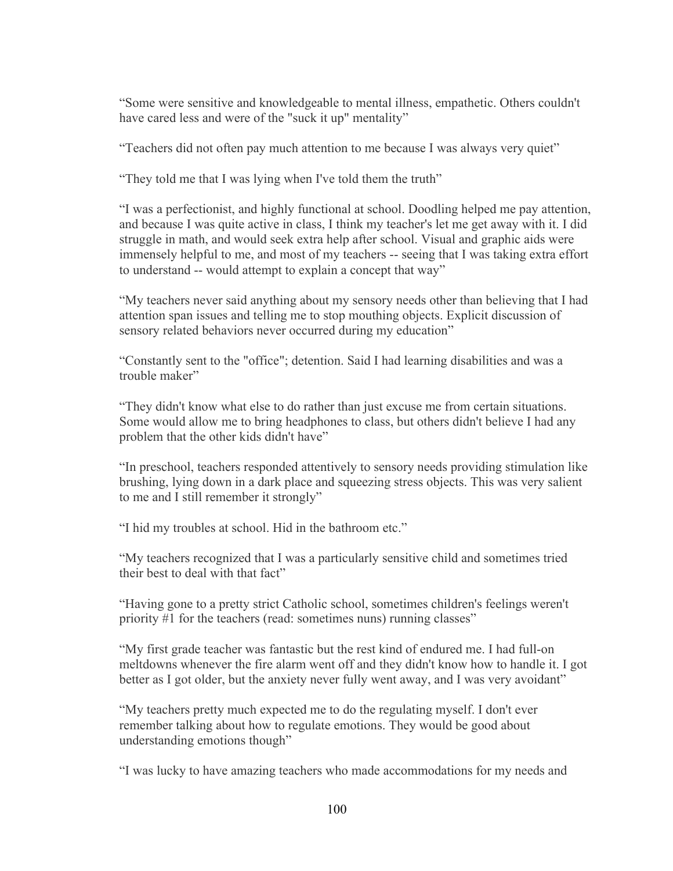"Some were sensitive and knowledgeable to mental illness, empathetic. Others couldn't have cared less and were of the "suck it up" mentality"

"Teachers did not often pay much attention to me because I was always very quiet"

"They told me that I was lying when I've told them the truth"

"I was a perfectionist, and highly functional at school. Doodling helped me pay attention, and because I was quite active in class, I think my teacher's let me get away with it. I did struggle in math, and would seek extra help after school. Visual and graphic aids were immensely helpful to me, and most of my teachers -- seeing that I was taking extra effort to understand -- would attempt to explain a concept that way"

"My teachers never said anything about my sensory needs other than believing that I had attention span issues and telling me to stop mouthing objects. Explicit discussion of sensory related behaviors never occurred during my education"

"Constantly sent to the "office"; detention. Said I had learning disabilities and was a trouble maker"

"They didn't know what else to do rather than just excuse me from certain situations. Some would allow me to bring headphones to class, but others didn't believe I had any problem that the other kids didn't have"

"In preschool, teachers responded attentively to sensory needs providing stimulation like brushing, lying down in a dark place and squeezing stress objects. This was very salient to me and I still remember it strongly"

"I hid my troubles at school. Hid in the bathroom etc."

"My teachers recognized that I was a particularly sensitive child and sometimes tried their best to deal with that fact"

"Having gone to a pretty strict Catholic school, sometimes children's feelings weren't priority #1 for the teachers (read: sometimes nuns) running classes"

"My first grade teacher was fantastic but the rest kind of endured me. I had full-on meltdowns whenever the fire alarm went off and they didn't know how to handle it. I got better as I got older, but the anxiety never fully went away, and I was very avoidant"

"My teachers pretty much expected me to do the regulating myself. I don't ever remember talking about how to regulate emotions. They would be good about understanding emotions though"

"I was lucky to have amazing teachers who made accommodations for my needs and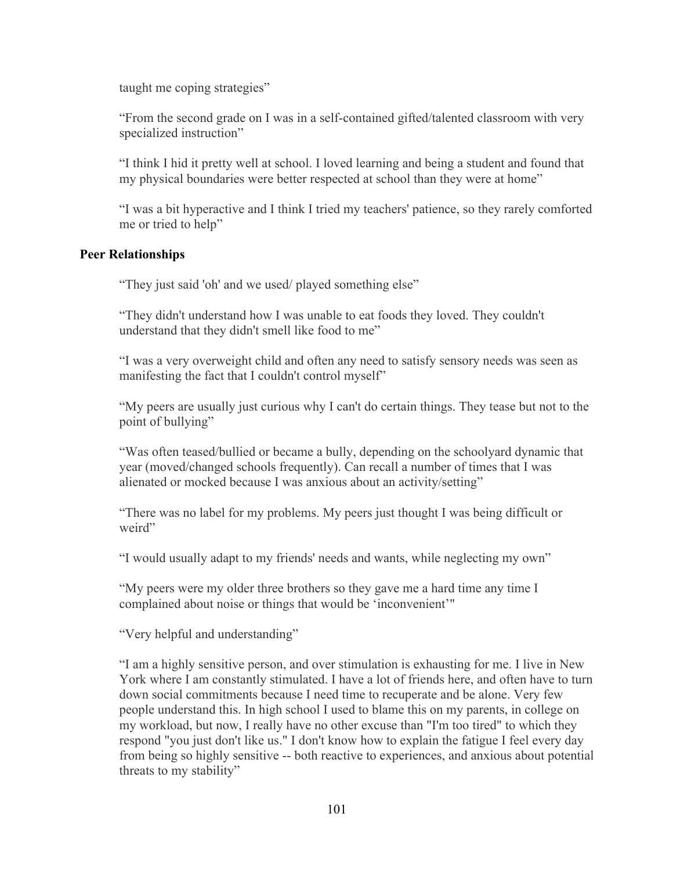taught me coping strategies"

"From the second grade on I was in a self-contained gifted/talented classroom with very specialized instruction"

"I think I hid it pretty well at school. I loved learning and being a student and found that my physical boundaries were better respected at school than they were at home"

"I was a bit hyperactive and I think I tried my teachers' patience, so they rarely comforted me or tried to help"

## **Peer Relationships**

"They just said 'oh' and we used/ played something else"

"They didn't understand how I was unable to eat foods they loved. They couldn't understand that they didn't smell like food to me"

"I was a very overweight child and often any need to satisfy sensory needs was seen as manifesting the fact that I couldn't control myself"

"My peers are usually just curious why I can't do certain things. They tease but not to the point of bullying"

"Was often teased/bullied or became a bully, depending on the schoolyard dynamic that year (moved/changed schools frequently). Can recall a number of times that I was alienated or mocked because I was anxious about an activity/setting"

"There was no label for my problems. My peers just thought I was being difficult or weird"

"I would usually adapt to my friends' needs and wants, while neglecting my own"

"My peers were my older three brothers so they gave me a hard time any time I complained about noise or things that would be 'inconvenient'"

"Very helpful and understanding"

"I am a highly sensitive person, and over stimulation is exhausting for me. I live in New York where I am constantly stimulated. I have a lot of friends here, and often have to turn down social commitments because I need time to recuperate and be alone. Very few people understand this. In high school I used to blame this on my parents, in college on my workload, but now, I really have no other excuse than "I'm too tired" to which they respond "you just don't like us." I don't know how to explain the fatigue I feel every day from being so highly sensitive -- both reactive to experiences, and anxious about potential threats to my stability"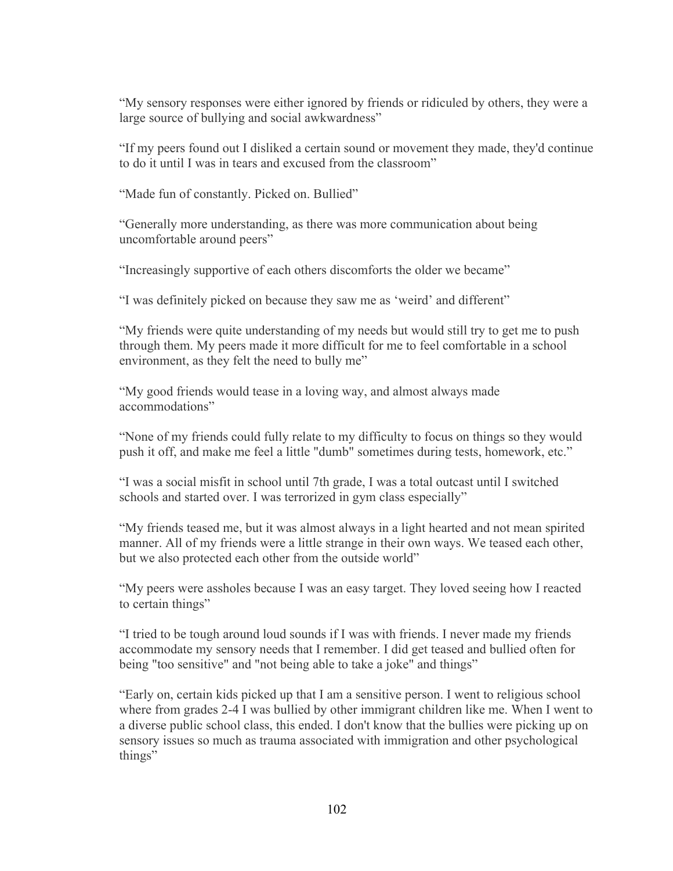"My sensory responses were either ignored by friends or ridiculed by others, they were a large source of bullying and social awkwardness"

"If my peers found out I disliked a certain sound or movement they made, they'd continue to do it until I was in tears and excused from the classroom"

"Made fun of constantly. Picked on. Bullied"

"Generally more understanding, as there was more communication about being uncomfortable around peers"

"Increasingly supportive of each others discomforts the older we became"

"I was definitely picked on because they saw me as 'weird' and different"

"My friends were quite understanding of my needs but would still try to get me to push through them. My peers made it more difficult for me to feel comfortable in a school environment, as they felt the need to bully me"

"My good friends would tease in a loving way, and almost always made accommodations"

"None of my friends could fully relate to my difficulty to focus on things so they would push it off, and make me feel a little "dumb" sometimes during tests, homework, etc."

"I was a social misfit in school until 7th grade, I was a total outcast until I switched schools and started over. I was terrorized in gym class especially"

"My friends teased me, but it was almost always in a light hearted and not mean spirited manner. All of my friends were a little strange in their own ways. We teased each other, but we also protected each other from the outside world"

"My peers were assholes because I was an easy target. They loved seeing how I reacted to certain things"

"I tried to be tough around loud sounds if I was with friends. I never made my friends accommodate my sensory needs that I remember. I did get teased and bullied often for being "too sensitive" and "not being able to take a joke" and things"

"Early on, certain kids picked up that I am a sensitive person. I went to religious school where from grades 2-4 I was bullied by other immigrant children like me. When I went to a diverse public school class, this ended. I don't know that the bullies were picking up on sensory issues so much as trauma associated with immigration and other psychological things"